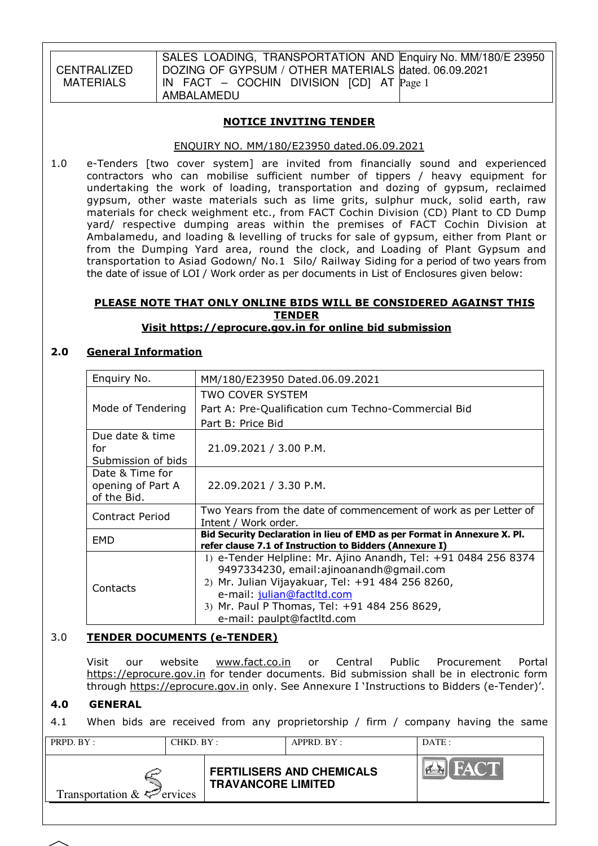CENTRALIZED MATERIALS

SALES LOADING, TRANSPORTATION AND Enquiry No. MM/180/E 23950 DOZING OF GYPSUM / OTHER MATERIALS dated. 06.09.2021 IN FACT – COCHIN DIVISION [CD] AT Page 1 AMBALAMEDU

### NOTICE INVITING TENDER

#### ENQUIRY NO. MM/180/E23950 dated.06.09.2021

1.0 e-Tenders [two cover system] are invited from financially sound and experienced contractors who can mobilise sufficient number of tippers / heavy equipment for undertaking the work of loading, transportation and dozing of gypsum, reclaimed gypsum, other waste materials such as lime grits, sulphur muck, solid earth, raw materials for check weighment etc., from FACT Cochin Division (CD) Plant to CD Dump yard/ respective dumping areas within the premises of FACT Cochin Division at Ambalamedu, and loading & levelling of trucks for sale of gypsum, either from Plant or from the Dumping Yard area, round the clock, and Loading of Plant Gypsum and transportation to Asiad Godown/ No.1 Silo/ Railway Siding for a period of two years from the date of issue of LOI / Work order as per documents in List of Enclosures given below:

#### PLEASE NOTE THAT ONLY ONLINE BIDS WILL BE CONSIDERED AGAINST THIS TENDER Visit https://eprocure.gov.in for online bid submission

#### 2.0 General Information

| Enquiry No.            | MM/180/E23950 Dated.06.09.2021                                                           |
|------------------------|------------------------------------------------------------------------------------------|
|                        | TWO COVER SYSTEM                                                                         |
| Mode of Tendering      | Part A: Pre-Qualification cum Techno-Commercial Bid                                      |
|                        | Part B: Price Bid                                                                        |
| Due date & time<br>for | 21.09.2021 / 3.00 P.M.                                                                   |
| Submission of bids     |                                                                                          |
| Date & Time for        |                                                                                          |
| opening of Part A      | 22.09.2021 / 3.30 P.M.                                                                   |
| of the Bid.            |                                                                                          |
| Contract Period        | Two Years from the date of commencement of work as per Letter of<br>Intent / Work order. |
| EMD                    | Bid Security Declaration in lieu of EMD as per Format in Annexure X. Pl.                 |
|                        | refer clause 7.1 of Instruction to Bidders (Annexure I)                                  |
|                        | 1) e-Tender Helpline: Mr. Ajino Anandh, Tel: +91 0484 256 8374                           |
|                        | 9497334230, email:ajinoanandh@gmail.com                                                  |
| Contacts               | 2) Mr. Julian Vijayakuar, Tel: +91 484 256 8260,                                         |
|                        | e-mail: julian@factltd.com                                                               |
|                        | 3) Mr. Paul P Thomas, Tel: +91 484 256 8629,                                             |
|                        | e-mail: paulpt@factltd.com                                                               |

#### 3.0 TENDER DOCUMENTS (e-TENDER)

 Visit our website www.fact.co.in or Central Public Procurement Portal https://eprocure.gov.in for tender documents. Bid submission shall be in electronic form through https://eprocure.gov.in only. See Annexure I 'Instructions to Bidders (e-Tender)'.

### 4.0 GENERAL

4.1 When bids are received from any proprietorship / firm / company having the same

PRPD. BY : CHKD. BY : APPRD. BY : DATE : FAC  $\left| \right|$ **FERTILISERS AND CHEMICALS TRAVANCORE LIMITED**  Transportation  $& \Leftrightarrow$  ervices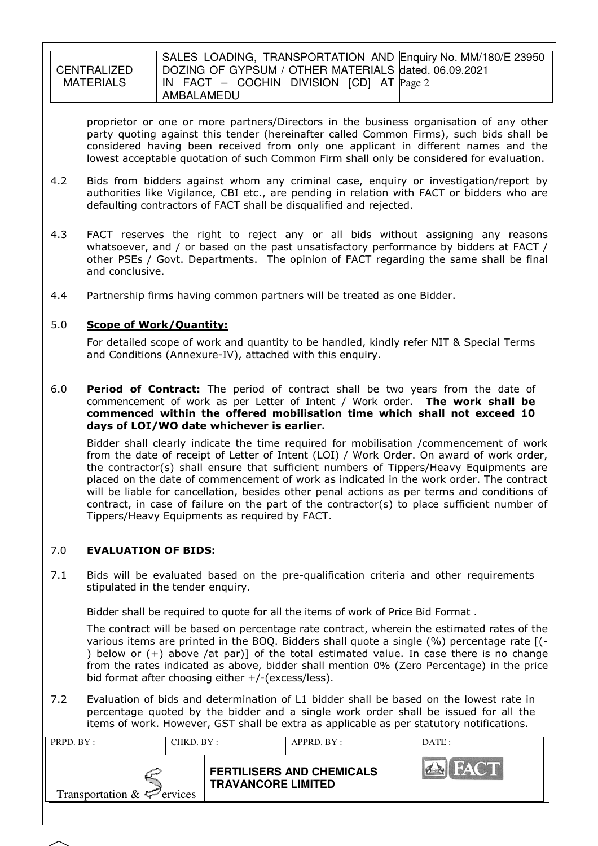**CENTRALIZED** MATFRIALS SALES LOADING, TRANSPORTATION AND Enquiry No. MM/180/E 23950 DOZING OF GYPSUM / OTHER MATERIALS dated. 06.09.2021 IN FACT – COCHIN DIVISION [CD] AT Page 2 AMBALAMEDU

proprietor or one or more partners/Directors in the business organisation of any other party quoting against this tender (hereinafter called Common Firms), such bids shall be considered having been received from only one applicant in different names and the lowest acceptable quotation of such Common Firm shall only be considered for evaluation.

- 4.2 Bids from bidders against whom any criminal case, enquiry or investigation/report by authorities like Vigilance, CBI etc., are pending in relation with FACT or bidders who are defaulting contractors of FACT shall be disqualified and rejected.
- 4.3 FACT reserves the right to reject any or all bids without assigning any reasons whatsoever, and / or based on the past unsatisfactory performance by bidders at FACT / other PSEs / Govt. Departments. The opinion of FACT regarding the same shall be final and conclusive.
- 4.4 Partnership firms having common partners will be treated as one Bidder.

### 5.0 Scope of Work/Quantity:

 For detailed scope of work and quantity to be handled, kindly refer NIT & Special Terms and Conditions (Annexure-IV), attached with this enquiry.

6.0 **Period of Contract:** The period of contract shall be two years from the date of commencement of work as per Letter of Intent / Work order. The work shall be commenced within the offered mobilisation time which shall not exceed 10 days of LOI/WO date whichever is earlier.

Bidder shall clearly indicate the time required for mobilisation /commencement of work from the date of receipt of Letter of Intent (LOI) / Work Order. On award of work order, the contractor(s) shall ensure that sufficient numbers of Tippers/Heavy Equipments are placed on the date of commencement of work as indicated in the work order. The contract will be liable for cancellation, besides other penal actions as per terms and conditions of contract, in case of failure on the part of the contractor(s) to place sufficient number of Tippers/Heavy Equipments as required by FACT.

#### 7.0 EVALUATION OF BIDS:

7.1 Bids will be evaluated based on the pre-qualification criteria and other requirements stipulated in the tender enquiry.

Bidder shall be required to quote for all the items of work of Price Bid Format .

The contract will be based on percentage rate contract, wherein the estimated rates of the various items are printed in the BOQ. Bidders shall quote a single (%) percentage rate [(- ) below or (+) above /at par)] of the total estimated value. In case there is no change from the rates indicated as above, bidder shall mention 0% (Zero Percentage) in the price bid format after choosing either +/-(excess/less).

7.2 Evaluation of bids and determination of L1 bidder shall be based on the lowest rate in percentage quoted by the bidder and a single work order shall be issued for all the items of work. However, GST shall be extra as applicable as per statutory notifications.

| PRPD. BY:                       | CHKD. BY: |                           | APPRD. BY:                       | DATE:       |
|---------------------------------|-----------|---------------------------|----------------------------------|-------------|
| Transportation $\&\leq$ ervices |           | <b>TRAVANCORE LIMITED</b> | <b>FERTILISERS AND CHEMICALS</b> | <b>FACT</b> |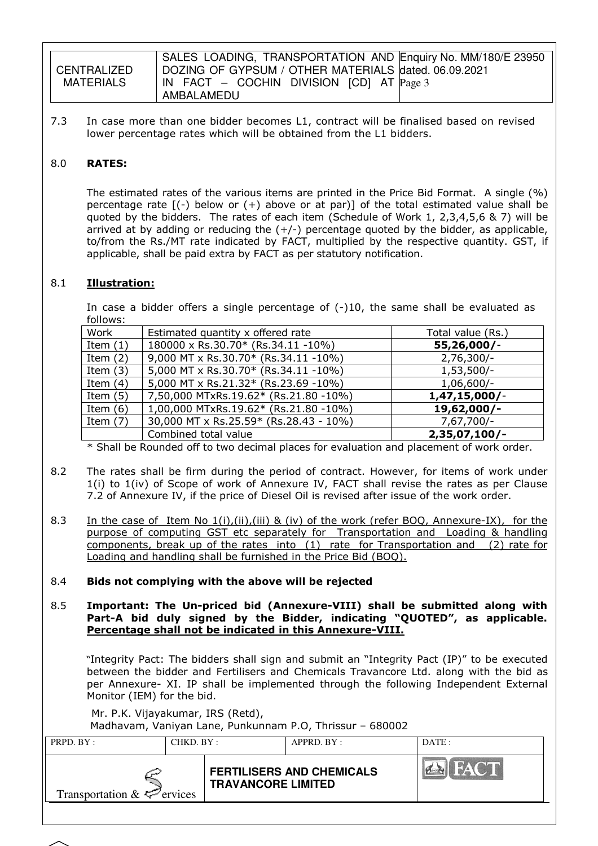|             | SALES LOADING, TRANSPORTATION AND Enquiry No. MM/180/E 23950           |
|-------------|------------------------------------------------------------------------|
| CENTRALIZED | DOZING OF GYPSUM / OTHER MATERIALS dated. 06.09.2021                   |
| MATERIALS   | $\vert$ IN FACT – COCHIN DIVISION $\vert$ CD $\vert$ AT $\vert$ Page 3 |
|             | AMBALAMEDU                                                             |

7.3 In case more than one bidder becomes L1, contract will be finalised based on revised lower percentage rates which will be obtained from the L1 bidders.

### 8.0 RATES:

The estimated rates of the various items are printed in the Price Bid Format. A single (%) percentage rate  $[(-)$  below or  $(+)$  above or at par)] of the total estimated value shall be quoted by the bidders. The rates of each item (Schedule of Work 1, 2,3,4,5,6 & 7) will be arrived at by adding or reducing the  $(+/-)$  percentage quoted by the bidder, as applicable, to/from the Rs./MT rate indicated by FACT, multiplied by the respective quantity. GST, if applicable, shall be paid extra by FACT as per statutory notification.

### 8.1 Illustration:

In case a bidder offers a single percentage of  $(-10)$ , the same shall be evaluated as follows:

| Work       | Estimated quantity x offered rate      | Total value (Rs.) |
|------------|----------------------------------------|-------------------|
| Item $(1)$ | 180000 x Rs.30.70* (Rs.34.11 -10%)     | 55,26,000/-       |
| Item $(2)$ | 9,000 MT x Rs.30.70* (Rs.34.11 -10%)   | $2,76,300/-$      |
| Item $(3)$ | 5,000 MT x Rs.30.70* (Rs.34.11 -10%)   | $1,53,500/-$      |
| Item $(4)$ | 5,000 MT x Rs.21.32* (Rs.23.69 -10%)   | $1,06,600/-$      |
| Item $(5)$ | 7,50,000 MTxRs.19.62* (Rs.21.80 -10%)  | 1,47,15,000/      |
| Item $(6)$ | 1,00,000 MTxRs.19.62* (Rs.21.80 -10%)  | 19,62,000/-       |
| Item $(7)$ | 30,000 MT x Rs.25.59* (Rs.28.43 - 10%) | $7,67,700/-$      |
|            | Combined total value                   | $2,35,07,100/-$   |

\* Shall be Rounded off to two decimal places for evaluation and placement of work order.

- 8.2 The rates shall be firm during the period of contract. However, for items of work under 1(i) to 1(iv) of Scope of work of Annexure IV, FACT shall revise the rates as per Clause 7.2 of Annexure IV, if the price of Diesel Oil is revised after issue of the work order.
- 8.3 In the case of Item No 1(i),(ii),(iii) & (iv) of the work (refer BOQ, Annexure-IX), for the purpose of computing GST etc separately for Transportation and Loading & handling components, break up of the rates into (1) rate for Transportation and (2) rate for Loading and handling shall be furnished in the Price Bid (BOQ).
- 8.4 Bids not complying with the above will be rejected

8.5 Important: The Un-priced bid (Annexure-VIII) shall be submitted along with Part-A bid duly signed by the Bidder, indicating "QUOTED", as applicable. Percentage shall not be indicated in this Annexure-VIII.

 "Integrity Pact: The bidders shall sign and submit an "Integrity Pact (IP)" to be executed between the bidder and Fertilisers and Chemicals Travancore Ltd. along with the bid as per Annexure- XI. IP shall be implemented through the following Independent External Monitor (IEM) for the bid.

Mr. P.K. Vijayakumar, IRS (Retd),

Madhavam, Vaniyan Lane, Punkunnam P.O, Thrissur – 680002

| PRPD. BY:                       | CHKD. BY: |                           | $APPRD$ $BY$                     | DATE: |
|---------------------------------|-----------|---------------------------|----------------------------------|-------|
| Transportation $\&\&\&$ ervices |           | <b>TRAVANCORE LIMITED</b> | <b>FERTILISERS AND CHEMICALS</b> |       |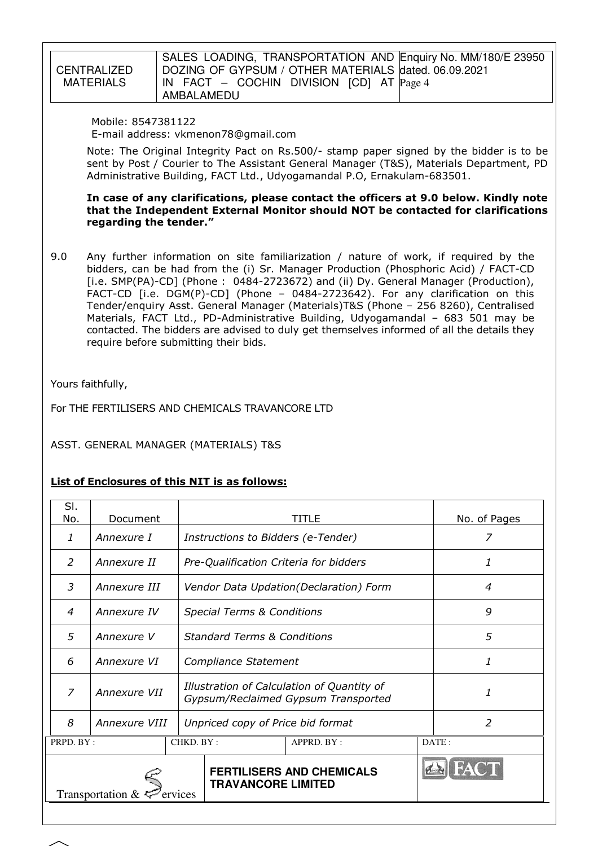| CENTRALIZED |  |
|-------------|--|
| MATERIALS   |  |

SALES LOADING, TRANSPORTATION AND Enquiry No. MM/180/E 23950 DOZING OF GYPSUM / OTHER MATERIALS dated. 06.09.2021 IN FACT – COCHIN DIVISION [CD] AT Page 4 AMBALAMEDU

 Mobile: 8547381122 E-mail address: vkmenon78@gmail.com

Note: The Original Integrity Pact on Rs.500/- stamp paper signed by the bidder is to be sent by Post / Courier to The Assistant General Manager (T&S), Materials Department, PD Administrative Building, FACT Ltd., Udyogamandal P.O, Ernakulam-683501.

 In case of any clarifications, please contact the officers at 9.0 below. Kindly note that the Independent External Monitor should NOT be contacted for clarifications regarding the tender."

9.0 Any further information on site familiarization / nature of work, if required by the bidders, can be had from the (i) Sr. Manager Production (Phosphoric Acid) / FACT-CD [i.e. SMP(PA)-CD] (Phone : 0484-2723672) and (ii) Dy. General Manager (Production), FACT-CD [i.e. DGM(P)-CD] (Phone – 0484-2723642). For any clarification on this Tender/enquiry Asst. General Manager (Materials)T&S (Phone – 256 8260), Centralised Materials, FACT Ltd., PD-Administrative Building, Udyogamandal – 683 501 may be contacted. The bidders are advised to duly get themselves informed of all the details they require before submitting their bids.

Yours faithfully,

For THE FERTILISERS AND CHEMICALS TRAVANCORE LTD

ASST. GENERAL MANAGER (MATERIALS) T&S

# List of Enclosures of this NIT is as follows:

| SI.<br>No.                  | Document         |           |                                                                                   | <b>TITLE</b>                     |       | No. of Pages   |
|-----------------------------|------------------|-----------|-----------------------------------------------------------------------------------|----------------------------------|-------|----------------|
| 1                           | Annexure I       |           | Instructions to Bidders (e-Tender)                                                |                                  |       | 7              |
| $\overline{2}$              | Annexure II      |           | Pre-Qualification Criteria for bidders                                            |                                  |       | 1              |
| 3                           | Annexure III     |           | Vendor Data Updation(Declaration) Form                                            |                                  | 4     |                |
| $\overline{4}$              | Annexure IV      |           | <b>Special Terms &amp; Conditions</b>                                             |                                  |       | 9              |
| 5                           | Annexure V       |           | <b>Standard Terms &amp; Conditions</b>                                            |                                  |       | 5              |
| 6                           | Annexure VI      |           | Compliance Statement                                                              |                                  |       | 1              |
| $\overline{z}$              | Annexure VII     |           | Illustration of Calculation of Quantity of<br>Gypsum/Reclaimed Gypsum Transported |                                  |       | 1              |
| $\mathcal{S}_{\mathcal{S}}$ | Annexure VIII    |           | Unpriced copy of Price bid format                                                 |                                  |       | $\overline{2}$ |
| PRPD. BY:                   |                  | CHKD. BY: |                                                                                   | APPRD. BY:                       | DATE: |                |
|                             | Transportation & |           | <b>TRAVANCORE LIMITED</b>                                                         | <b>FERTILISERS AND CHEMICALS</b> |       |                |
|                             |                  |           |                                                                                   |                                  |       |                |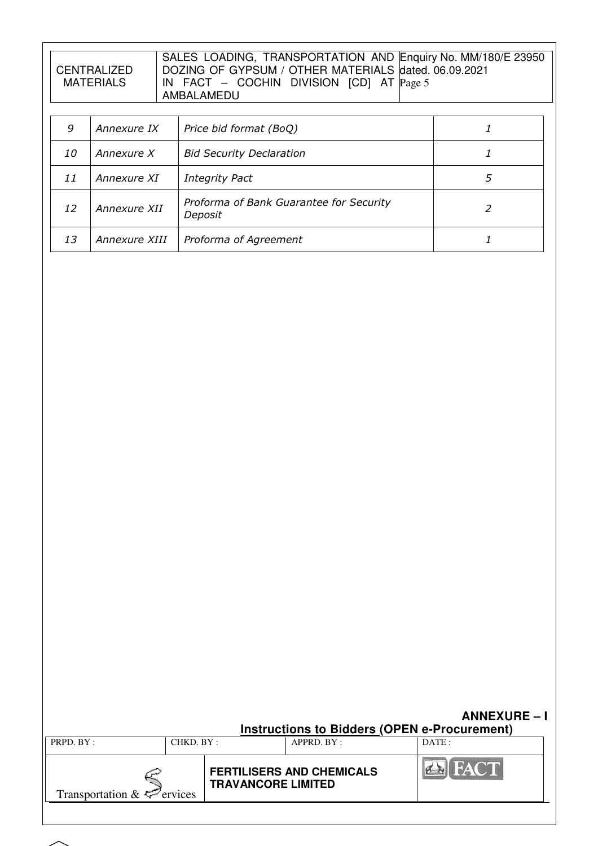|                  | SALES LOADING, TRANSPORTATION AND Enquiry No. MM/180/E 23950 |
|------------------|--------------------------------------------------------------|
| CENTRALIZED      | DOZING OF GYPSUM / OTHER MATERIALS dated. 06.09.2021         |
| <b>MATERIALS</b> | IN FACT $-$ COCHIN DIVISION $[CD]$ AT $Page 5$               |
|                  | AMBALAMEDU                                                   |

| 9         | Annexure IX   | Price bid format (BoQ)                             |  |
|-----------|---------------|----------------------------------------------------|--|
| <i>10</i> | Annexure X    | <b>Bid Security Declaration</b>                    |  |
| 11        | Annexure XI   | <b>Integrity Pact</b>                              |  |
| 12        | Annexure XII  | Proforma of Bank Guarantee for Security<br>Deposit |  |
| 13        | Annexure XIII | Proforma of Agreement                              |  |

|                                 |            |                           | Instructions to Bidders (OPEN e-Procurement) | <b>ANNEXURE-I</b> |
|---------------------------------|------------|---------------------------|----------------------------------------------|-------------------|
| PRPD. BY:                       | CHKD. BY : |                           | APPRD. BY:                                   | DATE:             |
| Transportation $\&\leq$ ervices |            | <b>TRAVANCORE LIMITED</b> | <b>FERTILISERS AND CHEMICALS</b>             | <b>EN FACT</b>    |
|                                 |            |                           |                                              |                   |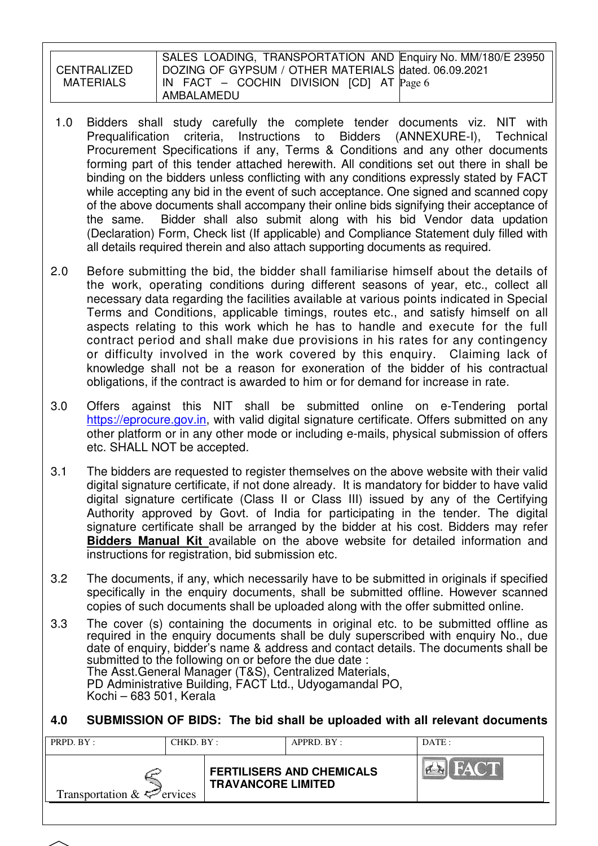CENTRALIZED MATERIALS

SALES LOADING, TRANSPORTATION AND Enquiry No. MM/180/E 23950 DOZING OF GYPSUM / OTHER MATERIALS dated. 06.09.2021 IN FACT – COCHIN DIVISION [CD] AT Page 6 AMBALAMEDU

- 1.0 Bidders shall study carefully the complete tender documents viz. NIT with Prequalification criteria, Instructions to Bidders (ANNEXURE-I), Technical Procurement Specifications if any, Terms & Conditions and any other documents forming part of this tender attached herewith. All conditions set out there in shall be binding on the bidders unless conflicting with any conditions expressly stated by FACT while accepting any bid in the event of such acceptance. One signed and scanned copy of the above documents shall accompany their online bids signifying their acceptance of the same. Bidder shall also submit along with his bid Vendor data updation (Declaration) Form, Check list (If applicable) and Compliance Statement duly filled with all details required therein and also attach supporting documents as required.
- 2.0 Before submitting the bid, the bidder shall familiarise himself about the details of the work, operating conditions during different seasons of year, etc., collect all necessary data regarding the facilities available at various points indicated in Special Terms and Conditions, applicable timings, routes etc., and satisfy himself on all aspects relating to this work which he has to handle and execute for the full contract period and shall make due provisions in his rates for any contingency or difficulty involved in the work covered by this enquiry. Claiming lack of knowledge shall not be a reason for exoneration of the bidder of his contractual obligations, if the contract is awarded to him or for demand for increase in rate.
- 3.0 Offers against this NIT shall be submitted online on e-Tendering portal https://eprocure.gov.in, with valid digital signature certificate. Offers submitted on any other platform or in any other mode or including e-mails, physical submission of offers etc. SHALL NOT be accepted.
- 3.1 The bidders are requested to register themselves on the above website with their valid digital signature certificate, if not done already. It is mandatory for bidder to have valid digital signature certificate (Class II or Class III) issued by any of the Certifying Authority approved by Govt. of India for participating in the tender. The digital signature certificate shall be arranged by the bidder at his cost. Bidders may refer **Bidders Manual Kit** available on the above website for detailed information and instructions for registration, bid submission etc.
- 3.2 The documents, if any, which necessarily have to be submitted in originals if specified specifically in the enquiry documents, shall be submitted offline. However scanned copies of such documents shall be uploaded along with the offer submitted online.
- 3.3 The cover (s) containing the documents in original etc. to be submitted offline as required in the enquiry documents shall be duly superscribed with enquiry No., due date of enquiry, bidder's name & address and contact details. The documents shall be submitted to the following on or before the due date : The Asst.General Manager (T&S), Centralized Materials, PD Administrative Building, FACT Ltd., Udyogamandal PO, Kochi – 683 501, Kerala

# **4.0 SUBMISSION OF BIDS: The bid shall be uploaded with all relevant documents**

| HACTIN<br><b>FERTILISERS AND CHEMICALS</b><br><b>TRAVANCORE LIMITED</b> | PRPD. BY:<br>CHKD. BY :         | APPRD. BY: | DATE: |
|-------------------------------------------------------------------------|---------------------------------|------------|-------|
|                                                                         | Transportation $\&\leq$ ervices |            |       |

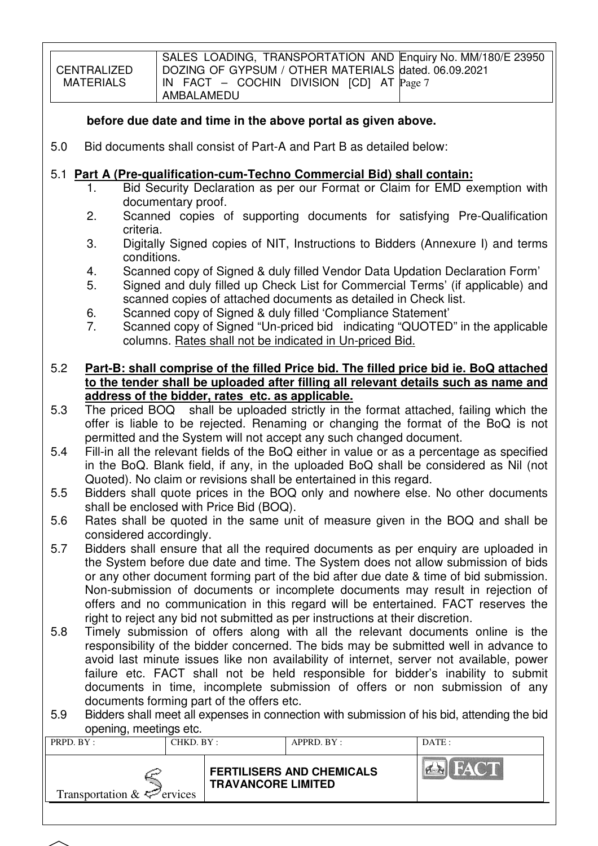CENTRALIZED MATERIALS SALES LOADING, TRANSPORTATION AND Enquiry No. MM/180/E 23950 DOZING OF GYPSUM / OTHER MATERIALS dated. 06.09.2021 IN FACT – COCHIN DIVISION [CD] AT Page 7 AMBALAMEDU

# **before due date and time in the above portal as given above.**

5.0 Bid documents shall consist of Part-A and Part B as detailed below:

# 5.1 **Part A (Pre-qualification-cum-Techno Commercial Bid) shall contain:**

- 1. Bid Security Declaration as per our Format or Claim for EMD exemption with documentary proof.
- 2. Scanned copies of supporting documents for satisfying Pre-Qualification criteria.
- 3. Digitally Signed copies of NIT, Instructions to Bidders (Annexure I) and terms conditions.
- 4. Scanned copy of Signed & duly filled Vendor Data Updation Declaration Form'
- 5. Signed and duly filled up Check List for Commercial Terms' (if applicable) and scanned copies of attached documents as detailed in Check list.
- 6. Scanned copy of Signed & duly filled 'Compliance Statement'
- 7. Scanned copy of Signed "Un-priced bid indicating "QUOTED" in the applicable columns. Rates shall not be indicated in Un-priced Bid.

# 5.2 **Part-B: shall comprise of the filled Price bid. The filled price bid ie. BoQ attached to the tender shall be uploaded after filling all relevant details such as name and address of the bidder, rates etc. as applicable.**

- 5.3 The priced BOQ shall be uploaded strictly in the format attached, failing which the offer is liable to be rejected. Renaming or changing the format of the BoQ is not permitted and the System will not accept any such changed document.
- 5.4 Fill-in all the relevant fields of the BoQ either in value or as a percentage as specified in the BoQ. Blank field, if any, in the uploaded BoQ shall be considered as Nil (not Quoted). No claim or revisions shall be entertained in this regard.
- 5.5 Bidders shall quote prices in the BOQ only and nowhere else. No other documents shall be enclosed with Price Bid (BOQ).
- 5.6 Rates shall be quoted in the same unit of measure given in the BOQ and shall be considered accordingly.
- 5.7 Bidders shall ensure that all the required documents as per enquiry are uploaded in the System before due date and time. The System does not allow submission of bids or any other document forming part of the bid after due date & time of bid submission. Non-submission of documents or incomplete documents may result in rejection of offers and no communication in this regard will be entertained. FACT reserves the right to reject any bid not submitted as per instructions at their discretion.
- 5.8 Timely submission of offers along with all the relevant documents online is the responsibility of the bidder concerned. The bids may be submitted well in advance to avoid last minute issues like non availability of internet, server not available, power failure etc. FACT shall not be held responsible for bidder's inability to submit documents in time, incomplete submission of offers or non submission of any documents forming part of the offers etc.
- 5.9 Bidders shall meet all expenses in connection with submission of his bid, attending the bid opening, meetings etc.

| ້<br>PRPD. BY:                  | CHKD. BY:                 | $APPRD$ $BY$                     | DATA: |
|---------------------------------|---------------------------|----------------------------------|-------|
| Transportation $\&\leq$ ervices | <b>TRAVANCORE LIMITED</b> | <b>FERTILISERS AND CHEMICALS</b> | FACT  |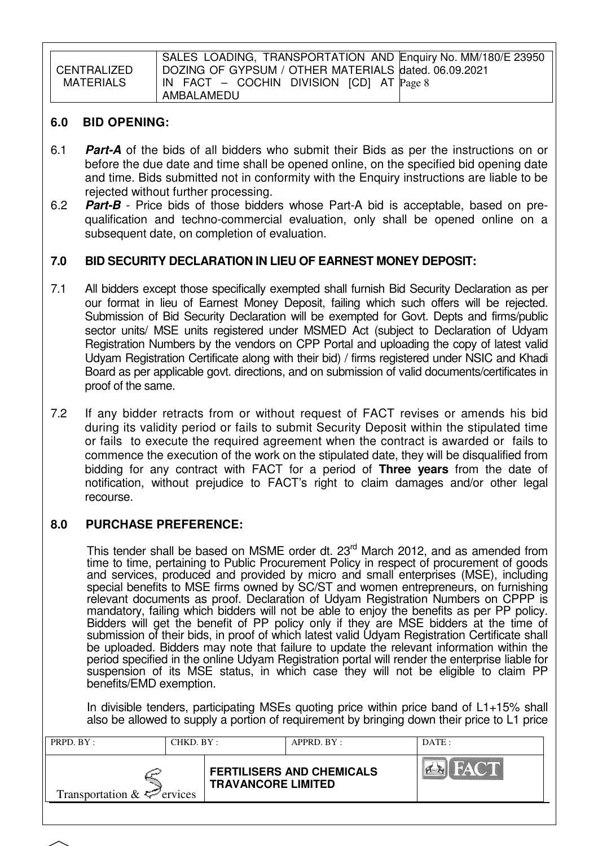**CENTRALIZED** MATERIALS SALES LOADING, TRANSPORTATION AND Enquiry No. MM/180/E 23950 DOZING OF GYPSUM / OTHER MATERIALS dated. 06.09.2021 IN FACT – COCHIN DIVISION [CD] AT Page 8 AMBALAMEDU

# **6.0 BID OPENING:**

- 6.1 **Part-A** of the bids of all bidders who submit their Bids as per the instructions on or before the due date and time shall be opened online, on the specified bid opening date and time. Bids submitted not in conformity with the Enquiry instructions are liable to be rejected without further processing.
- 6.2 **Part-B** Price bids of those bidders whose Part-A bid is acceptable, based on prequalification and techno-commercial evaluation, only shall be opened online on a subsequent date, on completion of evaluation.

# **7.0 BID SECURITY DECLARATION IN LIEU OF EARNEST MONEY DEPOSIT:**

- 7.1 All bidders except those specifically exempted shall furnish Bid Security Declaration as per our format in lieu of Earnest Money Deposit, failing which such offers will be rejected. Submission of Bid Security Declaration will be exempted for Govt. Depts and firms/public sector units/ MSE units registered under MSMED Act (subject to Declaration of Udyam Registration Numbers by the vendors on CPP Portal and uploading the copy of latest valid Udyam Registration Certificate along with their bid) / firms registered under NSIC and Khadi Board as per applicable govt. directions, and on submission of valid documents/certificates in proof of the same.
- 7.2 If any bidder retracts from or without request of FACT revises or amends his bid during its validity period or fails to submit Security Deposit within the stipulated time or fails to execute the required agreement when the contract is awarded or fails to commence the execution of the work on the stipulated date, they will be disqualified from bidding for any contract with FACT for a period of **Three years** from the date of notification, without prejudice to FACT's right to claim damages and/or other legal recourse.

# **8.0 PURCHASE PREFERENCE:**

This tender shall be based on MSME order dt. 23<sup>rd</sup> March 2012, and as amended from time to time, pertaining to Public Procurement Policy in respect of procurement of goods and services, produced and provided by micro and small enterprises (MSE), including special benefits to MSE firms owned by SC/ST and women entrepreneurs, on furnishing relevant documents as proof. Declaration of Udyam Registration Numbers on CPPP is mandatory, failing which bidders will not be able to enjoy the benefits as per PP policy. Bidders will get the benefit of PP policy only if they are MSE bidders at the time of submission of their bids, in proof of which latest valid Udyam Registration Certificate shall be uploaded. Bidders may note that failure to update the relevant information within the period specified in the online Udyam Registration portal will render the enterprise liable for suspension of its MSE status, in which case they will not be eligible to claim PP benefits/EMD exemption.

In divisible tenders, participating MSEs quoting price within price band of L1+15% shall also be allowed to supply a portion of requirement by bringing down their price to L1 price

| HAC T<br>$\sum_{i=1}^{n}$<br><b>FERTILISERS AND CHEMICALS</b> | DATA | APPRD. BY: | PRPD. BY:<br>CHKD. BY: |  |  |
|---------------------------------------------------------------|------|------------|------------------------|--|--|
| <b>TRAVANCORE LIMITED</b><br>Transportation $\&\leq$ ervices  |      |            |                        |  |  |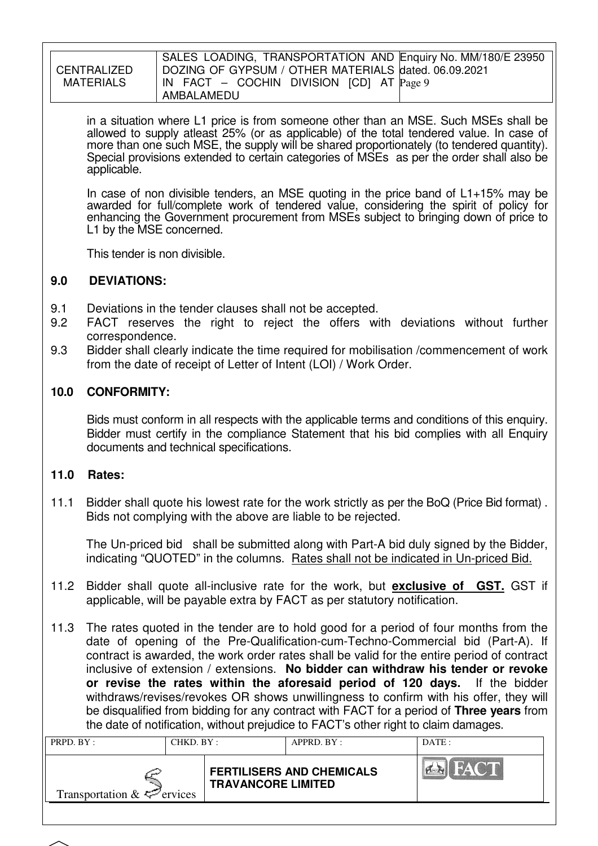|             | SALES LOADING, TRANSPORTATION AND Enquiry No. MM/180/E 23950           |
|-------------|------------------------------------------------------------------------|
|             |                                                                        |
| CENTRALIZED | DOZING OF GYPSUM / OTHER MATERIALS dated. 06.09.2021                   |
|             |                                                                        |
|             |                                                                        |
| MATERIALS   | $\vert$ IN FACT – COCHIN DIVISION $\vert$ CD $\vert$ AT $\vert$ Page 9 |
|             |                                                                        |
|             | AMBALAMEDU                                                             |
|             |                                                                        |

in a situation where L1 price is from someone other than an MSE. Such MSEs shall be allowed to supply atleast 25% (or as applicable) of the total tendered value. In case of more than one such MSE, the supply will be shared proportionately (to tendered quantity). Special provisions extended to certain categories of MSEs as per the order shall also be applicable.

In case of non divisible tenders, an MSE quoting in the price band of  $L1+15%$  may be awarded for full/complete work of tendered value, considering the spirit of policy for enhancing the Government procurement from MSEs subject to bringing down of price to L1 by the MSE concerned.

This tender is non divisible.

# **9.0 DEVIATIONS:**

- 9.1 Deviations in the tender clauses shall not be accepted.
- 9.2 FACT reserves the right to reject the offers with deviations without further correspondence.
- 9.3 Bidder shall clearly indicate the time required for mobilisation /commencement of work from the date of receipt of Letter of Intent (LOI) / Work Order.

# **10.0 CONFORMITY:**

Bids must conform in all respects with the applicable terms and conditions of this enquiry. Bidder must certify in the compliance Statement that his bid complies with all Enquiry documents and technical specifications.

# **11.0 Rates:**

11.1 Bidder shall quote his lowest rate for the work strictly as per the BoQ (Price Bid format) . Bids not complying with the above are liable to be rejected.

The Un-priced bid shall be submitted along with Part-A bid duly signed by the Bidder, indicating "QUOTED" in the columns. Rates shall not be indicated in Un-priced Bid.

- 11.2 Bidder shall quote all-inclusive rate for the work, but **exclusive of GST.** GST if applicable, will be payable extra by FACT as per statutory notification.
- 11.3 The rates quoted in the tender are to hold good for a period of four months from the date of opening of the Pre-Qualification-cum-Techno-Commercial bid (Part-A). If contract is awarded, the work order rates shall be valid for the entire period of contract inclusive of extension / extensions. **No bidder can withdraw his tender or revoke or revise the rates within the aforesaid period of 120 days.** If the bidder withdraws/revises/revokes OR shows unwillingness to confirm with his offer, they will be disqualified from bidding for any contract with FACT for a period of **Three years** from the date of notification, without prejudice to FACT's other right to claim damages.

| PRPD. BY:                       | CHKD. BY : |                           | APPRD. BY:                       | DATE:       |  |  |
|---------------------------------|------------|---------------------------|----------------------------------|-------------|--|--|
| Transportation $\&\leq$ ervices |            | <b>TRAVANCORE LIMITED</b> | <b>FERTILISERS AND CHEMICALS</b> | <b>FACT</b> |  |  |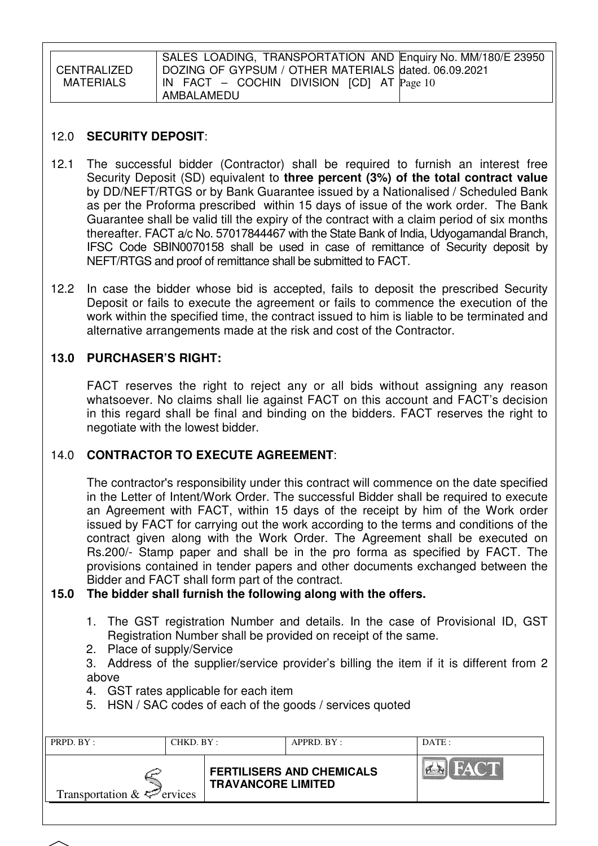|             | SALES LOADING, TRANSPORTATION AND Enquiry No. MM/180/E 23950            |
|-------------|-------------------------------------------------------------------------|
| CENTRALIZED | DOZING OF GYPSUM / OTHER MATERIALS dated. 06.09.2021                    |
| MATERIALS   | $\vert$ IN FACT – COCHIN DIVISION $\vert$ CD $\vert$ AT $\vert$ Page 10 |
|             | AMBALAMEDU                                                              |

# 12.0 **SECURITY DEPOSIT**:

- 12.1 The successful bidder (Contractor) shall be required to furnish an interest free Security Deposit (SD) equivalent to **three percent (3%) of the total contract value**  by DD/NEFT/RTGS or by Bank Guarantee issued by a Nationalised / Scheduled Bank as per the Proforma prescribed within 15 days of issue of the work order. The Bank Guarantee shall be valid till the expiry of the contract with a claim period of six months thereafter. FACT a/c No. 57017844467 with the State Bank of India, Udyogamandal Branch, IFSC Code SBIN0070158 shall be used in case of remittance of Security deposit by NEFT/RTGS and proof of remittance shall be submitted to FACT.
- 12.2 In case the bidder whose bid is accepted, fails to deposit the prescribed Security Deposit or fails to execute the agreement or fails to commence the execution of the work within the specified time, the contract issued to him is liable to be terminated and alternative arrangements made at the risk and cost of the Contractor.

# **13.0 PURCHASER'S RIGHT:**

 FACT reserves the right to reject any or all bids without assigning any reason whatsoever. No claims shall lie against FACT on this account and FACT's decision in this regard shall be final and binding on the bidders. FACT reserves the right to negotiate with the lowest bidder.

# 14.0 **CONTRACTOR TO EXECUTE AGREEMENT**:

 The contractor's responsibility under this contract will commence on the date specified in the Letter of Intent/Work Order. The successful Bidder shall be required to execute an Agreement with FACT, within 15 days of the receipt by him of the Work order issued by FACT for carrying out the work according to the terms and conditions of the contract given along with the Work Order. The Agreement shall be executed on Rs.200/- Stamp paper and shall be in the pro forma as specified by FACT. The provisions contained in tender papers and other documents exchanged between the Bidder and FACT shall form part of the contract.

# **15.0 The bidder shall furnish the following along with the offers.**

- 1. The GST registration Number and details. In the case of Provisional ID, GST Registration Number shall be provided on receipt of the same.
- 2. Place of supply/Service
- 3. Address of the supplier/service provider's billing the item if it is different from 2 above
- 4. GST rates applicable for each item
- 5. HSN / SAC codes of each of the goods / services quoted

| PRPD. BY:                       | CHKD. BY : |                           | APPRD. BY:                       | DATE:                     |
|---------------------------------|------------|---------------------------|----------------------------------|---------------------------|
| Transportation $\&\&\&$ ervices |            | <b>TRAVANCORE LIMITED</b> | <b>FERTILISERS AND CHEMICALS</b> | <b>FACT</b><br>$\sqrt{2}$ |
|                                 |            |                           |                                  |                           |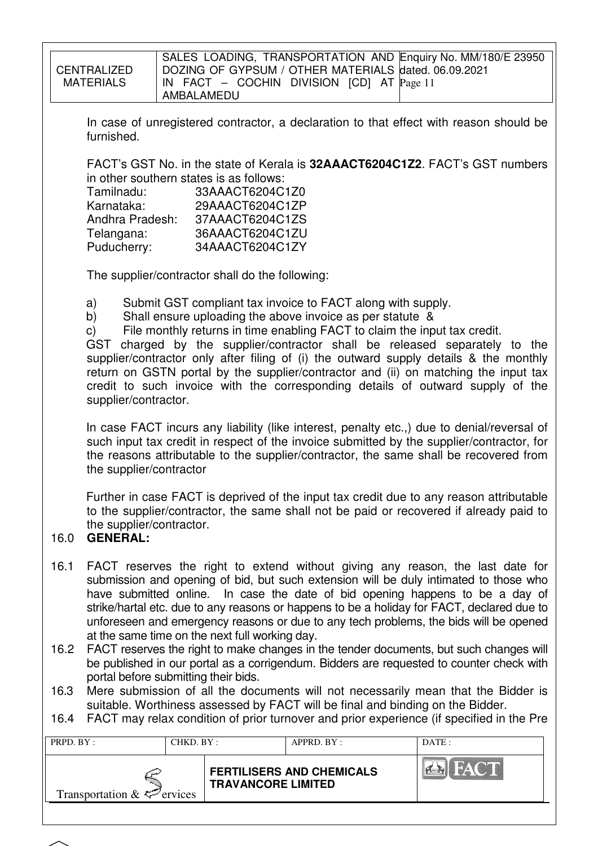|      | <b>CENTRALIZED</b><br><b>MATERIALS</b>                                                                                                                                                                                                                                                                                                                                                                                                                                                                                                                                                             | SALES LOADING, TRANSPORTATION AND Enquiry No. MM/180/E 23950<br>DOZING OF GYPSUM / OTHER MATERIALS dated. 06.09.2021<br>IN FACT $-$ COCHIN DIVISION [CD] AT $Page 11$<br>AMBALAMEDU                                                                                              |  |  |  |  |  |
|------|----------------------------------------------------------------------------------------------------------------------------------------------------------------------------------------------------------------------------------------------------------------------------------------------------------------------------------------------------------------------------------------------------------------------------------------------------------------------------------------------------------------------------------------------------------------------------------------------------|----------------------------------------------------------------------------------------------------------------------------------------------------------------------------------------------------------------------------------------------------------------------------------|--|--|--|--|--|
|      | furnished.                                                                                                                                                                                                                                                                                                                                                                                                                                                                                                                                                                                         | In case of unregistered contractor, a declaration to that effect with reason should be                                                                                                                                                                                           |  |  |  |  |  |
|      | Tamilnadu:<br>Karnataka:<br>Telangana:<br>Puducherry:                                                                                                                                                                                                                                                                                                                                                                                                                                                                                                                                              | FACT's GST No. in the state of Kerala is 32AAACT6204C1Z2. FACT's GST numbers<br>in other southern states is as follows:<br>33AAACT6204C1Z0<br>29AAACT6204C1ZP<br>Andhra Pradesh: 37AAACT6204C1ZS<br>36AAACT6204C1ZU<br>34AAACT6204C1ZY                                           |  |  |  |  |  |
|      |                                                                                                                                                                                                                                                                                                                                                                                                                                                                                                                                                                                                    | The supplier/contractor shall do the following:                                                                                                                                                                                                                                  |  |  |  |  |  |
|      | Submit GST compliant tax invoice to FACT along with supply.<br>a)<br>Shall ensure uploading the above invoice as per statute &<br>b)<br>File monthly returns in time enabling FACT to claim the input tax credit.<br>C)<br>charged by the supplier/contractor shall be released separately to the<br>GST<br>supplier/contractor only after filing of (i) the outward supply details & the monthly<br>return on GSTN portal by the supplier/contractor and (ii) on matching the input tax<br>credit to such invoice with the corresponding details of outward supply of the<br>supplier/contractor. |                                                                                                                                                                                                                                                                                  |  |  |  |  |  |
|      | the supplier/contractor                                                                                                                                                                                                                                                                                                                                                                                                                                                                                                                                                                            | In case FACT incurs any liability (like interest, penalty etc.,) due to denial/reversal of<br>such input tax credit in respect of the invoice submitted by the supplier/contractor, for<br>the reasons attributable to the supplier/contractor, the same shall be recovered from |  |  |  |  |  |
| 16.0 | the supplier/contractor.<br><b>GENERAL:</b>                                                                                                                                                                                                                                                                                                                                                                                                                                                                                                                                                        | Further in case FACT is deprived of the input tax credit due to any reason attributable<br>to the supplier/contractor, the same shall not be paid or recovered if already paid to                                                                                                |  |  |  |  |  |

- 16.1 FACT reserves the right to extend without giving any reason, the last date for submission and opening of bid, but such extension will be duly intimated to those who have submitted online. In case the date of bid opening happens to be a day of strike/hartal etc. due to any reasons or happens to be a holiday for FACT, declared due to unforeseen and emergency reasons or due to any tech problems, the bids will be opened at the same time on the next full working day.
- 16.2 FACT reserves the right to make changes in the tender documents, but such changes will be published in our portal as a corrigendum. Bidders are requested to counter check with portal before submitting their bids.
- 16.3 Mere submission of all the documents will not necessarily mean that the Bidder is suitable. Worthiness assessed by FACT will be final and binding on the Bidder.
- 16.4 FACT may relax condition of prior turnover and prior experience (if specified in the Pre

| <b>FERTILISERS AND CHEMICALS</b><br><b>TRAVANCORE LIMITED</b><br>Transportation $\& \Leftrightarrow$ ervices | PRPD. BY: | CHKD. BY : |  | APPRD. BY: | DATE: |  |  |
|--------------------------------------------------------------------------------------------------------------|-----------|------------|--|------------|-------|--|--|
|                                                                                                              |           |            |  |            |       |  |  |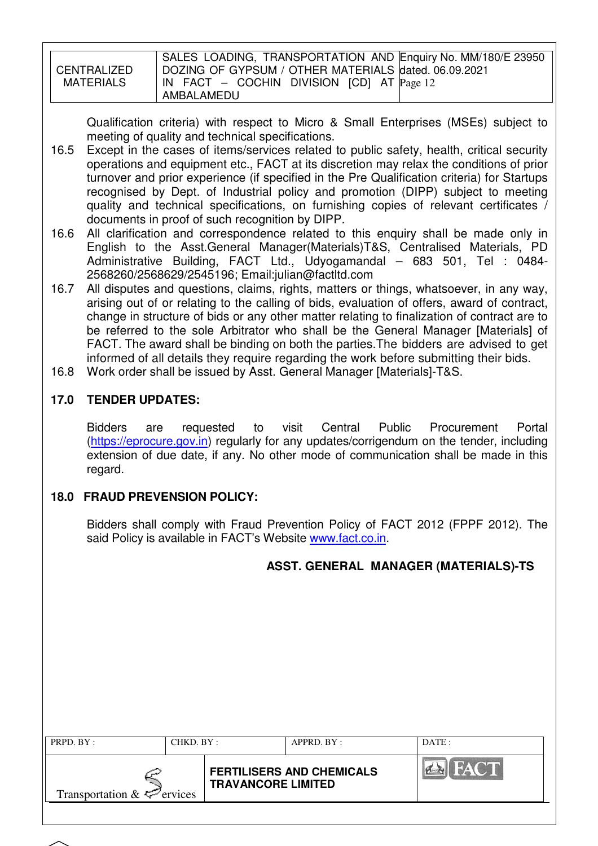|             | SALES LOADING, TRANSPORTATION AND Enquiry No. MM/180/E 23950 |
|-------------|--------------------------------------------------------------|
|             |                                                              |
|             |                                                              |
| CENTRALIZED | DOZING OF GYPSUM / OTHER MATERIALS dated. 06.09.2021         |
|             |                                                              |
| MATERIALS   | IN FACT $-$ COCHIN DIVISION [CD] AT $Page 12$                |
|             |                                                              |
|             |                                                              |
|             | AMBALAMEDU                                                   |
|             |                                                              |

Qualification criteria) with respect to Micro & Small Enterprises (MSEs) subject to meeting of quality and technical specifications.

- 16.5 Except in the cases of items/services related to public safety, health, critical security operations and equipment etc., FACT at its discretion may relax the conditions of prior turnover and prior experience (if specified in the Pre Qualification criteria) for Startups recognised by Dept. of Industrial policy and promotion (DIPP) subject to meeting quality and technical specifications, on furnishing copies of relevant certificates / documents in proof of such recognition by DIPP.
- 16.6 All clarification and correspondence related to this enquiry shall be made only in English to the Asst.General Manager(Materials)T&S, Centralised Materials, PD Administrative Building, FACT Ltd., Udyogamandal – 683 501, Tel : 0484- 2568260/2568629/2545196; Email:julian@factltd.com
- 16.7 All disputes and questions, claims, rights, matters or things, whatsoever, in any way, arising out of or relating to the calling of bids, evaluation of offers, award of contract, change in structure of bids or any other matter relating to finalization of contract are to be referred to the sole Arbitrator who shall be the General Manager [Materials] of FACT. The award shall be binding on both the parties. The bidders are advised to get informed of all details they require regarding the work before submitting their bids.
- 16.8 Work order shall be issued by Asst. General Manager [Materials]-T&S.

# **17.0 TENDER UPDATES:**

Bidders are requested to visit Central Public Procurement Portal (https://eprocure.gov.in) regularly for any updates/corrigendum on the tender, including extension of due date, if any. No other mode of communication shall be made in this regard.

# **18.0 FRAUD PREVENSION POLICY:**

Bidders shall comply with Fraud Prevention Policy of FACT 2012 (FPPF 2012). The said Policy is available in FACT's Website www.fact.co.in.

# **ASST. GENERAL MANAGER (MATERIALS)-TS**

| PRPD. BY:                              | CHKD. BY : |                           | APPRD. BY:                       | DATA        |
|----------------------------------------|------------|---------------------------|----------------------------------|-------------|
| Transportation $\&\leq^{\sim}$ ervices |            | <b>TRAVANCORE LIMITED</b> | <b>FERTILISERS AND CHEMICALS</b> | <b>FACT</b> |
|                                        |            |                           |                                  |             |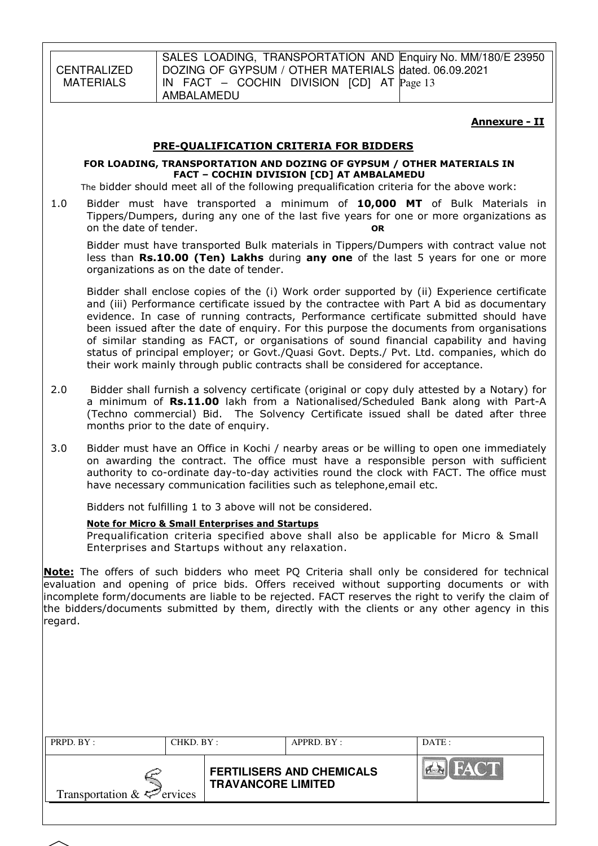CENTRALIZED MATERIALS

SALES LOADING, TRANSPORTATION AND Enquiry No. MM/180/E 23950 DOZING OF GYPSUM / OTHER MATERIALS dated. 06.09.2021 IN FACT – COCHIN DIVISION [CD] AT Page 13 AMBALAMEDU

#### Annexure - II

#### PRE-QUALIFICATION CRITERIA FOR BIDDERS

#### FOR LOADING, TRANSPORTATION AND DOZING OF GYPSUM / OTHER MATERIALS IN FACT – COCHIN DIVISION [CD] AT AMBALAMEDU

The bidder should meet all of the following prequalification criteria for the above work:

1.0 Bidder must have transported a minimum of 10,000 MT of Bulk Materials in Tippers/Dumpers, during any one of the last five years for one or more organizations as on the date of tender. **OR** 

Bidder must have transported Bulk materials in Tippers/Dumpers with contract value not less than Rs.10.00 (Ten) Lakhs during any one of the last 5 years for one or more organizations as on the date of tender.

Bidder shall enclose copies of the (i) Work order supported by (ii) Experience certificate and (iii) Performance certificate issued by the contractee with Part A bid as documentary evidence. In case of running contracts, Performance certificate submitted should have been issued after the date of enquiry. For this purpose the documents from organisations of similar standing as FACT, or organisations of sound financial capability and having status of principal employer; or Govt./Quasi Govt. Depts./ Pvt. Ltd. companies, which do their work mainly through public contracts shall be considered for acceptance.

- 2.0 Bidder shall furnish a solvency certificate (original or copy duly attested by a Notary) for a minimum of Rs.11.00 lakh from a Nationalised/Scheduled Bank along with Part-A (Techno commercial) Bid. The Solvency Certificate issued shall be dated after three months prior to the date of enquiry.
- 3.0 Bidder must have an Office in Kochi / nearby areas or be willing to open one immediately on awarding the contract. The office must have a responsible person with sufficient authority to co-ordinate day-to-day activities round the clock with FACT. The office must have necessary communication facilities such as telephone,email etc.

Bidders not fulfilling 1 to 3 above will not be considered.

#### Note for Micro & Small Enterprises and Startups

Prequalification criteria specified above shall also be applicable for Micro & Small Enterprises and Startups without any relaxation.

Note: The offers of such bidders who meet PO Criteria shall only be considered for technical evaluation and opening of price bids. Offers received without supporting documents or with incomplete form/documents are liable to be rejected. FACT reserves the right to verify the claim of the bidders/documents submitted by them, directly with the clients or any other agency in this regard.

| PRPD. BY:<br>CHKD. BY:                      |  |                           | APPRD. BY:                       | DATE:       |  |  |
|---------------------------------------------|--|---------------------------|----------------------------------|-------------|--|--|
| Transportation $\& \Leftrightarrow$ ervices |  | <b>TRAVANCORE LIMITED</b> | <b>FERTILISERS AND CHEMICALS</b> | <b>FACT</b> |  |  |
|                                             |  |                           |                                  |             |  |  |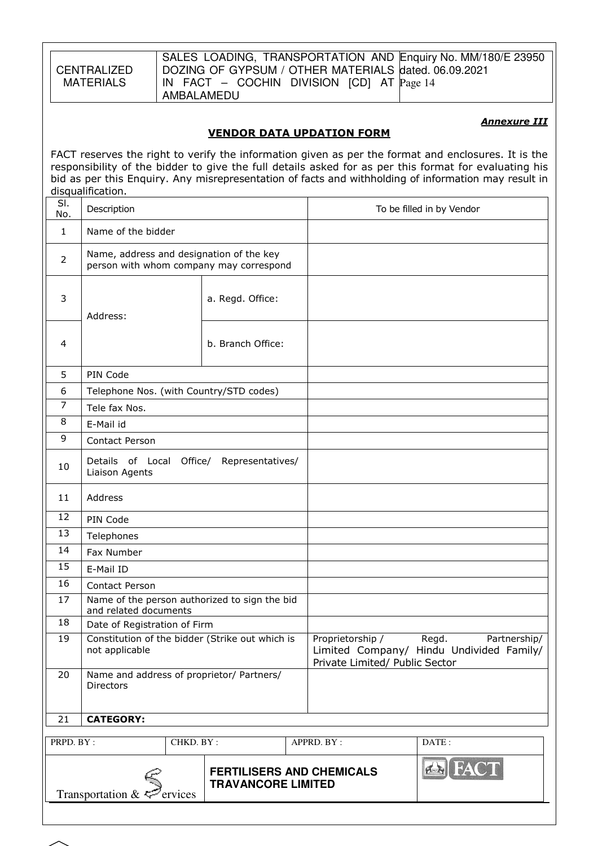**CENTRALIZED MATERIALS** 

SALES LOADING, TRANSPORTATION AND Enquiry No. MM/180/E 23950 DOZING OF GYPSUM / OTHER MATERIALS dated. 06.09.2021 IN FACT – COCHIN DIVISION [CD] AT Page 14 AMBALAMEDU

### **Annexure III**

### VENDOR DATA UPDATION FORM

FACT reserves the right to verify the information given as per the format and enclosures. It is the responsibility of the bidder to give the full details asked for as per this format for evaluating his bid as per this Enquiry. Any misrepresentation of facts and withholding of information may result in disqualification.

| SI.<br>No.     | Description                                                                         |                                                               |                                                    | To be filled in by Vendor                                         |
|----------------|-------------------------------------------------------------------------------------|---------------------------------------------------------------|----------------------------------------------------|-------------------------------------------------------------------|
| 1              | Name of the bidder                                                                  |                                                               |                                                    |                                                                   |
| $\overline{2}$ | Name, address and designation of the key<br>person with whom company may correspond |                                                               |                                                    |                                                                   |
| 3              | Address:                                                                            | a. Regd. Office:                                              |                                                    |                                                                   |
| 4              |                                                                                     | b. Branch Office:                                             |                                                    |                                                                   |
| 5              | PIN Code                                                                            |                                                               |                                                    |                                                                   |
| 6              | Telephone Nos. (with Country/STD codes)                                             |                                                               |                                                    |                                                                   |
| 7              | Tele fax Nos.                                                                       |                                                               |                                                    |                                                                   |
| 8              | E-Mail id                                                                           |                                                               |                                                    |                                                                   |
| 9              | <b>Contact Person</b>                                                               |                                                               |                                                    |                                                                   |
| 10             | Details of Local Office/ Representatives/<br>Liaison Agents                         |                                                               |                                                    |                                                                   |
| 11             | Address                                                                             |                                                               |                                                    |                                                                   |
| 12             | PIN Code                                                                            |                                                               |                                                    |                                                                   |
| 13             | Telephones                                                                          |                                                               |                                                    |                                                                   |
| 14             | Fax Number                                                                          |                                                               |                                                    |                                                                   |
| 15             | E-Mail ID                                                                           |                                                               |                                                    |                                                                   |
| 16             | Contact Person                                                                      |                                                               |                                                    |                                                                   |
| 17             | Name of the person authorized to sign the bid<br>and related documents              |                                                               |                                                    |                                                                   |
| 18             | Date of Registration of Firm                                                        |                                                               |                                                    |                                                                   |
| 19             | Constitution of the bidder (Strike out which is<br>not applicable                   |                                                               | Proprietorship /<br>Private Limited/ Public Sector | Regd.<br>Partnership/<br>Limited Company/ Hindu Undivided Family/ |
| 20             | Name and address of proprietor/ Partners/<br><b>Directors</b>                       |                                                               |                                                    |                                                                   |
| 21             | <b>CATEGORY:</b>                                                                    |                                                               |                                                    |                                                                   |
| PRPD. BY:      | CHKD. BY:                                                                           |                                                               | APPRD. BY:                                         | DATE:                                                             |
|                | Transportation & $\leq$ ervices                                                     | <b>FERTILISERS AND CHEMICALS</b><br><b>TRAVANCORE LIMITED</b> |                                                    | <b>B</b> FACT                                                     |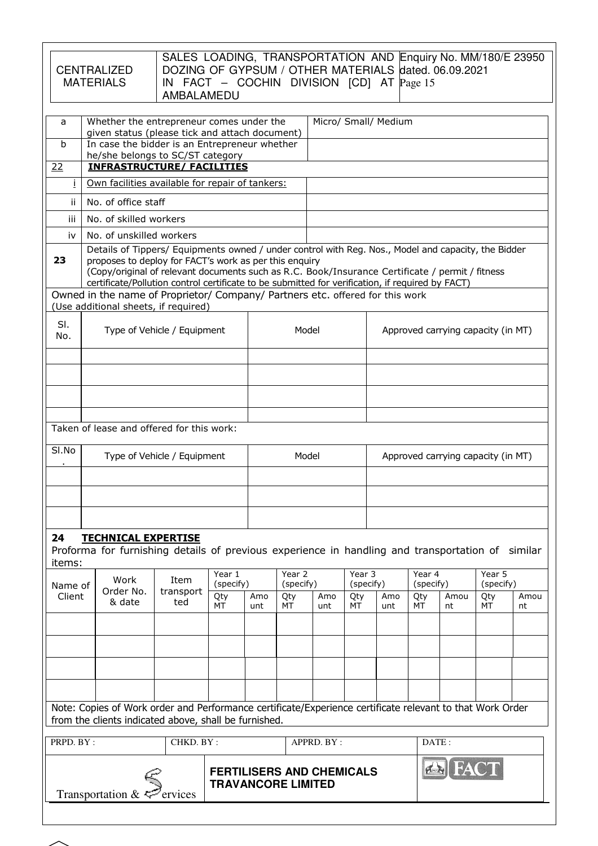|                                                                                                                                                                                                                                                                                                                                                                            | SALES LOADING, TRANSPORTATION AND Enquiry No. MM/180/E 23950<br>DOZING OF GYPSUM / OTHER MATERIALS dated. 06.09.2021<br><b>CENTRALIZED</b><br><b>MATERIALS</b><br>IN FACT $-$ COCHIN DIVISION [CD] AT $Page 15$<br>AMBALAMEDU<br>Whether the entrepreneur comes under the<br>Micro/ Small/ Medium |                                                                                                                                                                          |                  |                     |                     |                                                               |            |                     |     |                                    |                                    |                     |      |
|----------------------------------------------------------------------------------------------------------------------------------------------------------------------------------------------------------------------------------------------------------------------------------------------------------------------------------------------------------------------------|---------------------------------------------------------------------------------------------------------------------------------------------------------------------------------------------------------------------------------------------------------------------------------------------------|--------------------------------------------------------------------------------------------------------------------------------------------------------------------------|------------------|---------------------|---------------------|---------------------------------------------------------------|------------|---------------------|-----|------------------------------------|------------------------------------|---------------------|------|
| a<br>$\mathbf b$<br>22                                                                                                                                                                                                                                                                                                                                                     |                                                                                                                                                                                                                                                                                                   | given status (please tick and attach document)<br>In case the bidder is an Entrepreneur whether<br>he/she belongs to SC/ST category<br><b>INFRASTRUCTURE/ FACILITIES</b> |                  |                     |                     |                                                               |            |                     |     |                                    |                                    |                     |      |
| Ť.                                                                                                                                                                                                                                                                                                                                                                         |                                                                                                                                                                                                                                                                                                   | Own facilities available for repair of tankers:                                                                                                                          |                  |                     |                     |                                                               |            |                     |     |                                    |                                    |                     |      |
| ii.                                                                                                                                                                                                                                                                                                                                                                        |                                                                                                                                                                                                                                                                                                   | No. of office staff                                                                                                                                                      |                  |                     |                     |                                                               |            |                     |     |                                    |                                    |                     |      |
| iii.                                                                                                                                                                                                                                                                                                                                                                       | No. of skilled workers                                                                                                                                                                                                                                                                            |                                                                                                                                                                          |                  |                     |                     |                                                               |            |                     |     |                                    |                                    |                     |      |
| iv                                                                                                                                                                                                                                                                                                                                                                         | No. of unskilled workers                                                                                                                                                                                                                                                                          |                                                                                                                                                                          |                  |                     |                     |                                                               |            |                     |     |                                    |                                    |                     |      |
| Details of Tippers/ Equipments owned / under control with Reg. Nos., Model and capacity, the Bidder<br>proposes to deploy for FACT's work as per this enquiry<br>23<br>(Copy/original of relevant documents such as R.C. Book/Insurance Certificate / permit / fitness<br>certificate/Pollution control certificate to be submitted for verification, if required by FACT) |                                                                                                                                                                                                                                                                                                   |                                                                                                                                                                          |                  |                     |                     |                                                               |            |                     |     |                                    |                                    |                     |      |
|                                                                                                                                                                                                                                                                                                                                                                            |                                                                                                                                                                                                                                                                                                   | Owned in the name of Proprietor/ Company/ Partners etc. offered for this work                                                                                            |                  |                     |                     |                                                               |            |                     |     |                                    |                                    |                     |      |
| SI.<br>No.                                                                                                                                                                                                                                                                                                                                                                 | (Use additional sheets, if required)<br>Type of Vehicle / Equipment                                                                                                                                                                                                                               |                                                                                                                                                                          |                  |                     |                     | Model                                                         |            |                     |     |                                    | Approved carrying capacity (in MT) |                     |      |
|                                                                                                                                                                                                                                                                                                                                                                            |                                                                                                                                                                                                                                                                                                   |                                                                                                                                                                          |                  |                     |                     |                                                               |            |                     |     |                                    |                                    |                     |      |
|                                                                                                                                                                                                                                                                                                                                                                            |                                                                                                                                                                                                                                                                                                   |                                                                                                                                                                          |                  |                     |                     |                                                               |            |                     |     |                                    |                                    |                     |      |
|                                                                                                                                                                                                                                                                                                                                                                            |                                                                                                                                                                                                                                                                                                   |                                                                                                                                                                          |                  |                     |                     |                                                               |            |                     |     |                                    |                                    |                     |      |
|                                                                                                                                                                                                                                                                                                                                                                            | Taken of lease and offered for this work:                                                                                                                                                                                                                                                         |                                                                                                                                                                          |                  |                     |                     |                                                               |            |                     |     |                                    |                                    |                     |      |
| SI.No                                                                                                                                                                                                                                                                                                                                                                      | Type of Vehicle / Equipment                                                                                                                                                                                                                                                                       |                                                                                                                                                                          |                  |                     |                     | Model                                                         |            |                     |     | Approved carrying capacity (in MT) |                                    |                     |      |
|                                                                                                                                                                                                                                                                                                                                                                            |                                                                                                                                                                                                                                                                                                   |                                                                                                                                                                          |                  |                     |                     |                                                               |            |                     |     |                                    |                                    |                     |      |
| 24<br><b>TECHNICAL EXPERTISE</b><br>Proforma for furnishing details of previous experience in handling and transportation of<br>similar<br>items:                                                                                                                                                                                                                          |                                                                                                                                                                                                                                                                                                   |                                                                                                                                                                          |                  |                     |                     |                                                               |            |                     |     |                                    |                                    |                     |      |
| Name of                                                                                                                                                                                                                                                                                                                                                                    |                                                                                                                                                                                                                                                                                                   | Work                                                                                                                                                                     | Item             | Year 1<br>(specify) | Year 2<br>(specify) |                                                               |            | Year 3<br>(specify) |     | Year 4<br>(specify)                |                                    | Year 5<br>(specify) |      |
| Client                                                                                                                                                                                                                                                                                                                                                                     |                                                                                                                                                                                                                                                                                                   | Order No.<br>& date                                                                                                                                                      | transport<br>ted | Qty                 | Amo                 | Qty<br>МT                                                     | Amo        | Qty                 | Amo | Qty<br>MT                          | Amou                               | Qty<br>MT           | Amou |
|                                                                                                                                                                                                                                                                                                                                                                            |                                                                                                                                                                                                                                                                                                   |                                                                                                                                                                          |                  | МT                  | unt                 |                                                               | unt        | МT                  | unt |                                    | nt                                 |                     | nt   |
|                                                                                                                                                                                                                                                                                                                                                                            |                                                                                                                                                                                                                                                                                                   |                                                                                                                                                                          |                  |                     |                     |                                                               |            |                     |     |                                    |                                    |                     |      |
|                                                                                                                                                                                                                                                                                                                                                                            |                                                                                                                                                                                                                                                                                                   |                                                                                                                                                                          |                  |                     |                     |                                                               |            |                     |     |                                    |                                    |                     |      |
|                                                                                                                                                                                                                                                                                                                                                                            |                                                                                                                                                                                                                                                                                                   |                                                                                                                                                                          |                  |                     |                     |                                                               |            |                     |     |                                    |                                    |                     |      |
|                                                                                                                                                                                                                                                                                                                                                                            |                                                                                                                                                                                                                                                                                                   |                                                                                                                                                                          |                  |                     |                     |                                                               |            |                     |     |                                    |                                    |                     |      |
|                                                                                                                                                                                                                                                                                                                                                                            |                                                                                                                                                                                                                                                                                                   | Note: Copies of Work order and Performance certificate/Experience certificate relevant to that Work Order<br>from the clients indicated above, shall be furnished.       |                  |                     |                     |                                                               |            |                     |     |                                    |                                    |                     |      |
| PRPD. BY:                                                                                                                                                                                                                                                                                                                                                                  |                                                                                                                                                                                                                                                                                                   |                                                                                                                                                                          | CHKD. BY:        |                     |                     |                                                               | APPRD. BY: |                     |     | DATE:                              |                                    |                     |      |
|                                                                                                                                                                                                                                                                                                                                                                            |                                                                                                                                                                                                                                                                                                   | Transportation & $\epsilon^2$                                                                                                                                            | ervices          |                     |                     | <b>FERTILISERS AND CHEMICALS</b><br><b>TRAVANCORE LIMITED</b> |            |                     |     |                                    | <b>EN HA</b>                       |                     |      |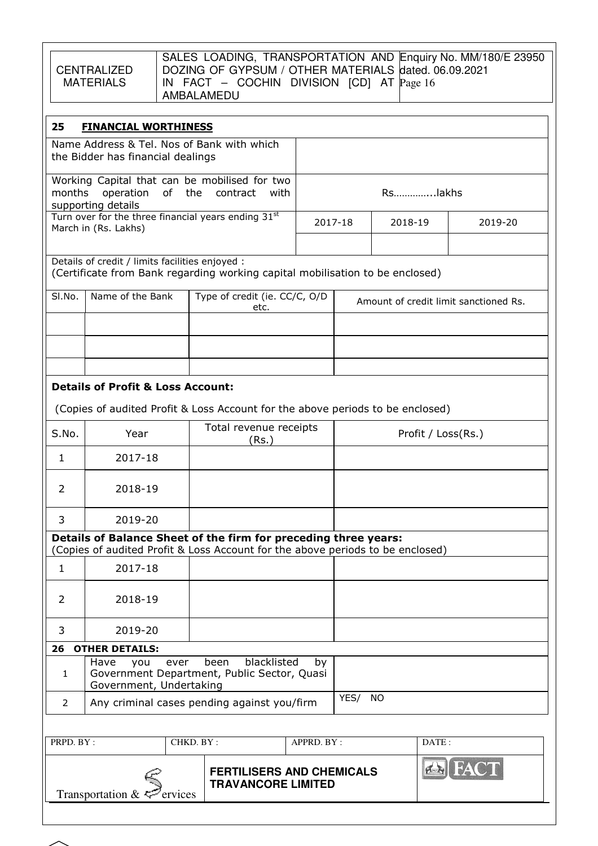| CENTRALIZED |
|-------------|
| MATERIALS   |

SALES LOADING, TRANSPORTATION AND DOZING OF GYPSUM / OTHER MATERIALS IN FACT – COCHIN DIVISION [CD] AT AMBALAMEDU Enquiry No. MM/180/E 23950 dated. 06.09.2021 Page 16

| 25<br><b>FINANCIAL WORTHINESS</b>                                                                                                |                                                                                 |                                                                                                                                                   |             |      |           |                                       |  |
|----------------------------------------------------------------------------------------------------------------------------------|---------------------------------------------------------------------------------|---------------------------------------------------------------------------------------------------------------------------------------------------|-------------|------|-----------|---------------------------------------|--|
|                                                                                                                                  | Name Address & Tel. Nos of Bank with which<br>the Bidder has financial dealings |                                                                                                                                                   |             |      |           |                                       |  |
| months                                                                                                                           | of<br>operation<br>supporting details                                           | Working Capital that can be mobilised for two<br>the<br>contract<br>with                                                                          |             |      | Rslakhs   |                                       |  |
|                                                                                                                                  | Turn over for the three financial years ending 31st<br>March in (Rs. Lakhs)     |                                                                                                                                                   | 2017-18     |      | 2018-19   | 2019-20                               |  |
| Details of credit / limits facilities enjoyed :<br>(Certificate from Bank regarding working capital mobilisation to be enclosed) |                                                                                 |                                                                                                                                                   |             |      |           |                                       |  |
| SI.No.                                                                                                                           | Name of the Bank                                                                | Type of credit (ie. CC/C, O/D<br>etc.                                                                                                             |             |      |           | Amount of credit limit sanctioned Rs. |  |
|                                                                                                                                  |                                                                                 |                                                                                                                                                   |             |      |           |                                       |  |
|                                                                                                                                  |                                                                                 |                                                                                                                                                   |             |      |           |                                       |  |
|                                                                                                                                  | <b>Details of Profit &amp; Loss Account:</b>                                    |                                                                                                                                                   |             |      |           |                                       |  |
|                                                                                                                                  |                                                                                 | (Copies of audited Profit & Loss Account for the above periods to be enclosed)                                                                    |             |      |           |                                       |  |
| S.No.                                                                                                                            | Year                                                                            | Total revenue receipts<br>(Rs.)                                                                                                                   |             |      |           | Profit / Loss(Rs.)                    |  |
| 1.                                                                                                                               | 2017-18                                                                         |                                                                                                                                                   |             |      |           |                                       |  |
| 2                                                                                                                                | 2018-19                                                                         |                                                                                                                                                   |             |      |           |                                       |  |
| 3                                                                                                                                | 2019-20                                                                         |                                                                                                                                                   |             |      |           |                                       |  |
|                                                                                                                                  |                                                                                 | Details of Balance Sheet of the firm for preceding three years:<br>(Copies of audited Profit & Loss Account for the above periods to be enclosed) |             |      |           |                                       |  |
| 1                                                                                                                                | 2017-18                                                                         |                                                                                                                                                   |             |      |           |                                       |  |
| $\overline{2}$                                                                                                                   | 2018-19                                                                         |                                                                                                                                                   |             |      |           |                                       |  |
| 3                                                                                                                                | 2019-20                                                                         |                                                                                                                                                   |             |      |           |                                       |  |
| 26                                                                                                                               | <b>OTHER DETAILS:</b>                                                           |                                                                                                                                                   |             |      |           |                                       |  |
| blacklisted<br>been<br>Have<br>you<br>ever<br>by<br>Government Department, Public Sector, Quasi<br>1<br>Government, Undertaking  |                                                                                 |                                                                                                                                                   |             |      |           |                                       |  |
| 2                                                                                                                                |                                                                                 | Any criminal cases pending against you/firm                                                                                                       |             | YES/ | <b>NO</b> |                                       |  |
|                                                                                                                                  |                                                                                 |                                                                                                                                                   |             |      |           |                                       |  |
| PRPD. BY:                                                                                                                        |                                                                                 | CHKD. BY:                                                                                                                                         | APPRD. BY : |      | DATE:     |                                       |  |
|                                                                                                                                  | Transportation $\&\leq^{\sim}$ ervices                                          | <b>FERTILISERS AND CHEMICALS</b><br><b>TRAVANCORE LIMITED</b>                                                                                     |             |      |           | <b>BI FAC</b>                         |  |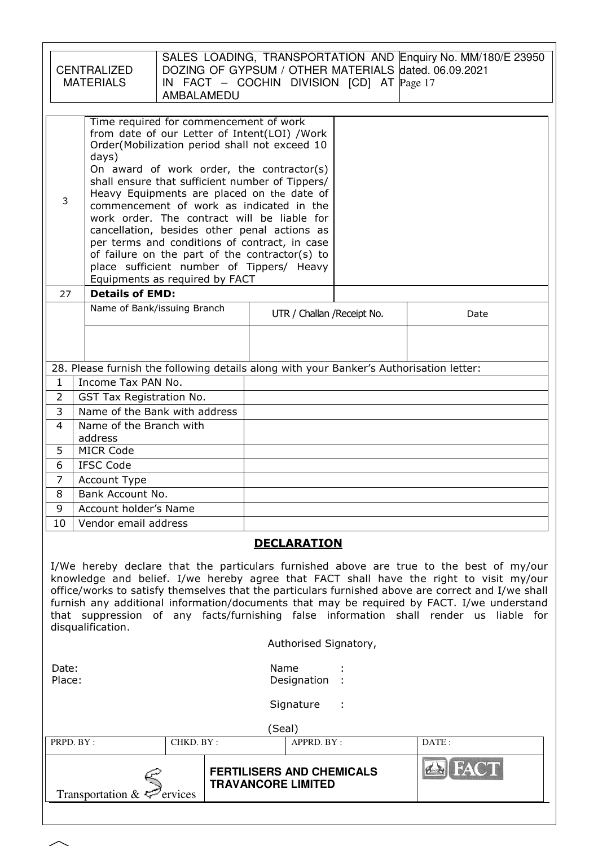|                                        | <b>CENTRALIZED</b><br><b>MATERIALS</b>                                                                                                                                                                                                                                                                                                                                                                                                                                                                                                                                                                                      | AMBALAMEDU |  |        |                                                               | IN FACT - COCHIN DIVISION [CD] AT Page 17 | SALES LOADING, TRANSPORTATION AND Enquiry No. MM/180/E 23950<br>DOZING OF GYPSUM / OTHER MATERIALS dated. 06.09.2021                                                                                                                                                                                                                                                                                                                                                           |
|----------------------------------------|-----------------------------------------------------------------------------------------------------------------------------------------------------------------------------------------------------------------------------------------------------------------------------------------------------------------------------------------------------------------------------------------------------------------------------------------------------------------------------------------------------------------------------------------------------------------------------------------------------------------------------|------------|--|--------|---------------------------------------------------------------|-------------------------------------------|--------------------------------------------------------------------------------------------------------------------------------------------------------------------------------------------------------------------------------------------------------------------------------------------------------------------------------------------------------------------------------------------------------------------------------------------------------------------------------|
| 3                                      | Time required for commencement of work<br>from date of our Letter of Intent(LOI) /Work<br>Order(Mobilization period shall not exceed 10<br>days)<br>On award of work order, the contractor(s)<br>shall ensure that sufficient number of Tippers/<br>Heavy Equipments are placed on the date of<br>commencement of work as indicated in the<br>work order. The contract will be liable for<br>cancellation, besides other penal actions as<br>per terms and conditions of contract, in case<br>of failure on the part of the contractor(s) to<br>place sufficient number of Tippers/ Heavy<br>Equipments as required by FACT |            |  |        |                                                               |                                           |                                                                                                                                                                                                                                                                                                                                                                                                                                                                                |
| 27                                     | <b>Details of EMD:</b>                                                                                                                                                                                                                                                                                                                                                                                                                                                                                                                                                                                                      |            |  |        |                                                               |                                           |                                                                                                                                                                                                                                                                                                                                                                                                                                                                                |
|                                        | Name of Bank/issuing Branch                                                                                                                                                                                                                                                                                                                                                                                                                                                                                                                                                                                                 |            |  |        |                                                               | UTR / Challan / Receipt No.               | Date                                                                                                                                                                                                                                                                                                                                                                                                                                                                           |
|                                        |                                                                                                                                                                                                                                                                                                                                                                                                                                                                                                                                                                                                                             |            |  |        |                                                               |                                           |                                                                                                                                                                                                                                                                                                                                                                                                                                                                                |
|                                        |                                                                                                                                                                                                                                                                                                                                                                                                                                                                                                                                                                                                                             |            |  |        |                                                               |                                           |                                                                                                                                                                                                                                                                                                                                                                                                                                                                                |
|                                        | 28. Please furnish the following details along with your Banker's Authorisation letter:                                                                                                                                                                                                                                                                                                                                                                                                                                                                                                                                     |            |  |        |                                                               |                                           |                                                                                                                                                                                                                                                                                                                                                                                                                                                                                |
| 1                                      | Income Tax PAN No.                                                                                                                                                                                                                                                                                                                                                                                                                                                                                                                                                                                                          |            |  |        |                                                               |                                           |                                                                                                                                                                                                                                                                                                                                                                                                                                                                                |
| $\overline{2}$                         | GST Tax Registration No.                                                                                                                                                                                                                                                                                                                                                                                                                                                                                                                                                                                                    |            |  |        |                                                               |                                           |                                                                                                                                                                                                                                                                                                                                                                                                                                                                                |
| 3                                      | Name of the Bank with address                                                                                                                                                                                                                                                                                                                                                                                                                                                                                                                                                                                               |            |  |        |                                                               |                                           |                                                                                                                                                                                                                                                                                                                                                                                                                                                                                |
| 4                                      | Name of the Branch with                                                                                                                                                                                                                                                                                                                                                                                                                                                                                                                                                                                                     |            |  |        |                                                               |                                           |                                                                                                                                                                                                                                                                                                                                                                                                                                                                                |
| 5                                      | address<br><b>MICR Code</b>                                                                                                                                                                                                                                                                                                                                                                                                                                                                                                                                                                                                 |            |  |        |                                                               |                                           |                                                                                                                                                                                                                                                                                                                                                                                                                                                                                |
| 6                                      | <b>IFSC Code</b>                                                                                                                                                                                                                                                                                                                                                                                                                                                                                                                                                                                                            |            |  |        |                                                               |                                           |                                                                                                                                                                                                                                                                                                                                                                                                                                                                                |
| 7                                      | Account Type                                                                                                                                                                                                                                                                                                                                                                                                                                                                                                                                                                                                                |            |  |        |                                                               |                                           |                                                                                                                                                                                                                                                                                                                                                                                                                                                                                |
| 8                                      | Bank Account No.                                                                                                                                                                                                                                                                                                                                                                                                                                                                                                                                                                                                            |            |  |        |                                                               |                                           |                                                                                                                                                                                                                                                                                                                                                                                                                                                                                |
| 9                                      | Account holder's Name                                                                                                                                                                                                                                                                                                                                                                                                                                                                                                                                                                                                       |            |  |        |                                                               |                                           |                                                                                                                                                                                                                                                                                                                                                                                                                                                                                |
| 10                                     | Vendor email address                                                                                                                                                                                                                                                                                                                                                                                                                                                                                                                                                                                                        |            |  |        |                                                               |                                           |                                                                                                                                                                                                                                                                                                                                                                                                                                                                                |
|                                        | disqualification.                                                                                                                                                                                                                                                                                                                                                                                                                                                                                                                                                                                                           |            |  |        | <b>DECLARATION</b>                                            |                                           | I/We hereby declare that the particulars furnished above are true to the best of my/our<br>knowledge and belief. I/we hereby agree that FACT shall have the right to visit my/our<br>office/works to satisfy themselves that the particulars furnished above are correct and I/we shall<br>furnish any additional information/documents that may be required by FACT. I/we understand<br>that suppression of any facts/furnishing false information shall render us liable for |
| Authorised Signatory,                  |                                                                                                                                                                                                                                                                                                                                                                                                                                                                                                                                                                                                                             |            |  |        |                                                               |                                           |                                                                                                                                                                                                                                                                                                                                                                                                                                                                                |
| Name<br>Date:<br>Place:<br>Designation |                                                                                                                                                                                                                                                                                                                                                                                                                                                                                                                                                                                                                             |            |  |        |                                                               |                                           |                                                                                                                                                                                                                                                                                                                                                                                                                                                                                |
|                                        |                                                                                                                                                                                                                                                                                                                                                                                                                                                                                                                                                                                                                             |            |  |        | Signature                                                     |                                           |                                                                                                                                                                                                                                                                                                                                                                                                                                                                                |
|                                        |                                                                                                                                                                                                                                                                                                                                                                                                                                                                                                                                                                                                                             |            |  | (Seal) |                                                               |                                           |                                                                                                                                                                                                                                                                                                                                                                                                                                                                                |
| PRPD. BY:                              |                                                                                                                                                                                                                                                                                                                                                                                                                                                                                                                                                                                                                             | CHKD. BY:  |  |        | APPRD. BY:                                                    |                                           | DATE:                                                                                                                                                                                                                                                                                                                                                                                                                                                                          |
|                                        | Transportation &                                                                                                                                                                                                                                                                                                                                                                                                                                                                                                                                                                                                            | ervices    |  |        | <b>FERTILISERS AND CHEMICALS</b><br><b>TRAVANCORE LIMITED</b> |                                           |                                                                                                                                                                                                                                                                                                                                                                                                                                                                                |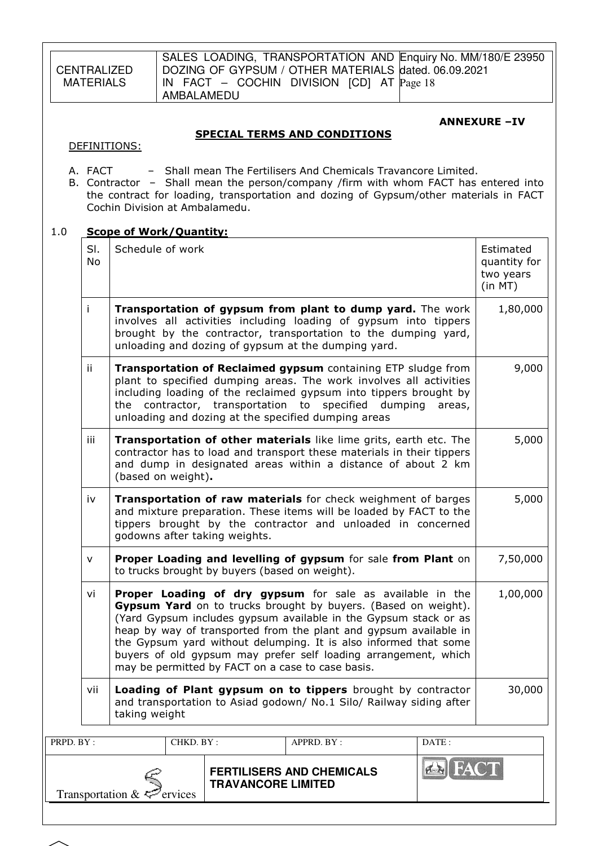CENTRALIZED MATFRIALS SALES LOADING, TRANSPORTATION AND Enquiry No. MM/180/E 23950 DOZING OF GYPSUM / OTHER MATERIALS dated. 06.09.2021 IN FACT – COCHIN DIVISION [CD] AT Page 18 AMBALAMEDU PRPD. BY : CHKD. BY : APPRD. BY : DATE : ANNEXURE –IV SPECIAL TERMS AND CONDITIONS DEFINITIONS: A. FACT – Shall mean The Fertilisers And Chemicals Travancore Limited. B. Contractor – Shall mean the person/company /firm with whom FACT has entered into the contract for loading, transportation and dozing of Gypsum/other materials in FACT Cochin Division at Ambalamedu. 1.0 Scope of Work/Quantity: Sl. No Schedule of work and the state of the state of work and the state of the state of the state of the state of the state of the state of the state of the state of the state of the state of the state of the state of the state quantity for two years (in MT)  $i$  Transportation of gypsum from plant to dump yard. The work involves all activities including loading of gypsum into tippers brought by the contractor, transportation to the dumping yard, unloading and dozing of gypsum at the dumping yard. 1,80,000 ii  $\top$  Transportation of Reclaimed gypsum containing ETP sludge from plant to specified dumping areas. The work involves all activities including loading of the reclaimed gypsum into tippers brought by the contractor, transportation to specified dumping areas, unloading and dozing at the specified dumping areas 9,000 iii  $\top$  Transportation of other materials like lime grits, earth etc. The contractor has to load and transport these materials in their tippers and dump in designated areas within a distance of about 2 km (based on weight). 5,000  $iv$  Transportation of raw materials for check weighment of barges and mixture preparation. These items will be loaded by FACT to the tippers brought by the contractor and unloaded in concerned godowns after taking weights. 5,000  $\vee$  Proper Loading and levelling of gypsum for sale from Plant on to trucks brought by buyers (based on weight). 7,50,000  $vi$  **Proper Loading of dry gypsum** for sale as available in the **Gypsum Yard** on to trucks brought by buyers. (Based on weight). (Yard Gypsum includes gypsum available in the Gypsum stack or as heap by way of transported from the plant and gypsum available in the Gypsum yard without delumping. It is also informed that some buyers of old gypsum may prefer self loading arrangement, which may be permitted by FACT on a case to case basis. 1,00,000 vii | Loading of Plant gypsum on to tippers brought by contractor and transportation to Asiad godown/ No.1 Silo/ Railway siding after taking weight 30,000

| Transportation $&\infty$ ervices | <b>FERTILISERS AND CHEMICALS</b><br><b>TRAVANCORE LIMITED</b> |  |
|----------------------------------|---------------------------------------------------------------|--|
|                                  |                                                               |  |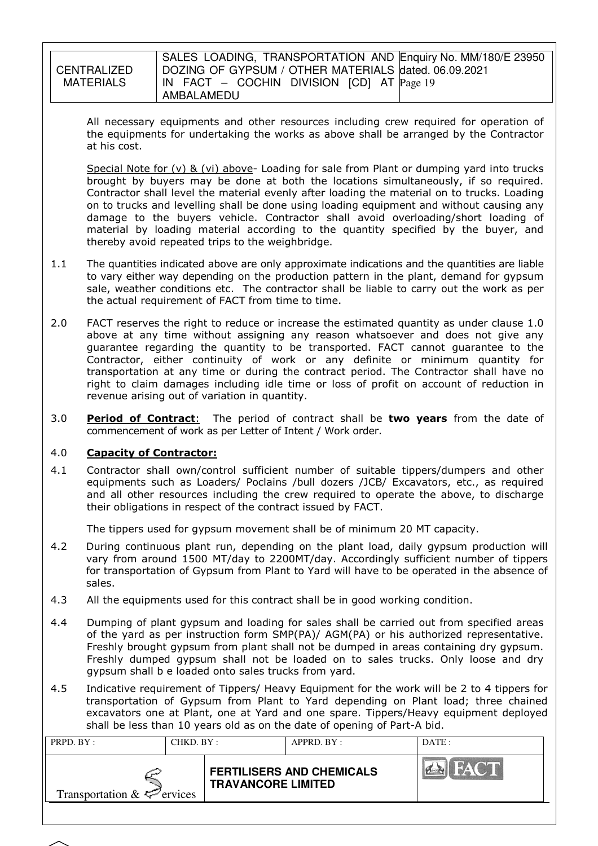#### **CENTRALIZED** MATFRIALS SALES LOADING, TRANSPORTATION AND Enquiry No. MM/180/E 23950 DOZING OF GYPSUM / OTHER MATERIALS dated. 06.09.2021 IN FACT – COCHIN DIVISION [CD] AT Page 19 AMBALAMEDU

All necessary equipments and other resources including crew required for operation of the equipments for undertaking the works as above shall be arranged by the Contractor at his cost.

Special Note for (v) & (vi) above- Loading for sale from Plant or dumping yard into trucks brought by buyers may be done at both the locations simultaneously, if so required. Contractor shall level the material evenly after loading the material on to trucks. Loading on to trucks and levelling shall be done using loading equipment and without causing any damage to the buyers vehicle. Contractor shall avoid overloading/short loading of material by loading material according to the quantity specified by the buyer, and thereby avoid repeated trips to the weighbridge.

- 1.1 The quantities indicated above are only approximate indications and the quantities are liable to vary either way depending on the production pattern in the plant, demand for gypsum sale, weather conditions etc. The contractor shall be liable to carry out the work as per the actual requirement of FACT from time to time.
- 2.0 FACT reserves the right to reduce or increase the estimated quantity as under clause 1.0 above at any time without assigning any reason whatsoever and does not give any guarantee regarding the quantity to be transported. FACT cannot guarantee to the Contractor, either continuity of work or any definite or minimum quantity for transportation at any time or during the contract period. The Contractor shall have no right to claim damages including idle time or loss of profit on account of reduction in revenue arising out of variation in quantity.
- 3.0 Period of Contract: The period of contract shall be two years from the date of commencement of work as per Letter of Intent / Work order.

# 4.0 Capacity of Contractor:

4.1 Contractor shall own/control sufficient number of suitable tippers/dumpers and other equipments such as Loaders/ Poclains /bull dozers /JCB/ Excavators, etc., as required and all other resources including the crew required to operate the above, to discharge their obligations in respect of the contract issued by FACT.

The tippers used for gypsum movement shall be of minimum 20 MT capacity.

- 4.2 During continuous plant run, depending on the plant load, daily gypsum production will vary from around 1500 MT/day to 2200MT/day. Accordingly sufficient number of tippers for transportation of Gypsum from Plant to Yard will have to be operated in the absence of sales.
- 4.3 All the equipments used for this contract shall be in good working condition.
- 4.4 Dumping of plant gypsum and loading for sales shall be carried out from specified areas of the yard as per instruction form SMP(PA)/ AGM(PA) or his authorized representative. Freshly brought gypsum from plant shall not be dumped in areas containing dry gypsum. Freshly dumped gypsum shall not be loaded on to sales trucks. Only loose and dry gypsum shall b e loaded onto sales trucks from yard.
- 4.5 Indicative requirement of Tippers/ Heavy Equipment for the work will be 2 to 4 tippers for transportation of Gypsum from Plant to Yard depending on Plant load; three chained excavators one at Plant, one at Yard and one spare. Tippers/Heavy equipment deployed shall be less than 10 years old as on the date of opening of Part-A bid.

| <b>FACT</b><br><b>PER</b><br><b>FERTILISERS AND CHEMICALS</b> | DATE: | APPRD. BY: |  | PRPD. BY:<br>CHKD. BY: |  |  |
|---------------------------------------------------------------|-------|------------|--|------------------------|--|--|
| <b>TRAVANCORE LIMITED</b><br>Transportation $\&\leq$ ervices  |       |            |  |                        |  |  |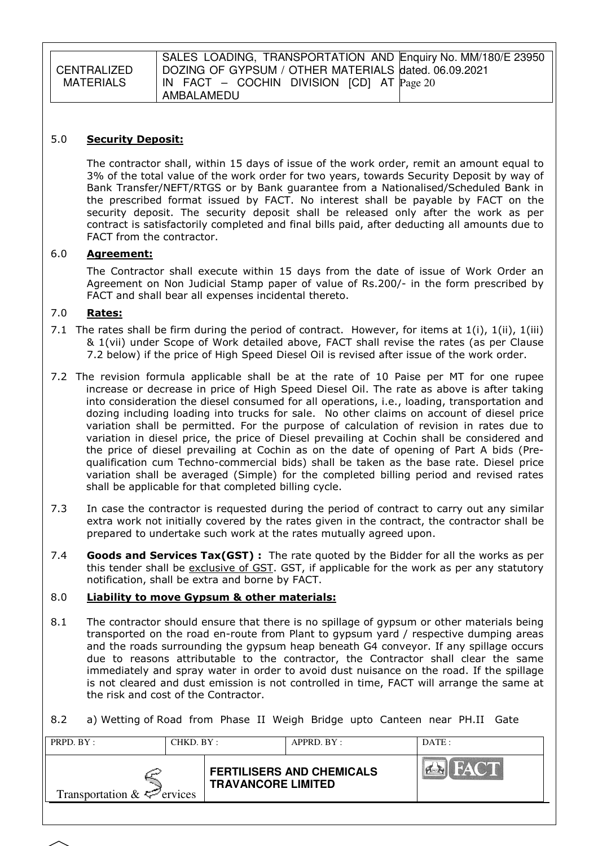|                  | SALES LOADING, TRANSPORTATION AND Enquiry No. MM/180/E 23950 |
|------------------|--------------------------------------------------------------|
| CENTRALIZED      | DOZING OF GYPSUM / OTHER MATERIALS dated. 06.09.2021         |
| <b>MATERIALS</b> | $\vert$ IN FACT – COCHIN DIVISION [CD] AT $\vert$ Page 20    |
|                  | AMBALAMEDU                                                   |

#### 5.0 Security Deposit:

The contractor shall, within 15 days of issue of the work order, remit an amount equal to 3% of the total value of the work order for two years, towards Security Deposit by way of Bank Transfer/NEFT/RTGS or by Bank guarantee from a Nationalised/Scheduled Bank in the prescribed format issued by FACT. No interest shall be payable by FACT on the security deposit. The security deposit shall be released only after the work as per contract is satisfactorily completed and final bills paid, after deducting all amounts due to FACT from the contractor.

#### 6.0 Agreement:

The Contractor shall execute within 15 days from the date of issue of Work Order an Agreement on Non Judicial Stamp paper of value of Rs.200/- in the form prescribed by FACT and shall bear all expenses incidental thereto.

#### 7.0 Rates:

- 7.1 The rates shall be firm during the period of contract. However, for items at  $1(i)$ ,  $1(iii)$ ,  $1(iii)$ & 1(vii) under Scope of Work detailed above, FACT shall revise the rates (as per Clause 7.2 below) if the price of High Speed Diesel Oil is revised after issue of the work order.
- 7.2 The revision formula applicable shall be at the rate of 10 Paise per MT for one rupee increase or decrease in price of High Speed Diesel Oil. The rate as above is after taking into consideration the diesel consumed for all operations, i.e., loading, transportation and dozing including loading into trucks for sale. No other claims on account of diesel price variation shall be permitted. For the purpose of calculation of revision in rates due to variation in diesel price, the price of Diesel prevailing at Cochin shall be considered and the price of diesel prevailing at Cochin as on the date of opening of Part A bids (Prequalification cum Techno-commercial bids) shall be taken as the base rate. Diesel price variation shall be averaged (Simple) for the completed billing period and revised rates shall be applicable for that completed billing cycle.
- 7.3 In case the contractor is requested during the period of contract to carry out any similar extra work not initially covered by the rates given in the contract, the contractor shall be prepared to undertake such work at the rates mutually agreed upon.
- 7.4 **Goods and Services Tax(GST):** The rate quoted by the Bidder for all the works as per this tender shall be exclusive of GST. GST, if applicable for the work as per any statutory notification, shall be extra and borne by FACT.

#### 8.0 Liability to move Gypsum & other materials:

- 8.1 The contractor should ensure that there is no spillage of gypsum or other materials being transported on the road en-route from Plant to gypsum yard / respective dumping areas and the roads surrounding the gypsum heap beneath G4 conveyor. If any spillage occurs due to reasons attributable to the contractor, the Contractor shall clear the same immediately and spray water in order to avoid dust nuisance on the road. If the spillage is not cleared and dust emission is not controlled in time, FACT will arrange the same at the risk and cost of the Contractor.
- 8.2 a) Wetting of Road from Phase II Weigh Bridge upto Canteen near PH.II Gate

| PRPD. BY:<br>CHKD. BY :                |  | APPRD. BY:                |                                  | DATE:       |
|----------------------------------------|--|---------------------------|----------------------------------|-------------|
| Transportation $\&\leq^{\sim}$ ervices |  | <b>TRAVANCORE LIMITED</b> | <b>FERTILISERS AND CHEMICALS</b> | <b>FACT</b> |

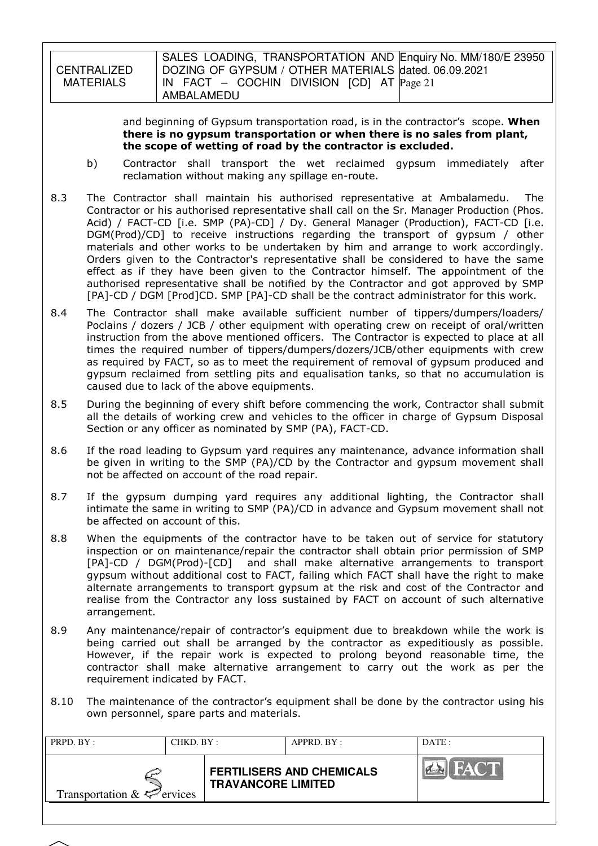**CENTRALIZED** MATERIALS SALES LOADING, TRANSPORTATION AND Enquiry No. MM/180/E 23950 DOZING OF GYPSUM / OTHER MATERIALS dated. 06.09.2021 IN FACT – COCHIN DIVISION [CD] AT Page 21 AMBALAMEDU

> and beginning of Gypsum transportation road, is in the contractor's scope. When there is no gypsum transportation or when there is no sales from plant, the scope of wetting of road by the contractor is excluded.

- b) Contractor shall transport the wet reclaimed gypsum immediately after reclamation without making any spillage en-route.
- 8.3 The Contractor shall maintain his authorised representative at Ambalamedu. The Contractor or his authorised representative shall call on the Sr. Manager Production (Phos. Acid) / FACT-CD [i.e. SMP (PA)-CD] / Dy. General Manager (Production), FACT-CD [i.e. DGM(Prod)/CD] to receive instructions regarding the transport of gypsum / other materials and other works to be undertaken by him and arrange to work accordingly. Orders given to the Contractor's representative shall be considered to have the same effect as if they have been given to the Contractor himself. The appointment of the authorised representative shall be notified by the Contractor and got approved by SMP [PA]-CD / DGM [Prod]CD. SMP [PA]-CD shall be the contract administrator for this work.
- 8.4 The Contractor shall make available sufficient number of tippers/dumpers/loaders/ Poclains / dozers / JCB / other equipment with operating crew on receipt of oral/written instruction from the above mentioned officers. The Contractor is expected to place at all times the required number of tippers/dumpers/dozers/JCB/other equipments with crew as required by FACT, so as to meet the requirement of removal of gypsum produced and gypsum reclaimed from settling pits and equalisation tanks, so that no accumulation is caused due to lack of the above equipments.
- 8.5 During the beginning of every shift before commencing the work, Contractor shall submit all the details of working crew and vehicles to the officer in charge of Gypsum Disposal Section or any officer as nominated by SMP (PA), FACT-CD.
- 8.6 If the road leading to Gypsum yard requires any maintenance, advance information shall be given in writing to the SMP (PA)/CD by the Contractor and gypsum movement shall not be affected on account of the road repair.
- 8.7 If the gypsum dumping yard requires any additional lighting, the Contractor shall intimate the same in writing to SMP (PA)/CD in advance and Gypsum movement shall not be affected on account of this.
- 8.8 When the equipments of the contractor have to be taken out of service for statutory inspection or on maintenance/repair the contractor shall obtain prior permission of SMP [PA]-CD / DGM(Prod)-[CD] and shall make alternative arrangements to transport gypsum without additional cost to FACT, failing which FACT shall have the right to make alternate arrangements to transport gypsum at the risk and cost of the Contractor and realise from the Contractor any loss sustained by FACT on account of such alternative arrangement.
- 8.9 Any maintenance/repair of contractor's equipment due to breakdown while the work is being carried out shall be arranged by the contractor as expeditiously as possible. However, if the repair work is expected to prolong beyond reasonable time, the contractor shall make alternative arrangement to carry out the work as per the requirement indicated by FACT.
- 8.10 The maintenance of the contractor's equipment shall be done by the contractor using his own personnel, spare parts and materials.

| CHKD. BY:<br>PRPD. BY:          |  | APPRD. BY:                |                                  | DATE:       |
|---------------------------------|--|---------------------------|----------------------------------|-------------|
| Transportation $\&\leq$ ervices |  | <b>TRAVANCORE LIMITED</b> | <b>FERTILISERS AND CHEMICALS</b> | <b>FACT</b> |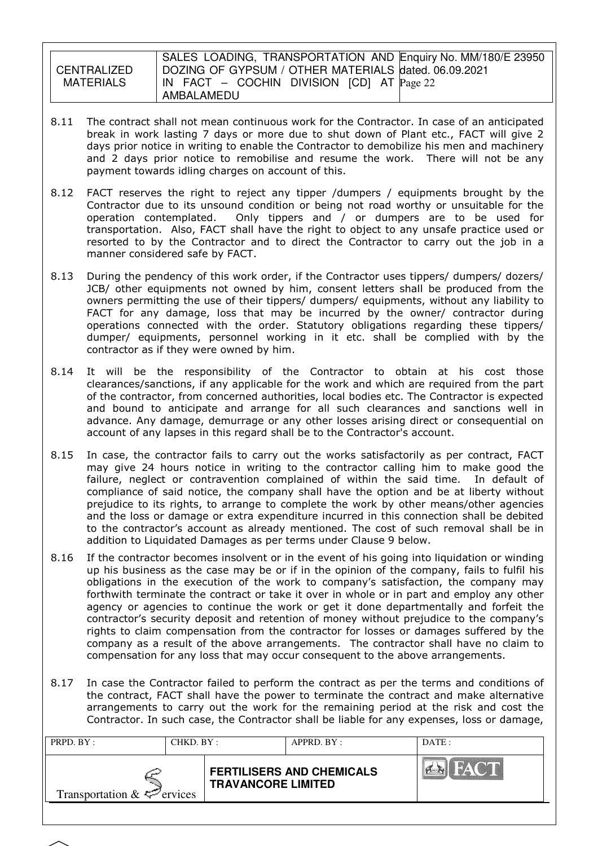CENTRALIZED MATERIALS

SALES LOADING, TRANSPORTATION AND Enquiry No. MM/180/E 23950 DOZING OF GYPSUM / OTHER MATERIALS dated. 06.09.2021 IN FACT – COCHIN DIVISION [CD] AT Page 22 AMBALAMEDU

- 8.11 The contract shall not mean continuous work for the Contractor. In case of an anticipated break in work lasting 7 days or more due to shut down of Plant etc., FACT will give 2 days prior notice in writing to enable the Contractor to demobilize his men and machinery and 2 days prior notice to remobilise and resume the work. There will not be any payment towards idling charges on account of this.
- 8.12 FACT reserves the right to reject any tipper /dumpers / equipments brought by the Contractor due to its unsound condition or being not road worthy or unsuitable for the operation contemplated. Only tippers and / or dumpers are to be used for transportation. Also, FACT shall have the right to object to any unsafe practice used or resorted to by the Contractor and to direct the Contractor to carry out the job in a manner considered safe by FACT.
- 8.13 During the pendency of this work order, if the Contractor uses tippers/ dumpers/ dozers/ JCB/ other equipments not owned by him, consent letters shall be produced from the owners permitting the use of their tippers/ dumpers/ equipments, without any liability to FACT for any damage, loss that may be incurred by the owner/ contractor during operations connected with the order. Statutory obligations regarding these tippers/ dumper/ equipments, personnel working in it etc. shall be complied with by the contractor as if they were owned by him.
- 8.14 It will be the responsibility of the Contractor to obtain at his cost those clearances/sanctions, if any applicable for the work and which are required from the part of the contractor, from concerned authorities, local bodies etc. The Contractor is expected and bound to anticipate and arrange for all such clearances and sanctions well in advance. Any damage, demurrage or any other losses arising direct or consequential on account of any lapses in this regard shall be to the Contractor's account.
- 8.15 In case, the contractor fails to carry out the works satisfactorily as per contract, FACT may give 24 hours notice in writing to the contractor calling him to make good the failure, neglect or contravention complained of within the said time. In default of compliance of said notice, the company shall have the option and be at liberty without prejudice to its rights, to arrange to complete the work by other means/other agencies and the loss or damage or extra expenditure incurred in this connection shall be debited to the contractor's account as already mentioned. The cost of such removal shall be in addition to Liquidated Damages as per terms under Clause 9 below.
- 8.16 If the contractor becomes insolvent or in the event of his going into liquidation or winding up his business as the case may be or if in the opinion of the company, fails to fulfil his obligations in the execution of the work to company's satisfaction, the company may forthwith terminate the contract or take it over in whole or in part and employ any other agency or agencies to continue the work or get it done departmentally and forfeit the contractor's security deposit and retention of money without prejudice to the company's rights to claim compensation from the contractor for losses or damages suffered by the company as a result of the above arrangements. The contractor shall have no claim to compensation for any loss that may occur consequent to the above arrangements.
- 8.17 In case the Contractor failed to perform the contract as per the terms and conditions of the contract, FACT shall have the power to terminate the contract and make alternative arrangements to carry out the work for the remaining period at the risk and cost the Contractor. In such case, the Contractor shall be liable for any expenses, loss or damage,

| <b>FACT</b><br><b>PARKER</b><br><b>FERTILISERS AND CHEMICALS</b><br><b>TRAVANCORE LIMITED</b><br>Transportation $\&\leq^{\sim}$ ervices | PRPD. BY:<br>CHKD. BY : |  | APPRD. BY: |  | DATE: |
|-----------------------------------------------------------------------------------------------------------------------------------------|-------------------------|--|------------|--|-------|
|                                                                                                                                         |                         |  |            |  |       |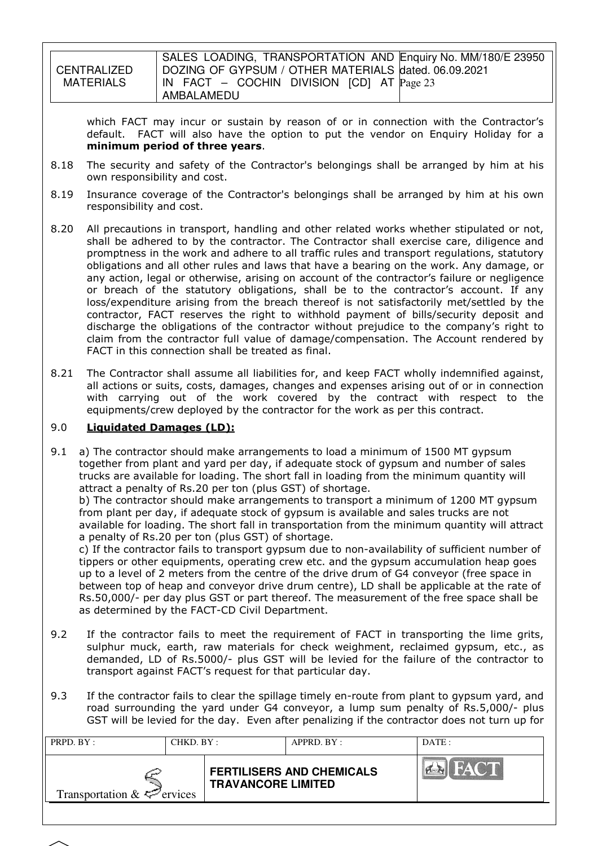**CENTRALIZED** MATERIALS SALES LOADING, TRANSPORTATION AND Enquiry No. MM/180/E 23950 DOZING OF GYPSUM / OTHER MATERIALS dated. 06.09.2021 IN FACT – COCHIN DIVISION [CD] AT Page 23 AMBALAMEDU

which FACT may incur or sustain by reason of or in connection with the Contractor's default. FACT will also have the option to put the vendor on Enquiry Holiday for a minimum period of three years.

- 8.18 The security and safety of the Contractor's belongings shall be arranged by him at his own responsibility and cost.
- 8.19 Insurance coverage of the Contractor's belongings shall be arranged by him at his own responsibility and cost.
- 8.20 All precautions in transport, handling and other related works whether stipulated or not, shall be adhered to by the contractor. The Contractor shall exercise care, diligence and promptness in the work and adhere to all traffic rules and transport regulations, statutory obligations and all other rules and laws that have a bearing on the work. Any damage, or any action, legal or otherwise, arising on account of the contractor's failure or negligence or breach of the statutory obligations, shall be to the contractor's account. If any loss/expenditure arising from the breach thereof is not satisfactorily met/settled by the contractor, FACT reserves the right to withhold payment of bills/security deposit and discharge the obligations of the contractor without prejudice to the company's right to claim from the contractor full value of damage/compensation. The Account rendered by FACT in this connection shall be treated as final.
- 8.21 The Contractor shall assume all liabilities for, and keep FACT wholly indemnified against, all actions or suits, costs, damages, changes and expenses arising out of or in connection with carrying out of the work covered by the contract with respect to the equipments/crew deployed by the contractor for the work as per this contract.

### 9.0 Liquidated Damages (LD):

9.1 a) The contractor should make arrangements to load a minimum of 1500 MT gypsum together from plant and yard per day, if adequate stock of gypsum and number of sales trucks are available for loading. The short fall in loading from the minimum quantity will attract a penalty of Rs.20 per ton (plus GST) of shortage.

b) The contractor should make arrangements to transport a minimum of 1200 MT gypsum from plant per day, if adequate stock of gypsum is available and sales trucks are not available for loading. The short fall in transportation from the minimum quantity will attract a penalty of Rs.20 per ton (plus GST) of shortage.

c) If the contractor fails to transport gypsum due to non-availability of sufficient number of tippers or other equipments, operating crew etc. and the gypsum accumulation heap goes up to a level of 2 meters from the centre of the drive drum of G4 conveyor (free space in between top of heap and conveyor drive drum centre), LD shall be applicable at the rate of Rs.50,000/- per day plus GST or part thereof. The measurement of the free space shall be as determined by the FACT-CD Civil Department.

- 9.2 If the contractor fails to meet the requirement of FACT in transporting the lime grits, sulphur muck, earth, raw materials for check weighment, reclaimed gypsum, etc., as demanded, LD of Rs.5000/- plus GST will be levied for the failure of the contractor to transport against FACT's request for that particular day.
- 9.3 If the contractor fails to clear the spillage timely en-route from plant to gypsum yard, and road surrounding the yard under G4 conveyor, a lump sum penalty of Rs.5,000/- plus GST will be levied for the day. Even after penalizing if the contractor does not turn up for

|                                          | CHKD. BY :                | APPRD. BY:                       | DATE:      |
|------------------------------------------|---------------------------|----------------------------------|------------|
| Transportation $\&\ \leq^{\sim}$ ervices | <b>TRAVANCORE LIMITED</b> | <b>FERTILISERS AND CHEMICALS</b> | <b>CTP</b> |

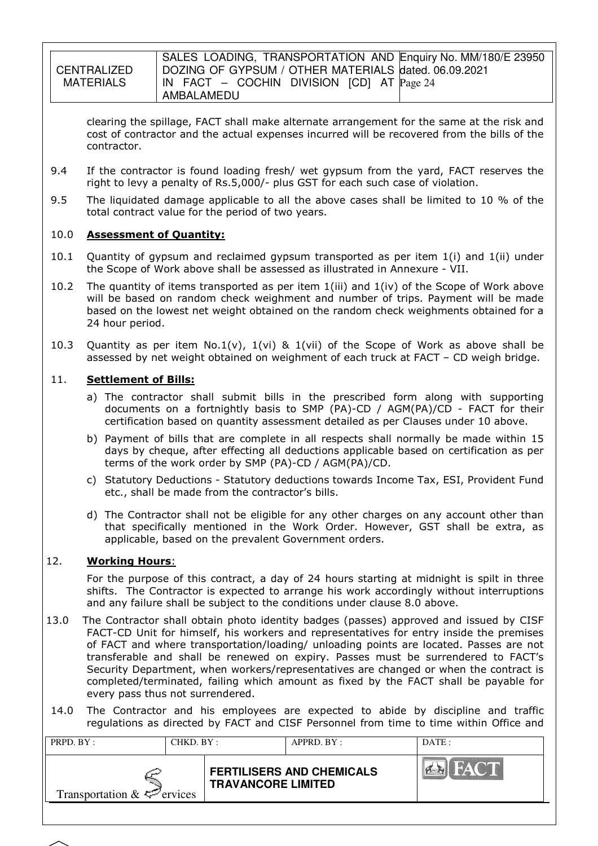**CENTRALIZED** MATFRIALS SALES LOADING, TRANSPORTATION AND Enquiry No. MM/180/E 23950 DOZING OF GYPSUM / OTHER MATERIALS dated. 06.09.2021 IN FACT – COCHIN DIVISION [CD] AT Page 24 AMBALAMEDU

clearing the spillage, FACT shall make alternate arrangement for the same at the risk and cost of contractor and the actual expenses incurred will be recovered from the bills of the contractor.

- 9.4 If the contractor is found loading fresh/ wet gypsum from the yard, FACT reserves the right to levy a penalty of Rs.5,000/- plus GST for each such case of violation.
- 9.5 The liquidated damage applicable to all the above cases shall be limited to 10 % of the total contract value for the period of two years.

### 10.0 Assessment of Quantity:

- 10.1 Quantity of gypsum and reclaimed gypsum transported as per item 1(i) and 1(ii) under the Scope of Work above shall be assessed as illustrated in Annexure - VII.
- 10.2 The quantity of items transported as per item  $1(iii)$  and  $1(iv)$  of the Scope of Work above will be based on random check weighment and number of trips. Payment will be made based on the lowest net weight obtained on the random check weighments obtained for a 24 hour period.
- 10.3 Quantity as per item No.1(v),  $1(vi)$  & 1(vii) of the Scope of Work as above shall be assessed by net weight obtained on weighment of each truck at FACT – CD weigh bridge.

### 11. **Settlement of Bills:**

- a) The contractor shall submit bills in the prescribed form along with supporting documents on a fortnightly basis to SMP (PA)-CD / AGM(PA)/CD - FACT for their certification based on quantity assessment detailed as per Clauses under 10 above.
- b) Payment of bills that are complete in all respects shall normally be made within 15 days by cheque, after effecting all deductions applicable based on certification as per terms of the work order by SMP (PA)-CD / AGM(PA)/CD.
- c) Statutory Deductions Statutory deductions towards Income Tax, ESI, Provident Fund etc., shall be made from the contractor's bills.
- d) The Contractor shall not be eligible for any other charges on any account other than that specifically mentioned in the Work Order. However, GST shall be extra, as applicable, based on the prevalent Government orders.

### 12. Working Hours:

For the purpose of this contract, a day of 24 hours starting at midnight is spilt in three shifts. The Contractor is expected to arrange his work accordingly without interruptions and any failure shall be subject to the conditions under clause 8.0 above.

- 13.0 The Contractor shall obtain photo identity badges (passes) approved and issued by CISF FACT-CD Unit for himself, his workers and representatives for entry inside the premises of FACT and where transportation/loading/ unloading points are located. Passes are not transferable and shall be renewed on expiry. Passes must be surrendered to FACT's Security Department, when workers/representatives are changed or when the contract is completed/terminated, failing which amount as fixed by the FACT shall be payable for every pass thus not surrendered.
- 14.0 The Contractor and his employees are expected to abide by discipline and traffic regulations as directed by FACT and CISF Personnel from time to time within Office and

| PRPD. BY:<br>CHKD. BY :         |  | APPRD. BY:                |                                  | DATE: |
|---------------------------------|--|---------------------------|----------------------------------|-------|
| Transportation $\&\leq$ ervices |  | <b>TRAVANCORE LIMITED</b> | <b>FERTILISERS AND CHEMICALS</b> |       |

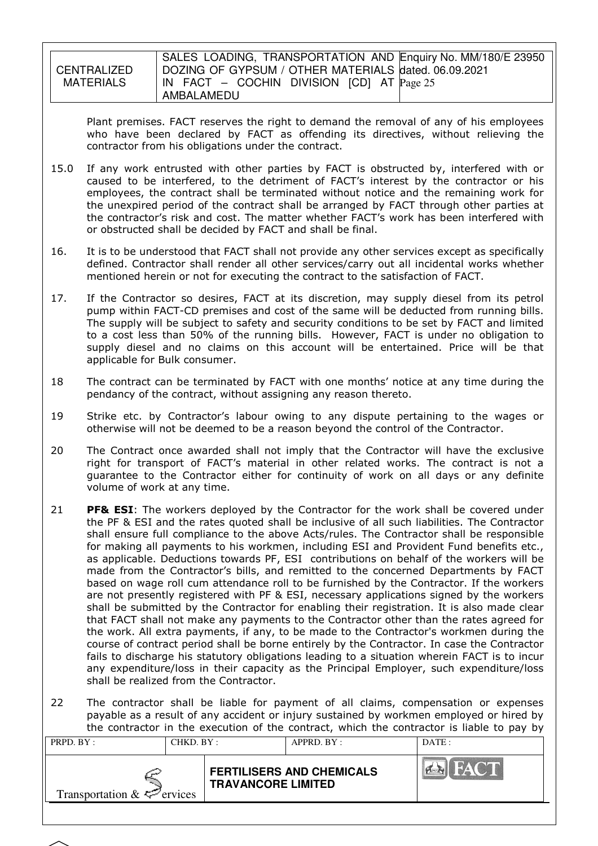**CENTRALIZED** MATERIALS

SALES LOADING, TRANSPORTATION AND Enquiry No. MM/180/E 23950 DOZING OF GYPSUM / OTHER MATERIALS dated. 06.09.2021 IN FACT – COCHIN DIVISION [CD] AT Page 25 AMBALAMEDU

Plant premises. FACT reserves the right to demand the removal of any of his employees who have been declared by FACT as offending its directives, without relieving the contractor from his obligations under the contract.

- 15.0 If any work entrusted with other parties by FACT is obstructed by, interfered with or caused to be interfered, to the detriment of FACT's interest by the contractor or his employees, the contract shall be terminated without notice and the remaining work for the unexpired period of the contract shall be arranged by FACT through other parties at the contractor's risk and cost. The matter whether FACT's work has been interfered with or obstructed shall be decided by FACT and shall be final.
- 16. It is to be understood that FACT shall not provide any other services except as specifically defined. Contractor shall render all other services/carry out all incidental works whether mentioned herein or not for executing the contract to the satisfaction of FACT.
- 17. If the Contractor so desires, FACT at its discretion, may supply diesel from its petrol pump within FACT-CD premises and cost of the same will be deducted from running bills. The supply will be subject to safety and security conditions to be set by FACT and limited to a cost less than 50% of the running bills. However, FACT is under no obligation to supply diesel and no claims on this account will be entertained. Price will be that applicable for Bulk consumer.
- 18 The contract can be terminated by FACT with one months' notice at any time during the pendancy of the contract, without assigning any reason thereto.
- 19 Strike etc. by Contractor's labour owing to any dispute pertaining to the wages or otherwise will not be deemed to be a reason beyond the control of the Contractor.
- 20 The Contract once awarded shall not imply that the Contractor will have the exclusive right for transport of FACT's material in other related works. The contract is not a guarantee to the Contractor either for continuity of work on all days or any definite volume of work at any time.
- 21 PF& ESI: The workers deployed by the Contractor for the work shall be covered under the PF & ESI and the rates quoted shall be inclusive of all such liabilities. The Contractor shall ensure full compliance to the above Acts/rules. The Contractor shall be responsible for making all payments to his workmen, including ESI and Provident Fund benefits etc., as applicable. Deductions towards PF, ESI contributions on behalf of the workers will be made from the Contractor's bills, and remitted to the concerned Departments by FACT based on wage roll cum attendance roll to be furnished by the Contractor. If the workers are not presently registered with PF & ESI, necessary applications signed by the workers shall be submitted by the Contractor for enabling their registration. It is also made clear that FACT shall not make any payments to the Contractor other than the rates agreed for the work. All extra payments, if any, to be made to the Contractor's workmen during the course of contract period shall be borne entirely by the Contractor. In case the Contractor fails to discharge his statutory obligations leading to a situation wherein FACT is to incur any expenditure/loss in their capacity as the Principal Employer, such expenditure/loss shall be realized from the Contractor.
- 22 The contractor shall be liable for payment of all claims, compensation or expenses payable as a result of any accident or injury sustained by workmen employed or hired by the contractor in the execution of the contract, which the contractor is liable to pay by

| FACT<br>$\sim$<br><b>FERTILISERS AND CHEMICALS</b><br><b>TRAVANCORE LIMITED</b> | PRPD. BY:<br>CHKD. BY: | APPRD. BY: |  | DATE: |
|---------------------------------------------------------------------------------|------------------------|------------|--|-------|
| Transportation $\&\leq$ ervices                                                 |                        |            |  |       |

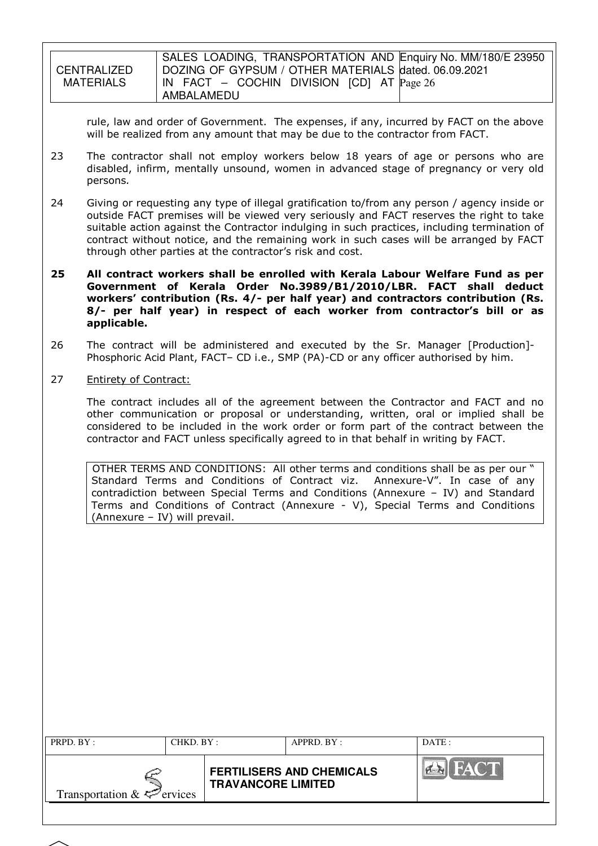|             | SALES LOADING, TRANSPORTATION AND Enquiry No. MM/180/E 23950 |
|-------------|--------------------------------------------------------------|
| CENTRALIZED | DOZING OF GYPSUM / OTHER MATERIALS dated. 06.09.2021         |
| MATERIALS   | $\vert$ IN FACT – COCHIN DIVISION [CD] AT $\vert$ Page 26    |
|             | AMBALAMEDU                                                   |

rule, law and order of Government. The expenses, if any, incurred by FACT on the above will be realized from any amount that may be due to the contractor from FACT.

- 23 The contractor shall not employ workers below 18 years of age or persons who are disabled, infirm, mentally unsound, women in advanced stage of pregnancy or very old persons.
- 24 Giving or requesting any type of illegal gratification to/from any person / agency inside or outside FACT premises will be viewed very seriously and FACT reserves the right to take suitable action against the Contractor indulging in such practices, including termination of contract without notice, and the remaining work in such cases will be arranged by FACT through other parties at the contractor's risk and cost.
- 25 All contract workers shall be enrolled with Kerala Labour Welfare Fund as per Government of Kerala Order No.3989/B1/2010/LBR. FACT shall deduct workers' contribution (Rs. 4/- per half year) and contractors contribution (Rs. 8/- per half year) in respect of each worker from contractor's bill or as applicable.
- 26 The contract will be administered and executed by the Sr. Manager [Production]- Phosphoric Acid Plant, FACT– CD i.e., SMP (PA)-CD or any officer authorised by him.
- 27 Entirety of Contract:

 The contract includes all of the agreement between the Contractor and FACT and no other communication or proposal or understanding, written, oral or implied shall be considered to be included in the work order or form part of the contract between the contractor and FACT unless specifically agreed to in that behalf in writing by FACT.

OTHER TERMS AND CONDITIONS: All other terms and conditions shall be as per our " Standard Terms and Conditions of Contract viz. Annexure-V". In case of any contradiction between Special Terms and Conditions (Annexure – IV) and Standard Terms and Conditions of Contract (Annexure - V), Special Terms and Conditions (Annexure – IV) will prevail.

| PRPD. BY:<br>CHKD. BY :                |  |                           | APPRD. BY:                       | DATE:       |
|----------------------------------------|--|---------------------------|----------------------------------|-------------|
| Transportation $\&\leq^{\sim}$ ervices |  | <b>TRAVANCORE LIMITED</b> | <b>FERTILISERS AND CHEMICALS</b> | <b>FACT</b> |
|                                        |  |                           |                                  |             |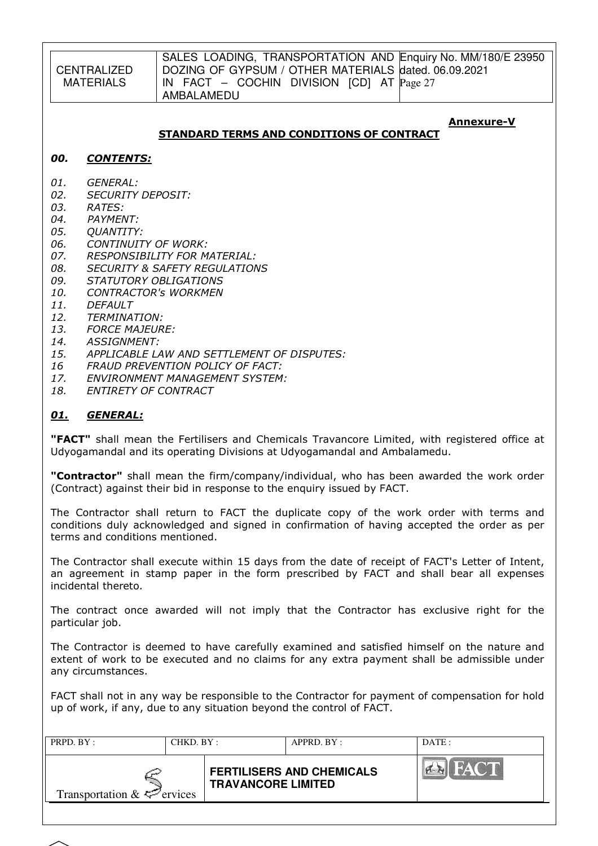CENTRALIZED MATERIALS

### STANDARD TERMS AND CONDITIONS OF CONTRACT

#### Annexure-V

#### 00. CONTENTS:

- 01. GENERAL:
- 02. SECURITY DEPOSIT:
- 03. RATES:
- 04. PAYMENT:
- 05. QUANTITY:
- 06. CONTINUITY OF WORK:
- 07. RESPONSIBILITY FOR MATERIAL:
- 08. SECURITY & SAFETY REGULATIONS<br>09. STATUTORY OBLIGATIONS
- STATUTORY OBLIGATIONS
- 10. CONTRACTOR's WORKMEN
- 11. DEFAULT
- 12. TERMINATION:
- 13. FORCE MAJEURE:
- 14. ASSIGNMENT:
- 15. APPLICABLE LAW AND SETTLEMENT OF DISPUTES:
- 16 FRAUD PREVENTION POLICY OF FACT:
- 17. ENVIRONMENT MANAGEMENT SYSTEM:<br>18. ENTIRETY OF CONTRACT
- 18. ENTIRETY OF CONTRACT

### 01. GENERAL:

**"FACT"** shall mean the Fertilisers and Chemicals Travancore Limited, with registered office at Udyogamandal and its operating Divisions at Udyogamandal and Ambalamedu.

"Contractor" shall mean the firm/company/individual, who has been awarded the work order (Contract) against their bid in response to the enquiry issued by FACT.

The Contractor shall return to FACT the duplicate copy of the work order with terms and conditions duly acknowledged and signed in confirmation of having accepted the order as per terms and conditions mentioned.

The Contractor shall execute within 15 days from the date of receipt of FACT's Letter of Intent, an agreement in stamp paper in the form prescribed by FACT and shall bear all expenses incidental thereto.

The contract once awarded will not imply that the Contractor has exclusive right for the particular job.

The Contractor is deemed to have carefully examined and satisfied himself on the nature and extent of work to be executed and no claims for any extra payment shall be admissible under any circumstances.

FACT shall not in any way be responsible to the Contractor for payment of compensation for hold up of work, if any, due to any situation beyond the control of FACT.

| PRPD. BY:                       | CHKD. BY: |                           | $APPRD$ . BY :                   | DATE:       |
|---------------------------------|-----------|---------------------------|----------------------------------|-------------|
| Transportation $\&\leq$ ervices |           | <b>TRAVANCORE LIMITED</b> | <b>FERTILISERS AND CHEMICALS</b> | <b>FACT</b> |
|                                 |           |                           |                                  |             |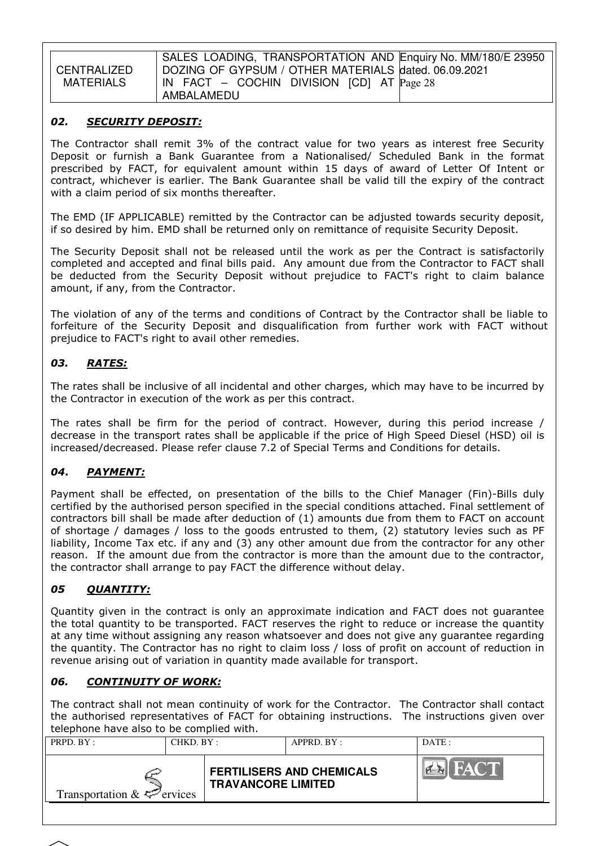**CENTRALIZED** MATERIALS

SALES LOADING, TRANSPORTATION AND Enquiry No. MM/180/E 23950 DOZING OF GYPSUM / OTHER MATERIALS dated. 06.09.2021 IN FACT – COCHIN DIVISION [CD] AT Page 28 AMBALAMEDU

### 02. SECURITY DEPOSIT:

The Contractor shall remit 3% of the contract value for two years as interest free Security Deposit or furnish a Bank Guarantee from a Nationalised/ Scheduled Bank in the format prescribed by FACT, for equivalent amount within 15 days of award of Letter Of Intent or contract, whichever is earlier. The Bank Guarantee shall be valid till the expiry of the contract with a claim period of six months thereafter.

The EMD (IF APPLICABLE) remitted by the Contractor can be adjusted towards security deposit, if so desired by him. EMD shall be returned only on remittance of requisite Security Deposit.

The Security Deposit shall not be released until the work as per the Contract is satisfactorily completed and accepted and final bills paid. Any amount due from the Contractor to FACT shall be deducted from the Security Deposit without prejudice to FACT's right to claim balance amount, if any, from the Contractor.

The violation of any of the terms and conditions of Contract by the Contractor shall be liable to forfeiture of the Security Deposit and disqualification from further work with FACT without prejudice to FACT's right to avail other remedies.

# 03. RATES:

The rates shall be inclusive of all incidental and other charges, which may have to be incurred by the Contractor in execution of the work as per this contract.

The rates shall be firm for the period of contract. However, during this period increase / decrease in the transport rates shall be applicable if the price of High Speed Diesel (HSD) oil is increased/decreased. Please refer clause 7.2 of Special Terms and Conditions for details.

# 04. PAYMENT:

Payment shall be effected, on presentation of the bills to the Chief Manager (Fin)-Bills duly certified by the authorised person specified in the special conditions attached. Final settlement of contractors bill shall be made after deduction of (1) amounts due from them to FACT on account of shortage / damages / loss to the goods entrusted to them, (2) statutory levies such as PF liability, Income Tax etc. if any and (3) any other amount due from the contractor for any other reason. If the amount due from the contractor is more than the amount due to the contractor, the contractor shall arrange to pay FACT the difference without delay.

# 05 OUANTITY:

Quantity given in the contract is only an approximate indication and FACT does not guarantee the total quantity to be transported. FACT reserves the right to reduce or increase the quantity at any time without assigning any reason whatsoever and does not give any guarantee regarding the quantity. The Contractor has no right to claim loss / loss of profit on account of reduction in revenue arising out of variation in quantity made available for transport.

### 06. CONTINUITY OF WORK:

The contract shall not mean continuity of work for the Contractor. The Contractor shall contact the authorised representatives of FACT for obtaining instructions. The instructions given over telephone have also to be complied with.

| PRPD. BY:                       | CHKD. BY: |                           | $APPRD$ $BY:$                    | DATE:              |
|---------------------------------|-----------|---------------------------|----------------------------------|--------------------|
| Transportation $\&\&\&$ ervices |           | <b>TRAVANCORE LIMITED</b> | <b>FERTILISERS AND CHEMICALS</b> | <b>CHI</b><br>EVA. |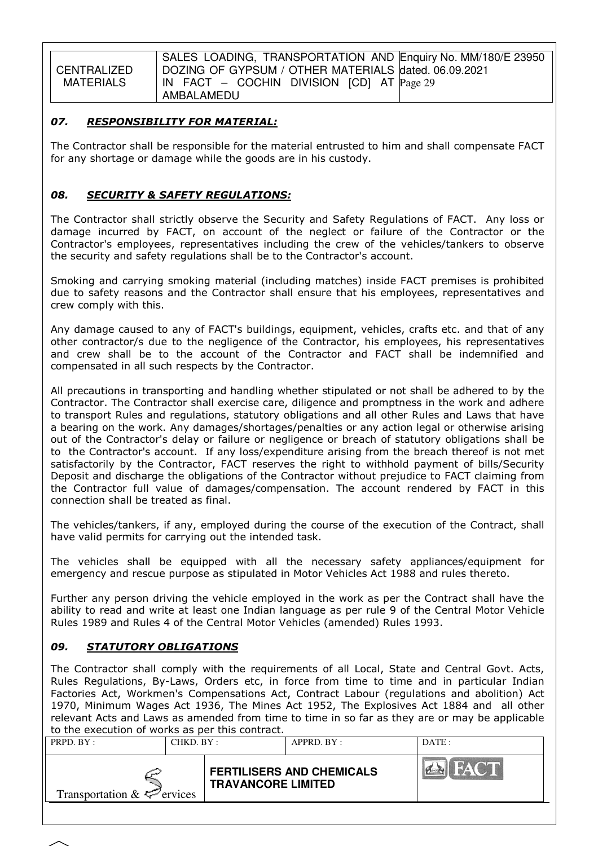**CENTRALIZED** MATERIALS

SALES LOADING, TRANSPORTATION AND Enquiry No. MM/180/E 23950 DOZING OF GYPSUM / OTHER MATERIALS dated. 06.09.2021 IN FACT – COCHIN DIVISION [CD] AT Page 29 AMBALAMEDU

### 07. RESPONSIBILITY FOR MATERIAL:

The Contractor shall be responsible for the material entrusted to him and shall compensate FACT for any shortage or damage while the goods are in his custody.

### 08. SECURITY & SAFETY REGULATIONS:

The Contractor shall strictly observe the Security and Safety Regulations of FACT. Any loss or damage incurred by FACT, on account of the neglect or failure of the Contractor or the Contractor's employees, representatives including the crew of the vehicles/tankers to observe the security and safety regulations shall be to the Contractor's account.

Smoking and carrying smoking material (including matches) inside FACT premises is prohibited due to safety reasons and the Contractor shall ensure that his employees, representatives and crew comply with this.

Any damage caused to any of FACT's buildings, equipment, vehicles, crafts etc. and that of any other contractor/s due to the negligence of the Contractor, his employees, his representatives and crew shall be to the account of the Contractor and FACT shall be indemnified and compensated in all such respects by the Contractor.

All precautions in transporting and handling whether stipulated or not shall be adhered to by the Contractor. The Contractor shall exercise care, diligence and promptness in the work and adhere to transport Rules and regulations, statutory obligations and all other Rules and Laws that have a bearing on the work. Any damages/shortages/penalties or any action legal or otherwise arising out of the Contractor's delay or failure or negligence or breach of statutory obligations shall be to the Contractor's account. If any loss/expenditure arising from the breach thereof is not met satisfactorily by the Contractor, FACT reserves the right to withhold payment of bills/Security Deposit and discharge the obligations of the Contractor without prejudice to FACT claiming from the Contractor full value of damages/compensation. The account rendered by FACT in this connection shall be treated as final.

The vehicles/tankers, if any, employed during the course of the execution of the Contract, shall have valid permits for carrying out the intended task.

The vehicles shall be equipped with all the necessary safety appliances/equipment for emergency and rescue purpose as stipulated in Motor Vehicles Act 1988 and rules thereto.

Further any person driving the vehicle employed in the work as per the Contract shall have the ability to read and write at least one Indian language as per rule 9 of the Central Motor Vehicle Rules 1989 and Rules 4 of the Central Motor Vehicles (amended) Rules 1993.

### 09. STATUTORY OBLIGATIONS

The Contractor shall comply with the requirements of all Local, State and Central Govt. Acts, Rules Regulations, By-Laws, Orders etc, in force from time to time and in particular Indian Factories Act, Workmen's Compensations Act, Contract Labour (regulations and abolition) Act 1970, Minimum Wages Act 1936, The Mines Act 1952, The Explosives Act 1884 and all other relevant Acts and Laws as amended from time to time in so far as they are or may be applicable to the execution of works as per this contract.

| FACT<br>$\sim$ $\sim$<br><b>FERTILISERS AND CHEMICALS</b><br><b>TRAVANCORE LIMITED</b> | PRPD. BY: | CHKD. BY: | APPRD. BY: | DATE: |
|----------------------------------------------------------------------------------------|-----------|-----------|------------|-------|
| Transportation $\& \Leftrightarrow$ ervices                                            |           |           |            |       |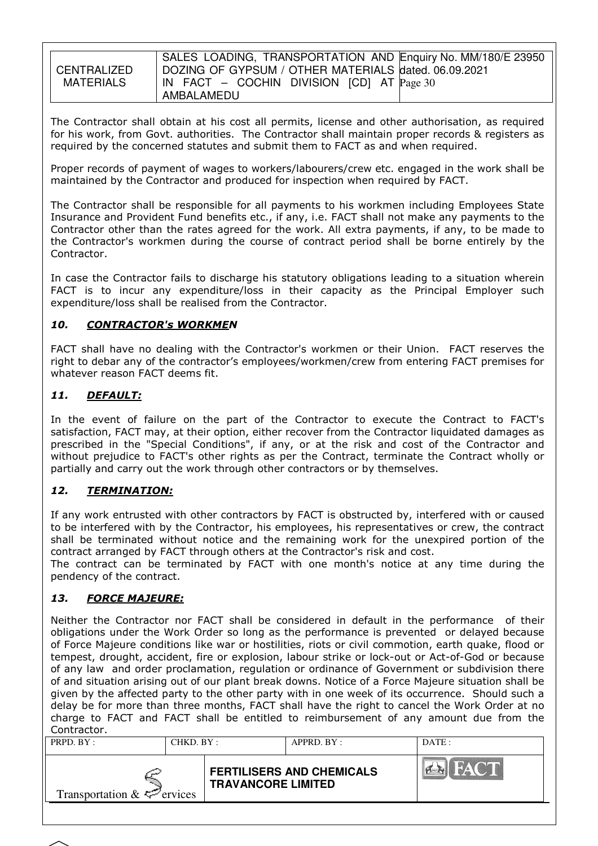CENTRALIZED MATFRIALS

The Contractor shall obtain at his cost all permits, license and other authorisation, as required for his work, from Govt. authorities. The Contractor shall maintain proper records & registers as required by the concerned statutes and submit them to FACT as and when required.

Proper records of payment of wages to workers/labourers/crew etc. engaged in the work shall be maintained by the Contractor and produced for inspection when required by FACT.

The Contractor shall be responsible for all payments to his workmen including Employees State Insurance and Provident Fund benefits etc., if any, i.e. FACT shall not make any payments to the Contractor other than the rates agreed for the work. All extra payments, if any, to be made to the Contractor's workmen during the course of contract period shall be borne entirely by the Contractor.

In case the Contractor fails to discharge his statutory obligations leading to a situation wherein FACT is to incur any expenditure/loss in their capacity as the Principal Employer such expenditure/loss shall be realised from the Contractor.

### 10. CONTRACTOR's WORKMEN

FACT shall have no dealing with the Contractor's workmen or their Union. FACT reserves the right to debar any of the contractor's employees/workmen/crew from entering FACT premises for whatever reason FACT deems fit.

### 11. DEFAULT:

In the event of failure on the part of the Contractor to execute the Contract to FACT's satisfaction, FACT may, at their option, either recover from the Contractor liquidated damages as prescribed in the "Special Conditions", if any, or at the risk and cost of the Contractor and without prejudice to FACT's other rights as per the Contract, terminate the Contract wholly or partially and carry out the work through other contractors or by themselves.

# 12. TERMINATION:

If any work entrusted with other contractors by FACT is obstructed by, interfered with or caused to be interfered with by the Contractor, his employees, his representatives or crew, the contract shall be terminated without notice and the remaining work for the unexpired portion of the contract arranged by FACT through others at the Contractor's risk and cost.

The contract can be terminated by FACT with one month's notice at any time during the pendency of the contract.

### 13. FORCE MAJEURE:

Neither the Contractor nor FACT shall be considered in default in the performance of their obligations under the Work Order so long as the performance is prevented or delayed because of Force Majeure conditions like war or hostilities, riots or civil commotion, earth quake, flood or tempest, drought, accident, fire or explosion, labour strike or lock-out or Act-of-God or because of any law and order proclamation, regulation or ordinance of Government or subdivision there of and situation arising out of our plant break downs. Notice of a Force Majeure situation shall be given by the affected party to the other party with in one week of its occurrence. Should such a delay be for more than three months, FACT shall have the right to cancel the Work Order at no charge to FACT and FACT shall be entitled to reimbursement of any amount due from the Contractor.

| PRPD. BY:<br>CHKD. BY:          |  |                           | $APPRD$ . $BY$ :                 | DATE:              |
|---------------------------------|--|---------------------------|----------------------------------|--------------------|
| Transportation $\&\leq$ ervices |  | <b>TRAVANCORE LIMITED</b> | <b>FERTILISERS AND CHEMICALS</b> | FACT<br><b>PER</b> |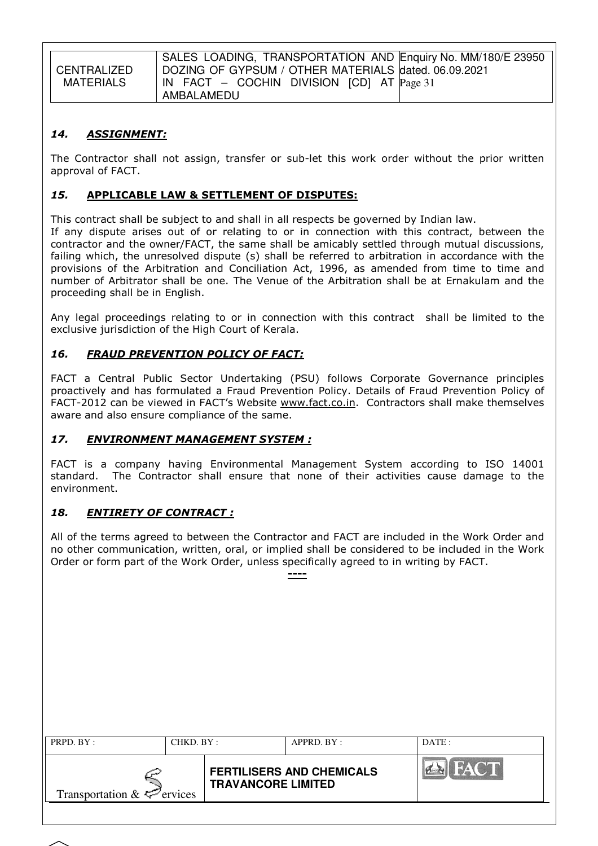**CENTRALIZED** MATERIALS SALES LOADING, TRANSPORTATION AND Enquiry No. MM/180/E 23950 DOZING OF GYPSUM / OTHER MATERIALS dated. 06.09.2021 IN FACT – COCHIN DIVISION [CD] AT Page 31 AMBALAMEDU

### 14. ASSIGNMENT:

The Contractor shall not assign, transfer or sub-let this work order without the prior written approval of FACT.

### 15. APPLICABLE LAW & SETTLEMENT OF DISPUTES:

This contract shall be subject to and shall in all respects be governed by Indian law.

If any dispute arises out of or relating to or in connection with this contract, between the contractor and the owner/FACT, the same shall be amicably settled through mutual discussions, failing which, the unresolved dispute (s) shall be referred to arbitration in accordance with the provisions of the Arbitration and Conciliation Act, 1996, as amended from time to time and number of Arbitrator shall be one. The Venue of the Arbitration shall be at Ernakulam and the proceeding shall be in English.

Any legal proceedings relating to or in connection with this contract shall be limited to the exclusive jurisdiction of the High Court of Kerala.

### 16. FRAUD PREVENTION POLICY OF FACT:

FACT a Central Public Sector Undertaking (PSU) follows Corporate Governance principles proactively and has formulated a Fraud Prevention Policy. Details of Fraud Prevention Policy of FACT-2012 can be viewed in FACT's Website www.fact.co.in. Contractors shall make themselves aware and also ensure compliance of the same.

### 17. ENVIRONMENT MANAGEMENT SYSTEM :

FACT is a company having Environmental Management System according to ISO 14001 standard. The Contractor shall ensure that none of their activities cause damage to the environment.

### 18. ENTIRETY OF CONTRACT :

All of the terms agreed to between the Contractor and FACT are included in the Work Order and no other communication, written, oral, or implied shall be considered to be included in the Work Order or form part of the Work Order, unless specifically agreed to in writing by FACT.

----

| PRPD. BY:                                   | CHKD. BY : |                           | APPRD. BY:                       | DATE:       |
|---------------------------------------------|------------|---------------------------|----------------------------------|-------------|
| Transportation $\& \Leftrightarrow$ ervices |            | <b>TRAVANCORE LIMITED</b> | <b>FERTILISERS AND CHEMICALS</b> | FACT<br>PER |
|                                             |            |                           |                                  |             |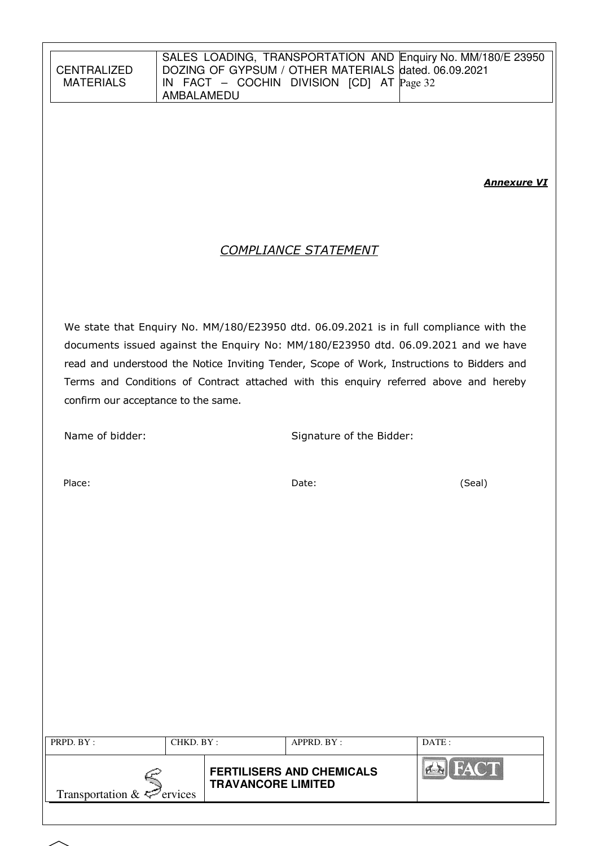**Annexure VI** 

# COMPLIANCE STATEMENT

We state that Enquiry No. MM/180/E23950 dtd. 06.09.2021 is in full compliance with the documents issued against the Enquiry No: MM/180/E23950 dtd. 06.09.2021 and we have read and understood the Notice Inviting Tender, Scope of Work, Instructions to Bidders and Terms and Conditions of Contract attached with this enquiry referred above and hereby confirm our acceptance to the same.

Name of bidder: Signature of the Bidder:

Place: Date: (Seal)

| PRPD. BY:<br>CHKD. BY :         |  |                           | APPRD. BY:                       | DATA |
|---------------------------------|--|---------------------------|----------------------------------|------|
| Transportation $\&\leq$ ervices |  | <b>TRAVANCORE LIMITED</b> | <b>FERTILISERS AND CHEMICALS</b> |      |
|                                 |  |                           |                                  |      |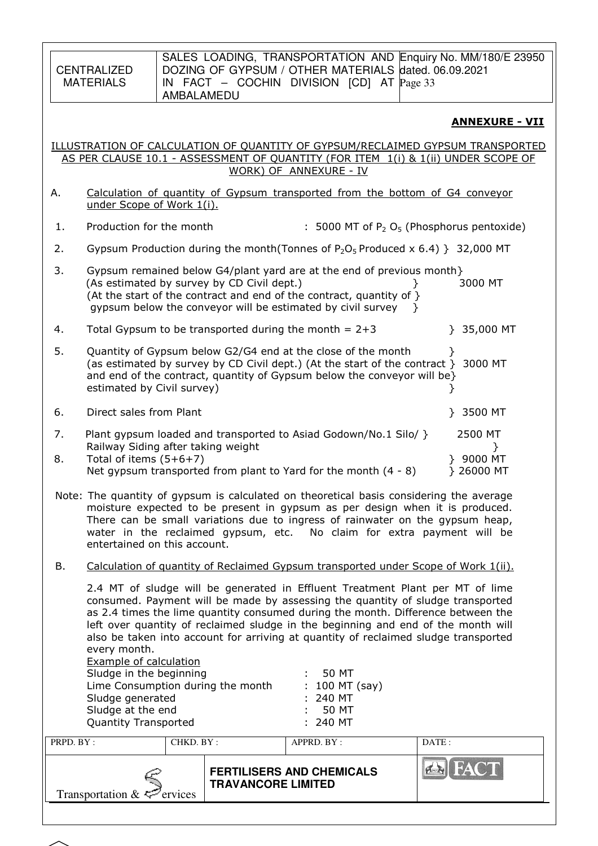CENTRALIZED MATERIALS

### ANNEXURE - VII

#### ILLUSTRATION OF CALCULATION OF QUANTITY OF GYPSUM/RECLAIMED GYPSUM TRANSPORTED AS PER CLAUSE 10.1 - ASSESSMENT OF QUANTITY (FOR ITEM 1(i) & 1(ii) UNDER SCOPE OF WORK) OF ANNEXURE - IV

- A. Calculation of quantity of Gypsum transported from the bottom of G4 conveyor under Scope of Work 1(i).
- 1. Production for the month  $\qquad$ : 5000 MT of P<sub>2</sub> O<sub>5</sub> (Phosphorus pentoxide)
- 2. Gypsum Production during the month(Tonnes of  $P_2O_5$  Produced x 6.4) } 32,000 MT

| 3. | Gypsum remained below G4/plant yard are at the end of previous month}   |  |         |  |  |  |  |
|----|-------------------------------------------------------------------------|--|---------|--|--|--|--|
|    | (As estimated by survey by CD Civil dept.)                              |  | 3000 MT |  |  |  |  |
|    | (At the start of the contract and end of the contract, quantity of $\}$ |  |         |  |  |  |  |
|    | gypsum below the conveyor will be estimated by civil survey             |  |         |  |  |  |  |
|    |                                                                         |  |         |  |  |  |  |

4. Total Gypsum to be transported during the month  $= 2+3$  } 35,000 MT

| 5. | Quantity of Gypsum below G2/G4 end at the close of the month<br>(as estimated by survey by CD Civil dept.) (At the start of the contract } 3000 MT<br>and end of the contract, quantity of Gypsum below the conveyor will be |         |
|----|------------------------------------------------------------------------------------------------------------------------------------------------------------------------------------------------------------------------------|---------|
|    | estimated by Civil survey)                                                                                                                                                                                                   |         |
| 6. | Direct sales from Plant                                                                                                                                                                                                      | 3500 MT |
| 7. | Plant gypsum loaded and transported to Asiad Godown/No.1 Silo/ }<br>Railway Siding after taking weight                                                                                                                       | 2500 MT |

- 8. Total of items (5+6+7) } 9000 MT Net gypsum transported from plant to Yard for the month  $(4 - 8)$  } 26000 MT
- Note: The quantity of gypsum is calculated on theoretical basis considering the average moisture expected to be present in gypsum as per design when it is produced. There can be small variations due to ingress of rainwater on the gypsum heap, water in the reclaimed gypsum, etc. No claim for extra payment will be entertained on this account.
- B. Calculation of quantity of Reclaimed Gypsum transported under Scope of Work 1(ii).

2.4 MT of sludge will be generated in Effluent Treatment Plant per MT of lime consumed. Payment will be made by assessing the quantity of sludge transported as 2.4 times the lime quantity consumed during the month. Difference between the left over quantity of reclaimed sludge in the beginning and end of the month will also be taken into account for arriving at quantity of reclaimed sludge transported every month.

| <b>Example of calculation</b>     |                  |
|-----------------------------------|------------------|
| Sludge in the beginning           | 50 MT            |
| Lime Consumption during the month | $: 100$ MT (say) |
| Sludge generated                  | $: 240$ MT       |
| Sludge at the end                 | 50 MT            |
| <b>Quantity Transported</b>       | $: 240$ MT       |
|                                   |                  |

| PRPD. BY:<br>CHKD. BY:                 |  |                           | APPRD. BY:                       | DATA: |
|----------------------------------------|--|---------------------------|----------------------------------|-------|
| Transportation $\&\leq^{\sim}$ ervices |  | <b>TRAVANCORE LIMITED</b> | <b>FERTILISERS AND CHEMICALS</b> |       |
|                                        |  |                           |                                  |       |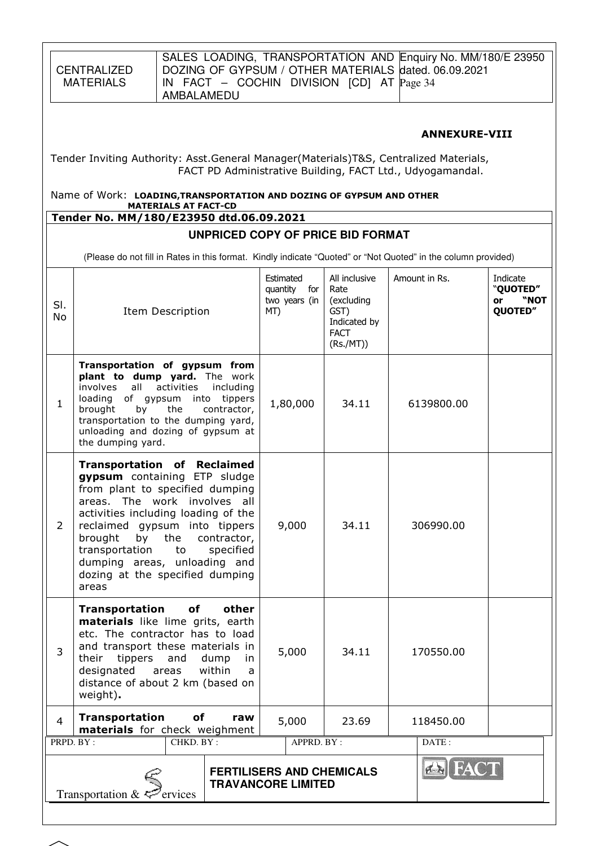| CENTRALIZED |
|-------------|
| MATERIALS   |

### ANNEXURE-VIII

Tender Inviting Authority: Asst.General Manager(Materials)T&S, Centralized Materials, FACT PD Administrative Building, FACT Ltd., Udyogamandal.

Name of Work: LOADING,TRANSPORTATION AND DOZING OF GYPSUM AND OTHER MATERIALS AT FACT-CD

# Tender No. MM/180/E23950 dtd.06.09.2021

### **UNPRICED COPY OF PRICE BID FORMAT**

(Please do not fill in Rates in this format. Kindly indicate "Quoted" or "Not Quoted" in the column provided)

| SI.<br>No                                                                                                                                                                                                                                                                                                                                                                  | Item Description                                                                                                                                                                                                                                                                            | Estimated<br>quantity<br>for<br>two years (in<br>MT) | All inclusive<br>Rate<br>(excluding<br>GST)<br>Indicated by<br><b>FACT</b><br>(Rs./MT)) | Amount in Rs. | Indicate<br>"QUOTED"<br>"NOT<br>or<br>QUOTED" |  |  |
|----------------------------------------------------------------------------------------------------------------------------------------------------------------------------------------------------------------------------------------------------------------------------------------------------------------------------------------------------------------------------|---------------------------------------------------------------------------------------------------------------------------------------------------------------------------------------------------------------------------------------------------------------------------------------------|------------------------------------------------------|-----------------------------------------------------------------------------------------|---------------|-----------------------------------------------|--|--|
| $\mathbf{1}$                                                                                                                                                                                                                                                                                                                                                               | Transportation of gypsum from<br>plant to dump yard. The work<br>activities<br>involves<br>all<br>including<br>loading<br>of gypsum into<br>tippers<br>contractor,<br>brought<br>by<br>the<br>transportation to the dumping yard,<br>unloading and dozing of gypsum at<br>the dumping yard. | 1,80,000                                             | 34.11                                                                                   | 6139800.00    |                                               |  |  |
| <b>Transportation of Reclaimed</b><br>gypsum containing ETP sludge<br>from plant to specified dumping<br>areas. The work involves all<br>activities including loading of the<br>2<br>reclaimed gypsum into tippers<br>brought<br>by<br>the<br>contractor,<br>transportation<br>to<br>specified<br>dumping areas, unloading and<br>dozing at the specified dumping<br>areas |                                                                                                                                                                                                                                                                                             | 9,000                                                | 34.11                                                                                   | 306990.00     |                                               |  |  |
| of<br>Transportation<br>other<br>materials like lime grits, earth<br>etc. The contractor has to load<br>and transport these materials in<br>3<br>their tippers<br>and<br>dump<br>in.<br>within<br>designated<br>areas<br>a<br>distance of about 2 km (based on<br>weight).                                                                                                 |                                                                                                                                                                                                                                                                                             | 5,000                                                | 34.11                                                                                   | 170550.00     |                                               |  |  |
| $\overline{4}$                                                                                                                                                                                                                                                                                                                                                             | <b>Transportation</b><br>of<br>raw<br>materials for check weighment                                                                                                                                                                                                                         | 5,000                                                | 23.69                                                                                   | 118450.00     |                                               |  |  |
| PRPD. BY:                                                                                                                                                                                                                                                                                                                                                                  | CHKD. BY:                                                                                                                                                                                                                                                                                   | APPRD. BY:                                           |                                                                                         | DATE:         |                                               |  |  |
|                                                                                                                                                                                                                                                                                                                                                                            | <b>Ex</b> FACT<br><b>FERTILISERS AND CHEMICALS</b><br><b>TRAVANCORE LIMITED</b><br>Transportation $\&\leq^{\mathcal{D}}$ ervices                                                                                                                                                            |                                                      |                                                                                         |               |                                               |  |  |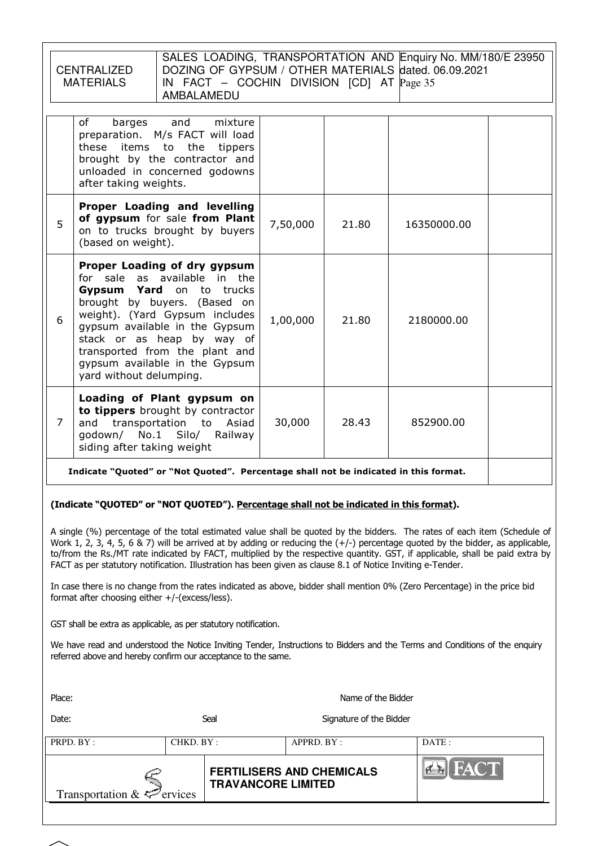|                                                                                                                                                                                                                                                                                                                                                                                                                                                                                                                                                                                                                                                                                            | SALES LOADING, TRANSPORTATION AND Enquiry No. MM/180/E 23950<br>DOZING OF GYPSUM / OTHER MATERIALS dated. 06.09.2021<br><b>CENTRALIZED</b><br><b>MATERIALS</b><br>IN FACT $-$ COCHIN DIVISION [CD] AT $Page 35$<br>AMBALAMEDU |                            |                  |                                                               |                         |  |             |  |
|--------------------------------------------------------------------------------------------------------------------------------------------------------------------------------------------------------------------------------------------------------------------------------------------------------------------------------------------------------------------------------------------------------------------------------------------------------------------------------------------------------------------------------------------------------------------------------------------------------------------------------------------------------------------------------------------|-------------------------------------------------------------------------------------------------------------------------------------------------------------------------------------------------------------------------------|----------------------------|------------------|---------------------------------------------------------------|-------------------------|--|-------------|--|
|                                                                                                                                                                                                                                                                                                                                                                                                                                                                                                                                                                                                                                                                                            | of<br>barges<br>and<br>mixture<br>preparation. M/s FACT will load<br>these items to the<br>tippers<br>brought by the contractor and<br>unloaded in concerned godowns<br>after taking weights.                                 |                            |                  |                                                               |                         |  |             |  |
| Proper Loading and levelling<br>of gypsum for sale from Plant<br>5<br>on to trucks brought by buyers<br>(based on weight).                                                                                                                                                                                                                                                                                                                                                                                                                                                                                                                                                                 |                                                                                                                                                                                                                               |                            |                  | 7,50,000                                                      | 21.80                   |  | 16350000.00 |  |
| Proper Loading of dry gypsum<br>for sale as available in the<br>Gypsum Yard<br>on to trucks<br>brought by buyers. (Based on<br>weight). (Yard Gypsum includes<br>6<br>gypsum available in the Gypsum<br>stack or as heap by way of<br>transported from the plant and<br>gypsum available in the Gypsum<br>yard without delumping.                                                                                                                                                                                                                                                                                                                                                          |                                                                                                                                                                                                                               |                            |                  | 1,00,000                                                      | 21.80                   |  | 2180000.00  |  |
| $\overline{7}$                                                                                                                                                                                                                                                                                                                                                                                                                                                                                                                                                                                                                                                                             | Loading of Plant gypsum on<br>to tippers brought by contractor<br>and<br>godown/ No.1<br>siding after taking weight                                                                                                           | transportation to<br>Silo/ | Asiad<br>Railway | 30,000                                                        | 28.43                   |  | 852900.00   |  |
|                                                                                                                                                                                                                                                                                                                                                                                                                                                                                                                                                                                                                                                                                            | Indicate "Quoted" or "Not Quoted". Percentage shall not be indicated in this format.                                                                                                                                          |                            |                  |                                                               |                         |  |             |  |
| (Indicate "QUOTED" or "NOT QUOTED"). Percentage shall not be indicated in this format).                                                                                                                                                                                                                                                                                                                                                                                                                                                                                                                                                                                                    |                                                                                                                                                                                                                               |                            |                  |                                                               |                         |  |             |  |
| A single (%) percentage of the total estimated value shall be quoted by the bidders. The rates of each item (Schedule of<br>Work 1, 2, 3, 4, 5, 6 & 7) will be arrived at by adding or reducing the $(+/-)$ percentage quoted by the bidder, as applicable,<br>to/from the Rs./MT rate indicated by FACT, multiplied by the respective quantity. GST, if applicable, shall be paid extra by<br>FACT as per statutory notification. Illustration has been given as clause 8.1 of Notice Inviting e-Tender.<br>In case there is no change from the rates indicated as above, bidder shall mention 0% (Zero Percentage) in the price bid<br>format after choosing either $+/-$ (excess/less). |                                                                                                                                                                                                                               |                            |                  |                                                               |                         |  |             |  |
| GST shall be extra as applicable, as per statutory notification.                                                                                                                                                                                                                                                                                                                                                                                                                                                                                                                                                                                                                           |                                                                                                                                                                                                                               |                            |                  |                                                               |                         |  |             |  |
| We have read and understood the Notice Inviting Tender, Instructions to Bidders and the Terms and Conditions of the enquiry<br>referred above and hereby confirm our acceptance to the same.                                                                                                                                                                                                                                                                                                                                                                                                                                                                                               |                                                                                                                                                                                                                               |                            |                  |                                                               |                         |  |             |  |
|                                                                                                                                                                                                                                                                                                                                                                                                                                                                                                                                                                                                                                                                                            | Place:<br>Name of the Bidder                                                                                                                                                                                                  |                            |                  |                                                               |                         |  |             |  |
| Date:                                                                                                                                                                                                                                                                                                                                                                                                                                                                                                                                                                                                                                                                                      |                                                                                                                                                                                                                               | Seal                       |                  |                                                               | Signature of the Bidder |  |             |  |
| PRPD. BY:                                                                                                                                                                                                                                                                                                                                                                                                                                                                                                                                                                                                                                                                                  |                                                                                                                                                                                                                               | CHKD. BY:                  |                  | APPRD. BY:                                                    |                         |  | DATE:       |  |
|                                                                                                                                                                                                                                                                                                                                                                                                                                                                                                                                                                                                                                                                                            | Transportation &                                                                                                                                                                                                              | ervices                    |                  | <b>FERTILISERS AND CHEMICALS</b><br><b>TRAVANCORE LIMITED</b> |                         |  |             |  |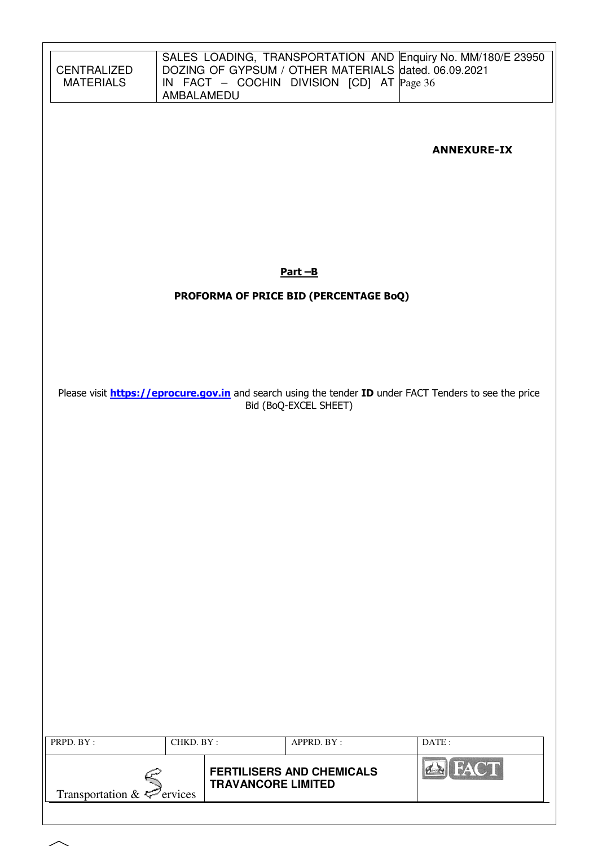| <b>CENTRALIZED</b><br><b>MATERIALS</b> | AMBALAMEDU |                           | DOZING OF GYPSUM / OTHER MATERIALS dated. 06.09.2021<br>IN FACT – COCHIN DIVISION [CD] AT $Page 36$ | SALES LOADING, TRANSPORTATION AND Enquiry No. MM/180/E 23950                                                   |
|----------------------------------------|------------|---------------------------|-----------------------------------------------------------------------------------------------------|----------------------------------------------------------------------------------------------------------------|
|                                        |            |                           |                                                                                                     | <b>ANNEXURE-IX</b>                                                                                             |
|                                        |            |                           |                                                                                                     |                                                                                                                |
|                                        |            |                           | $Part - B$                                                                                          |                                                                                                                |
|                                        |            |                           | PROFORMA OF PRICE BID (PERCENTAGE BoQ)                                                              |                                                                                                                |
|                                        |            |                           |                                                                                                     |                                                                                                                |
|                                        |            |                           |                                                                                                     |                                                                                                                |
|                                        |            |                           |                                                                                                     | Please visit <b>https://eprocure.gov.in</b> and search using the tender ID under FACT Tenders to see the price |
|                                        |            |                           | Bid (BoQ-EXCEL SHEET)                                                                               |                                                                                                                |
|                                        |            |                           |                                                                                                     |                                                                                                                |
|                                        |            |                           |                                                                                                     |                                                                                                                |
|                                        |            |                           |                                                                                                     |                                                                                                                |
|                                        |            |                           |                                                                                                     |                                                                                                                |
|                                        |            |                           |                                                                                                     |                                                                                                                |
|                                        |            |                           |                                                                                                     |                                                                                                                |
|                                        |            |                           |                                                                                                     |                                                                                                                |
|                                        |            |                           |                                                                                                     |                                                                                                                |
|                                        |            |                           |                                                                                                     |                                                                                                                |
|                                        |            |                           |                                                                                                     |                                                                                                                |
| PRPD. BY:                              | CHKD. BY:  |                           | APPRD. BY:                                                                                          | DATE:                                                                                                          |
| Transportation & $\leq$ ervices        |            | <b>TRAVANCORE LIMITED</b> | <b>FERTILISERS AND CHEMICALS</b>                                                                    | <b>A</b> FACT                                                                                                  |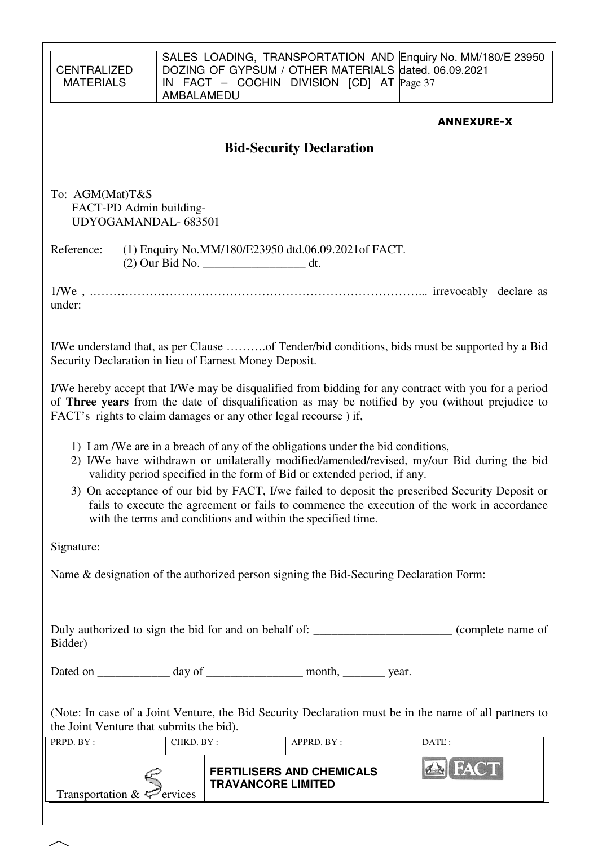| <b>CENTRALIZED</b><br><b>MATERIALS</b>                                                                                                                                                                                                                                                                                                                                                                                                                                                                                     | AMBALAMEDU                                                                                            |                           | DOZING OF GYPSUM / OTHER MATERIALS dated. 06.09.2021<br>IN FACT – COCHIN DIVISION [CD] AT $\text{Page 37}$ |  | SALES LOADING, TRANSPORTATION AND Enquiry No. MM/180/E 23950 |  |  |  |
|----------------------------------------------------------------------------------------------------------------------------------------------------------------------------------------------------------------------------------------------------------------------------------------------------------------------------------------------------------------------------------------------------------------------------------------------------------------------------------------------------------------------------|-------------------------------------------------------------------------------------------------------|---------------------------|------------------------------------------------------------------------------------------------------------|--|--------------------------------------------------------------|--|--|--|
|                                                                                                                                                                                                                                                                                                                                                                                                                                                                                                                            |                                                                                                       |                           |                                                                                                            |  | <b>ANNEXURE-X</b>                                            |  |  |  |
|                                                                                                                                                                                                                                                                                                                                                                                                                                                                                                                            |                                                                                                       |                           |                                                                                                            |  |                                                              |  |  |  |
| <b>Bid-Security Declaration</b>                                                                                                                                                                                                                                                                                                                                                                                                                                                                                            |                                                                                                       |                           |                                                                                                            |  |                                                              |  |  |  |
| To: AGM(Mat)T&S<br>FACT-PD Admin building-<br>UDYOGAMANDAL-683501                                                                                                                                                                                                                                                                                                                                                                                                                                                          |                                                                                                       |                           |                                                                                                            |  |                                                              |  |  |  |
| Reference:                                                                                                                                                                                                                                                                                                                                                                                                                                                                                                                 | (1) Enquiry No.MM/180/E23950 dtd.06.09.2021 of FACT.<br>(2) Our Bid No. _________________________ dt. |                           |                                                                                                            |  |                                                              |  |  |  |
| under:                                                                                                                                                                                                                                                                                                                                                                                                                                                                                                                     |                                                                                                       |                           |                                                                                                            |  |                                                              |  |  |  |
| I/We understand that, as per Clause of Tender/bid conditions, bids must be supported by a Bid<br>Security Declaration in lieu of Earnest Money Deposit.                                                                                                                                                                                                                                                                                                                                                                    |                                                                                                       |                           |                                                                                                            |  |                                                              |  |  |  |
| I/We hereby accept that I/We may be disqualified from bidding for any contract with you for a period<br>of Three years from the date of disqualification as may be notified by you (without prejudice to<br>FACT's rights to claim damages or any other legal recourse) if,                                                                                                                                                                                                                                                |                                                                                                       |                           |                                                                                                            |  |                                                              |  |  |  |
| 1) I am /We are in a breach of any of the obligations under the bid conditions,<br>2) I/We have withdrawn or unilaterally modified/amended/revised, my/our Bid during the bid<br>validity period specified in the form of Bid or extended period, if any.<br>3) On acceptance of our bid by FACT, I/we failed to deposit the prescribed Security Deposit or<br>fails to execute the agreement or fails to commence the execution of the work in accordance<br>with the terms and conditions and within the specified time. |                                                                                                       |                           |                                                                                                            |  |                                                              |  |  |  |
| Signature:                                                                                                                                                                                                                                                                                                                                                                                                                                                                                                                 |                                                                                                       |                           |                                                                                                            |  |                                                              |  |  |  |
| Name & designation of the authorized person signing the Bid-Securing Declaration Form:                                                                                                                                                                                                                                                                                                                                                                                                                                     |                                                                                                       |                           |                                                                                                            |  |                                                              |  |  |  |
| Duly authorized to sign the bid for and on behalf of: _________________________(complete name of<br>Bidder)                                                                                                                                                                                                                                                                                                                                                                                                                |                                                                                                       |                           |                                                                                                            |  |                                                              |  |  |  |
| Dated on _______________ day of _____________________ month, ___________ year.                                                                                                                                                                                                                                                                                                                                                                                                                                             |                                                                                                       |                           |                                                                                                            |  |                                                              |  |  |  |
| (Note: In case of a Joint Venture, the Bid Security Declaration must be in the name of all partners to<br>the Joint Venture that submits the bid).                                                                                                                                                                                                                                                                                                                                                                         |                                                                                                       |                           |                                                                                                            |  |                                                              |  |  |  |
| PRPD. BY:                                                                                                                                                                                                                                                                                                                                                                                                                                                                                                                  | CHKD. BY:                                                                                             |                           | APPRD. BY:                                                                                                 |  | DATE:                                                        |  |  |  |
| Transportation & $\mathcal{L}$ ervices                                                                                                                                                                                                                                                                                                                                                                                                                                                                                     |                                                                                                       | <b>TRAVANCORE LIMITED</b> | <b>FERTILISERS AND CHEMICALS</b>                                                                           |  | <b>ERIFAC</b>                                                |  |  |  |
|                                                                                                                                                                                                                                                                                                                                                                                                                                                                                                                            |                                                                                                       |                           |                                                                                                            |  |                                                              |  |  |  |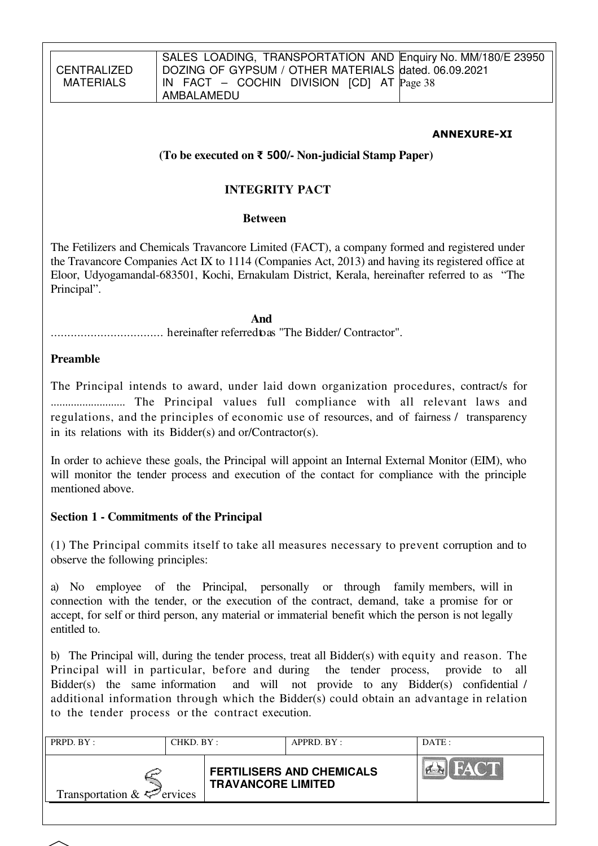### ANNEXURE-XI

### **(To be executed on** ₹ 500**/- Non-judicial Stamp Paper)**

### **INTEGRITY PACT**

### **Between**

The Fetilizers and Chemicals Travancore Limited (FACT), a company formed and registered under the Travancore Companies Act IX to 1114 (Companies Act, 2013) and having its registered office at Eloor, Udyogamandal-683501, Kochi, Ernakulam District, Kerala, hereinafter referred to as "The Principal".

*And* 

.................................. hereinafter referred to as "The Bidder/ Contractor".

### **Preamble**

The Principal intends to award, under laid down organization procedures, contract/s for .......................... The Principal values full compliance with all relevant laws and regulations, and the principles of economic use of resources, and of fairness / transparency in its relations with its Bidder(s) and or/Contractor(s).

In order to achieve these goals, the Principal will appoint an Internal External Monitor (EIM), who will monitor the tender process and execution of the contact for compliance with the principle mentioned above.

### **Section 1 - Commitments of the Principal**

(1) The Principal commits itself to take all measures necessary to prevent corruption and to observe the following principles:

a) No employee of the Principal, personally or through family members, will in connection with the tender, or the execution of the contract, demand, take a promise for or accept, for self or third person, any material or immaterial benefit which the person is not legally entitled to.

b) The Principal will, during the tender process, treat all Bidder(s) with equity and reason. The Principal will in particular, before and during the tender process, provide to all Bidder(s) the same information and will not provide to any Bidder(s) confidential / additional information through which the Bidder(s) could obtain an advantage in relation to the tender process or the contract execution.

| PRPD. BY:                              | CHKD. BY: |                           | $APPRD$ . $BY$ :                 | DATE: |
|----------------------------------------|-----------|---------------------------|----------------------------------|-------|
| Transportation $\&\leq^{\sim}$ ervices |           | <b>TRAVANCORE LIMITED</b> | <b>FERTILISERS AND CHEMICALS</b> | FACT  |
|                                        |           |                           |                                  |       |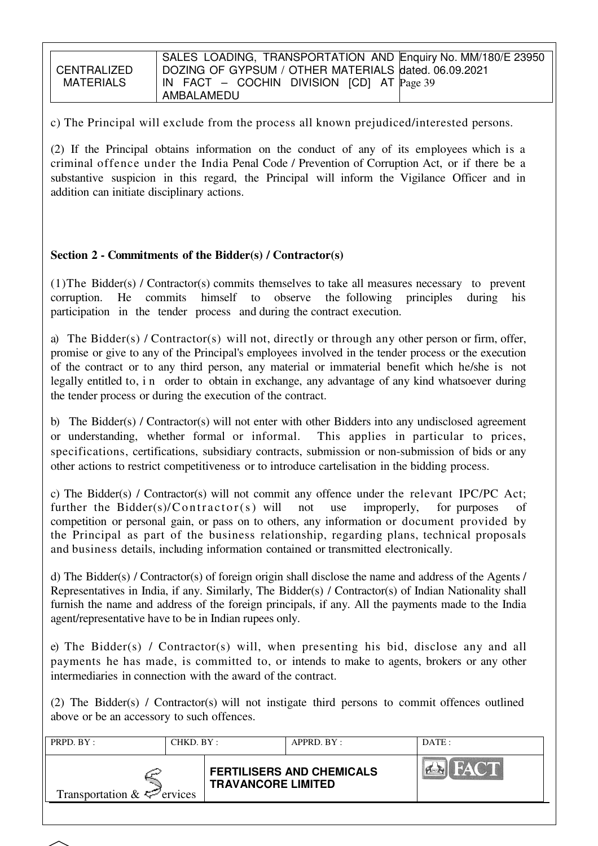**CENTRALIZED** MATFRIALS

c) The Principal will exclude from the process all known prejudiced/interested persons.

(2) If the Principal obtains information on the conduct of any of its employees which is a criminal offence under the India Penal Code / Prevention of Corruption Act, or if there be a substantive suspicion in this regard, the Principal will inform the Vigilance Officer and in addition can initiate disciplinary actions.

# **Section 2 - Commitments of the Bidder(s) / Contractor(s)**

(1)The Bidder(s) / Contractor(s) commits themselves to take all measures necessary to prevent corruption. He commits himself to observe the following principles during his participation in the tender process and during the contract execution.

a) The Bidder(s) / Contractor(s) will not, directly or through any other person or firm, offer, promise or give to any of the Principal's employees involved in the tender process or the execution of the contract or to any third person, any material or immaterial benefit which he/she is not legally entitled to, i n order to obtain in exchange, any advantage of any kind whatsoever during the tender process or during the execution of the contract.

b) The Bidder(s) / Contractor(s) will not enter with other Bidders into any undisclosed agreement or understanding, whether formal or informal. This applies in particular to prices, specifications, certifications, subsidiary contracts, submission or non-submission of bids or any other actions to restrict competitiveness or to introduce cartelisation in the bidding process.

c) The Bidder(s) / Contractor(s) will not commit any offence under the relevant IPC/PC Act; further the Bidder(s)/ $Contractor(s)$  will not use improperly, for purposes of competition or personal gain, or pass on to others, any information or document provided by the Principal as part of the business relationship, regarding plans, technical proposals and business details, including information contained or transmitted electronically.

d) The Bidder(s) / Contractor(s) of foreign origin shall disclose the name and address of the Agents / Representatives in India, if any. Similarly, The Bidder(s) / Contractor(s) of Indian Nationality shall furnish the name and address of the foreign principals, if any. All the payments made to the India agent/representative have to be in Indian rupees only.

e) The Bidder(s) / Contractor(s) will, when presenting his bid, disclose any and all payments he has made, is committed to, or intends to make to agents, brokers or any other intermediaries in connection with the award of the contract.

(2) The Bidder(s) / Contractor(s) will not instigate third persons to commit offences outlined above or be an accessory to such offences.

| PRPD. BY:<br>CHKD. BY :         |  |                           | APPRD. BY:                       | DATE: |
|---------------------------------|--|---------------------------|----------------------------------|-------|
| Transportation $\&\leq$ ervices |  | <b>TRAVANCORE LIMITED</b> | <b>FERTILISERS AND CHEMICALS</b> | FACT  |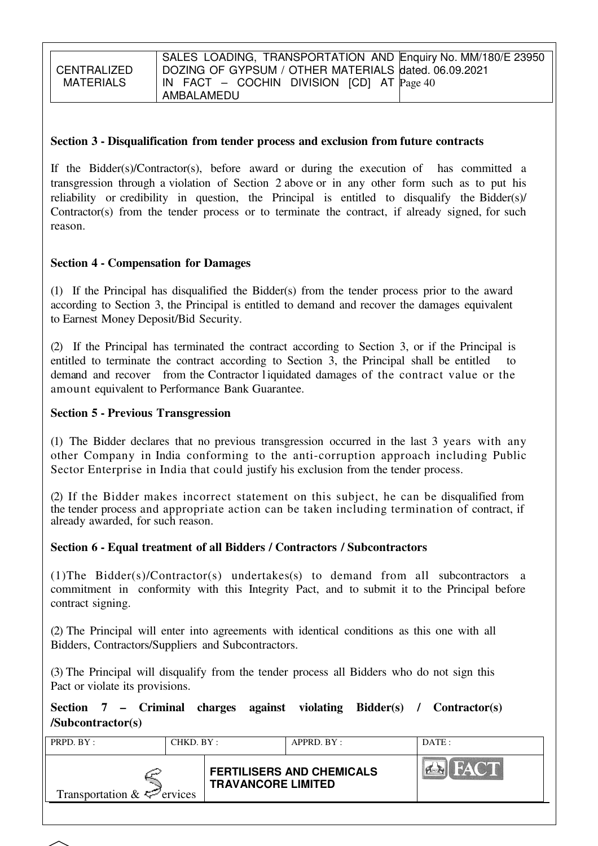CENTRALIZED MATFRIALS

### **Section 3 - Disqualification from tender process and exclusion from future contracts**

If the Bidder(s)/Contractor(s), before award or during the execution of has committed a transgression through a violation of Section 2 above or in any other form such as to put his reliability or credibility in question, the Principal is entitled to disqualify the Bidder(s)/ Contractor(s) from the tender process or to terminate the contract, if already signed, for such reason.

### **Section 4 - Compensation for Damages**

(1) If the Principal has disqualified the Bidder(s) from the tender process prior to the award according to Section 3, the Principal is entitled to demand and recover the damages equivalent to Earnest Money Deposit/Bid Security.

(2) If the Principal has terminated the contract according to Section 3, or if the Principal is entitled to terminate the contract according to Section 3, the Principal shall be entitled to demand and recover from the Contractor l iquidated damages of the contract value or the amount equivalent to Performance Bank Guarantee.

### **Section 5 - Previous Transgression**

(1) The Bidder declares that no previous transgression occurred in the last 3 years with any other Company in India conforming to the anti-corruption approach including Public Sector Enterprise in India that could justify his exclusion from the tender process.

(2) If the Bidder makes incorrect statement on this subject, he can be disqualified from the tender process and appropriate action can be taken including termination of contract, if already awarded, for such reason.

### **Section 6 - Equal treatment of all Bidders / Contractors / Subcontractors**

(1)The Bidder(s)/Contractor(s) undertakes(s) to demand from all subcontractors a commitment in conformity with this Integrity Pact, and to submit it to the Principal before contract signing.

(2) The Principal will enter into agreements with identical conditions as this one with all Bidders, Contractors/Suppliers and Subcontractors.

(3) The Principal will disqualify from the tender process all Bidders who do not sign this Pact or violate its provisions.

**Section 7 – Criminal charges against violating Bidder(s) / Contractor(s) /Subcontractor(s)**

| PRPD. BY:<br>CHKD. BY:                 |  |                           | APPRD. BY:                       | DATE:                               |
|----------------------------------------|--|---------------------------|----------------------------------|-------------------------------------|
| Transportation $\&\leq^{\sim}$ ervices |  | <b>TRAVANCORE LIMITED</b> | <b>FERTILISERS AND CHEMICALS</b> | <b>FACT</b><br>$\sim$ $\sim$ $\sim$ |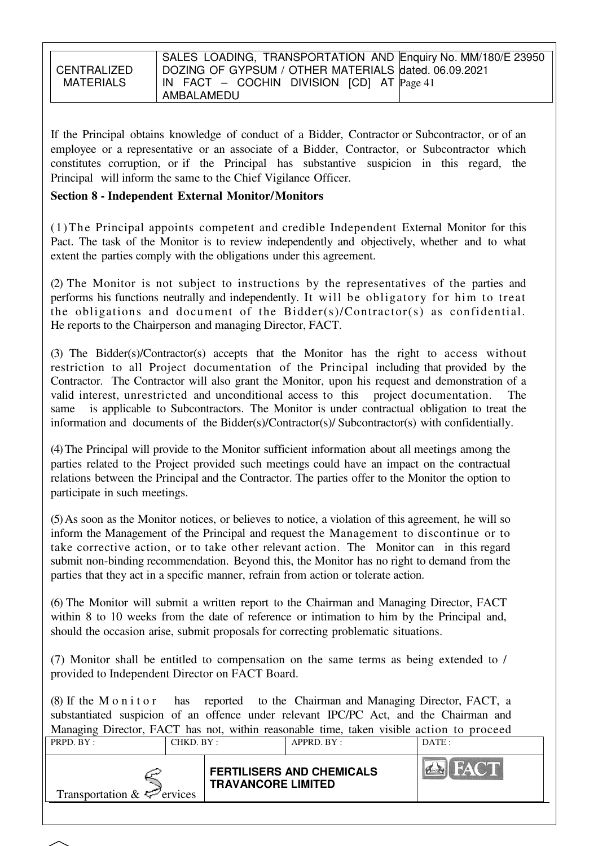|                  | SALES LOADING, TRANSPORTATION AND Enquiry No. MM/180/E 23950 |
|------------------|--------------------------------------------------------------|
|                  |                                                              |
| CENTRALIZED      | DOZING OF GYPSUM / OTHER MATERIALS dated. 06.09.2021         |
|                  |                                                              |
| <b>MATERIALS</b> | IN FACT – COCHIN DIVISION $[CD]$ AT $Page 41$                |
|                  |                                                              |
|                  |                                                              |
|                  | AMBALAMEDU                                                   |

If the Principal obtains knowledge of conduct of a Bidder, Contractor or Subcontractor, or of an employee or a representative or an associate of a Bidder, Contractor, or Subcontractor which constitutes corruption, or if the Principal has substantive suspicion in this regard, the Principal will inform the same to the Chief Vigilance Officer.

### **Section 8 - Independent External Monitor/Monitors**

(1)The Principal appoints competent and credible Independent External Monitor for this Pact. The task of the Monitor is to review independently and objectively, whether and to what extent the parties comply with the obligations under this agreement.

(2) The Monitor is not subject to instructions by the representatives of the parties and performs his functions neutrally and independently. It will be obligatory for him to treat the obligations and document of the Bidder(s)/Contractor(s) as confidential. He reports to the Chairperson and managing Director, FACT.

(3) The Bidder(s)/Contractor(s) accepts that the Monitor has the right to access without restriction to all Project documentation of the Principal including that provided by the Contractor. The Contractor will also grant the Monitor, upon his request and demonstration of a valid interest, unrestricted and unconditional access to this project documentation. The same is applicable to Subcontractors. The Monitor is under contractual obligation to treat the information and documents of the Bidder(s)/Contractor(s)/ Subcontractor(s) with confidentially.

(4) The Principal will provide to the Monitor sufficient information about all meetings among the parties related to the Project provided such meetings could have an impact on the contractual relations between the Principal and the Contractor. The parties offer to the Monitor the option to participate in such meetings.

(5) As soon as the Monitor notices, or believes to notice, a violation of this agreement, he will so inform the Management of the Principal and request the Management to discontinue or to take corrective action, or to take other relevant action. The Monitor can in this regard submit non-binding recommendation. Beyond this, the Monitor has no right to demand from the parties that they act in a specific manner, refrain from action or tolerate action.

(6) The Monitor will submit a written report to the Chairman and Managing Director, FACT within 8 to 10 weeks from the date of reference or intimation to him by the Principal and, should the occasion arise, submit proposals for correcting problematic situations.

(7) Monitor shall be entitled to compensation on the same terms as being extended to / provided to Independent Director on FACT Board.

(8) If the M o n i t o r has reported to the Chairman and Managing Director, FACT, a substantiated suspicion of an offence under relevant IPC/PC Act, and the Chairman and Managing Director, FACT has not, within reasonable time, taken visible action to proceed

| PRPD. BY:                       | CHKD. BY: |                           | APPRD. BY:                       | DATE:       |
|---------------------------------|-----------|---------------------------|----------------------------------|-------------|
| Transportation $\&\leq$ ervices |           | <b>TRAVANCORE LIMITED</b> | <b>FERTILISERS AND CHEMICALS</b> | <b>FACT</b> |
|                                 |           |                           |                                  |             |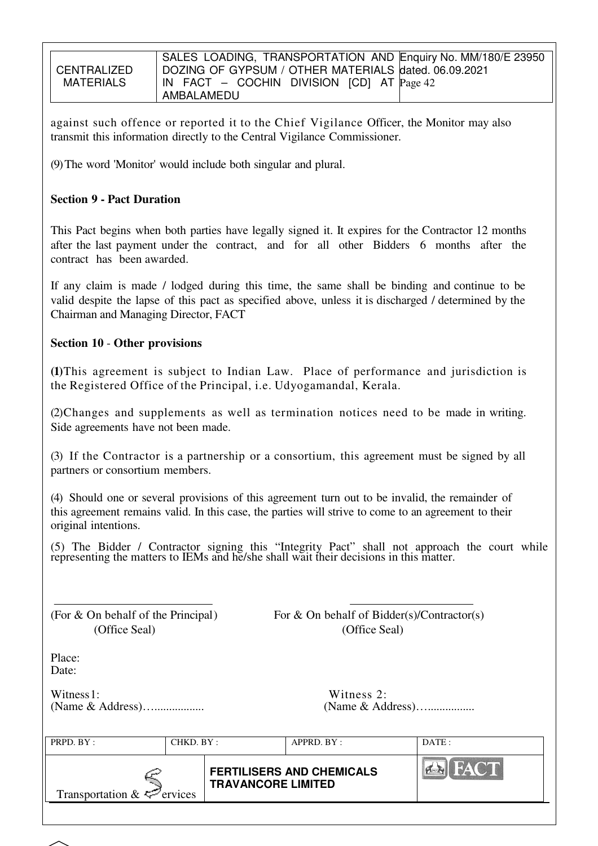**CENTRALIZED** MATFRIALS SALES LOADING, TRANSPORTATION AND Enquiry No. MM/180/E 23950 DOZING OF GYPSUM / OTHER MATERIALS dated. 06.09.2021 IN FACT – COCHIN DIVISION [CD] AT Page 42 AMBALAMEDU

against such offence or reported it to the Chief Vigilance Officer, the Monitor may also transmit this information directly to the Central Vigilance Commissioner.

(9) The word 'Monitor' would include both singular and plural.

# **Section 9 - Pact Duration**

This Pact begins when both parties have legally signed it. It expires for the Contractor 12 months after the last payment under the contract, and for all other Bidders 6 months after the contract has been awarded.

If any claim is made / lodged during this time, the same shall be binding and continue to be valid despite the lapse of this pact as specified above, unless it is discharged / determined by the Chairman and Managing Director, FACT

### **Section 10** - **Other provisions**

**(1)**This agreement is subject to Indian Law. Place of performance and jurisdiction is the Registered Office of the Principal, i.e. Udyogamandal, Kerala.

(2)Changes and supplements as well as termination notices need to be made in writing. Side agreements have not been made.

(3) If the Contractor is a partnership or a consortium, this agreement must be signed by all partners or consortium members.

(4) Should one or several provisions of this agreement turn out to be invalid, the remainder of this agreement remains valid. In this case, the parties will strive to come to an agreement to their original intentions.

(5) The Bidder / Contractor signing this "Integrity Pact" shall not approach the court while representing the matters to IEMs and he/she shall wait their decisions in this matter.

(Office Seal) (Office Seal)

(For  $\&$  On behalf of the Principal) For  $\&$  On behalf of Bidder(s)/Contractor(s)

Place: Date:

Witness 1: (Name & Address)…................. (Name & Address)…................

| Witness 2:       |
|------------------|
| (Name & Address) |

| <b>FACT</b><br><b>FERTILISERS AND CHEMICALS</b><br><b>TRAVANCORE LIMITED</b><br>Transportation $\&\leq^{\sim}$ ervices | PRPD. BY : | CHKD. BY: | APPRD. BY: | DATE: |
|------------------------------------------------------------------------------------------------------------------------|------------|-----------|------------|-------|
|                                                                                                                        |            |           |            |       |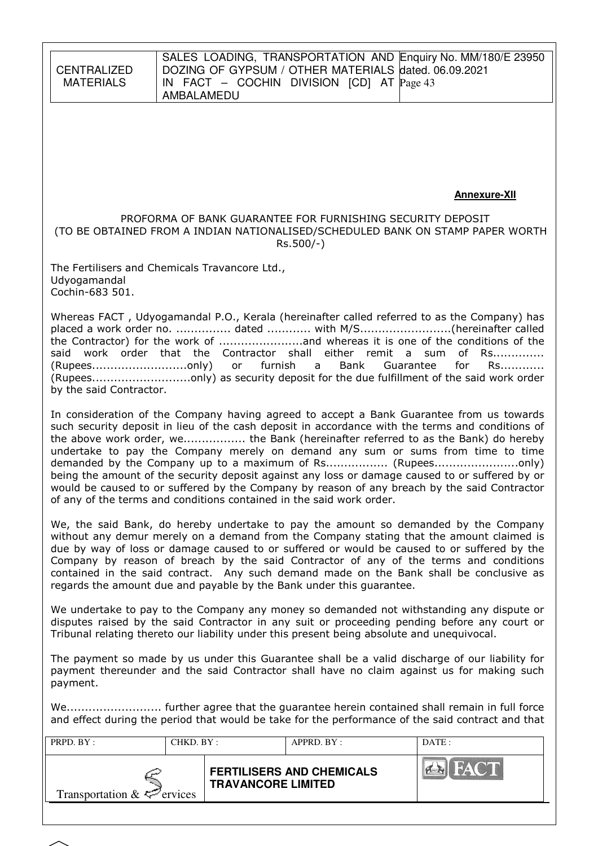**CENTRALIZED** MATERIALS

#### SALES LOADING, TRANSPORTATION AND Enquiry No. MM/180/E 23950 DOZING OF GYPSUM / OTHER MATERIALS dated. 06.09.2021 IN FACT – COCHIN DIVISION [CD] AT Page 43 AMBALAMEDU

### **Annexure-XII**

#### PROFORMA OF BANK GUARANTEE FOR FURNISHING SECURITY DEPOSIT (TO BE OBTAINED FROM A INDIAN NATIONALISED/SCHEDULED BANK ON STAMP PAPER WORTH Rs.500/-)

The Fertilisers and Chemicals Travancore Ltd., Udyogamandal Cochin-683 501.

Whereas FACT , Udyogamandal P.O., Kerala (hereinafter called referred to as the Company) has placed a work order no. ............... dated ............ with M/S.........................(hereinafter called the Contractor) for the work of .......................and whereas it is one of the conditions of the said work order that the Contractor shall either remit a sum of Rs.............. (Rupees..........................only) or furnish a Bank Guarantee for Rs............ (Rupees...........................only) as security deposit for the due fulfillment of the said work order by the said Contractor.

In consideration of the Company having agreed to accept a Bank Guarantee from us towards such security deposit in lieu of the cash deposit in accordance with the terms and conditions of the above work order, we................. the Bank (hereinafter referred to as the Bank) do hereby undertake to pay the Company merely on demand any sum or sums from time to time demanded by the Company up to a maximum of Rs................. (Rupees.......................only) being the amount of the security deposit against any loss or damage caused to or suffered by or would be caused to or suffered by the Company by reason of any breach by the said Contractor of any of the terms and conditions contained in the said work order.

We, the said Bank, do hereby undertake to pay the amount so demanded by the Company without any demur merely on a demand from the Company stating that the amount claimed is due by way of loss or damage caused to or suffered or would be caused to or suffered by the Company by reason of breach by the said Contractor of any of the terms and conditions contained in the said contract. Any such demand made on the Bank shall be conclusive as regards the amount due and payable by the Bank under this guarantee.

We undertake to pay to the Company any money so demanded not withstanding any dispute or disputes raised by the said Contractor in any suit or proceeding pending before any court or Tribunal relating thereto our liability under this present being absolute and unequivocal.

The payment so made by us under this Guarantee shall be a valid discharge of our liability for payment thereunder and the said Contractor shall have no claim against us for making such payment.

We.......................... further agree that the guarantee herein contained shall remain in full force and effect during the period that would be take for the performance of the said contract and that

| Transportation $\&\leq$ ervices |  | <b>FERTILISERS AND CHEMICALS</b><br><b>TRAVANCORE LIMITED</b> | HACTE<br>$\sim$ |
|---------------------------------|--|---------------------------------------------------------------|-----------------|

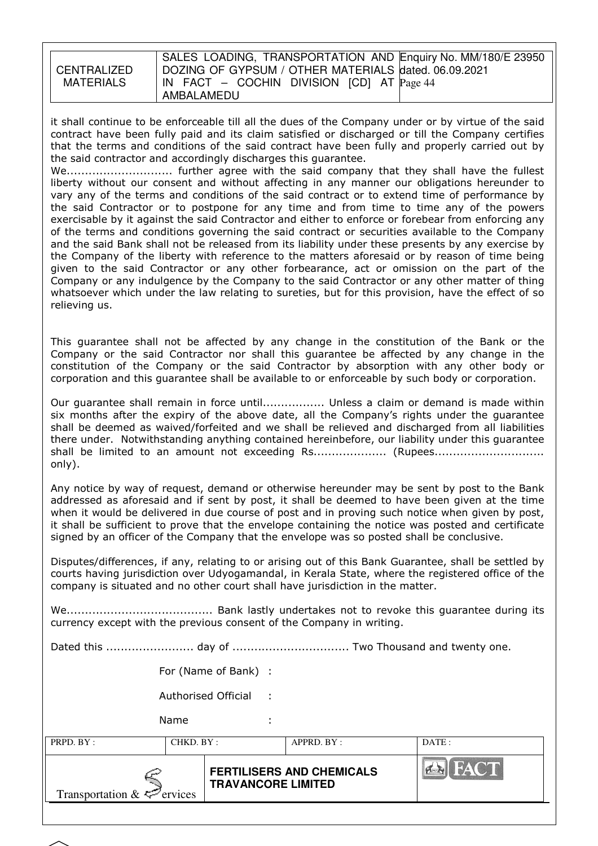| <b>CENTRALIZED</b><br>MATERIALS |
|---------------------------------|
|                                 |

#### SALES LOADING, TRANSPORTATION AND Enquiry No. MM/180/E 23950 DOZING OF GYPSUM / OTHER MATERIALS dated. 06.09.2021 IN FACT – COCHIN DIVISION [CD] AT Page 44 AMBALAMEDU

it shall continue to be enforceable till all the dues of the Company under or by virtue of the said contract have been fully paid and its claim satisfied or discharged or till the Company certifies that the terms and conditions of the said contract have been fully and properly carried out by the said contractor and accordingly discharges this guarantee.

We............................. further agree with the said company that they shall have the fullest liberty without our consent and without affecting in any manner our obligations hereunder to vary any of the terms and conditions of the said contract or to extend time of performance by the said Contractor or to postpone for any time and from time to time any of the powers exercisable by it against the said Contractor and either to enforce or forebear from enforcing any of the terms and conditions governing the said contract or securities available to the Company and the said Bank shall not be released from its liability under these presents by any exercise by the Company of the liberty with reference to the matters aforesaid or by reason of time being given to the said Contractor or any other forbearance, act or omission on the part of the Company or any indulgence by the Company to the said Contractor or any other matter of thing whatsoever which under the law relating to sureties, but for this provision, have the effect of so relieving us.

This guarantee shall not be affected by any change in the constitution of the Bank or the Company or the said Contractor nor shall this guarantee be affected by any change in the constitution of the Company or the said Contractor by absorption with any other body or corporation and this guarantee shall be available to or enforceable by such body or corporation.

Our guarantee shall remain in force until................. Unless a claim or demand is made within six months after the expiry of the above date, all the Company's rights under the guarantee shall be deemed as waived/forfeited and we shall be relieved and discharged from all liabilities there under. Notwithstanding anything contained hereinbefore, our liability under this guarantee shall be limited to an amount not exceeding Rs.................... (Rupees................................ only).

Any notice by way of request, demand or otherwise hereunder may be sent by post to the Bank addressed as aforesaid and if sent by post, it shall be deemed to have been given at the time when it would be delivered in due course of post and in proving such notice when given by post, it shall be sufficient to prove that the envelope containing the notice was posted and certificate signed by an officer of the Company that the envelope was so posted shall be conclusive.

Disputes/differences, if any, relating to or arising out of this Bank Guarantee, shall be settled by courts having jurisdiction over Udyogamandal, in Kerala State, where the registered office of the company is situated and no other court shall have jurisdiction in the matter.

We........................................ Bank lastly undertakes not to revoke this guarantee during its currency except with the previous consent of the Company in writing.

Dated this ........................ day of ................................ Two Thousand and twenty one.

For (Name of Bank) :

Authorised Official :

Name

PRPD. BY : CHKD. BY : APPRD. BY : DATE :

Transportation  $& \Leftrightarrow$  ervices

**FERTILISERS AND CHEMICALS TRAVANCORE LIMITED**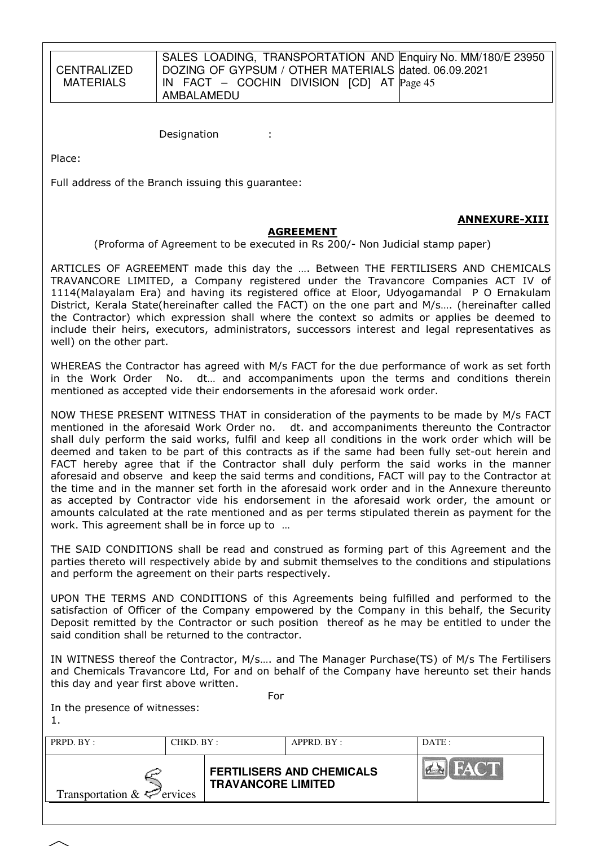**CENTRALIZED** MATERIALS

SALES LOADING, TRANSPORTATION AND Enquiry No. MM/180/E 23950 DOZING OF GYPSUM / OTHER MATERIALS dated. 06.09.2021 IN FACT – COCHIN DIVISION [CD] AT Page 45 AMBALAMEDU

Designation :

Place:

Full address of the Branch issuing this guarantee:

### **AGREEMENT**

(Proforma of Agreement to be executed in Rs 200/- Non Judicial stamp paper)

ARTICLES OF AGREEMENT made this day the …. Between THE FERTILISERS AND CHEMICALS TRAVANCORE LIMITED, a Company registered under the Travancore Companies ACT IV of 1114(Malayalam Era) and having its registered office at Eloor, Udyogamandal P O Ernakulam District, Kerala State(hereinafter called the FACT) on the one part and M/s…. (hereinafter called the Contractor) which expression shall where the context so admits or applies be deemed to include their heirs, executors, administrators, successors interest and legal representatives as well) on the other part.

WHEREAS the Contractor has agreed with M/s FACT for the due performance of work as set forth in the Work Order No. dt… and accompaniments upon the terms and conditions therein mentioned as accepted vide their endorsements in the aforesaid work order.

NOW THESE PRESENT WITNESS THAT in consideration of the payments to be made by M/s FACT mentioned in the aforesaid Work Order no. dt. and accompaniments thereunto the Contractor shall duly perform the said works, fulfil and keep all conditions in the work order which will be deemed and taken to be part of this contracts as if the same had been fully set-out herein and FACT hereby agree that if the Contractor shall duly perform the said works in the manner aforesaid and observe and keep the said terms and conditions, FACT will pay to the Contractor at the time and in the manner set forth in the aforesaid work order and in the Annexure thereunto as accepted by Contractor vide his endorsement in the aforesaid work order, the amount or amounts calculated at the rate mentioned and as per terms stipulated therein as payment for the work. This agreement shall be in force up to …

THE SAID CONDITIONS shall be read and construed as forming part of this Agreement and the parties thereto will respectively abide by and submit themselves to the conditions and stipulations and perform the agreement on their parts respectively.

UPON THE TERMS AND CONDITIONS of this Agreements being fulfilled and performed to the satisfaction of Officer of the Company empowered by the Company in this behalf, the Security Deposit remitted by the Contractor or such position thereof as he may be entitled to under the said condition shall be returned to the contractor.

IN WITNESS thereof the Contractor, M/s…. and The Manager Purchase(TS) of M/s The Fertilisers and Chemicals Travancore Ltd, For and on behalf of the Company have hereunto set their hands this day and year first above written.

| For<br>In the presence of witnesses: |           |                                                               |            |                |  |  |  |  |
|--------------------------------------|-----------|---------------------------------------------------------------|------------|----------------|--|--|--|--|
| PRPD. BY:                            | CHKD. BY: |                                                               | APPRD. BY: | DATE:          |  |  |  |  |
| Transportation & $\leq$ ervices      |           | <b>FERTILISERS AND CHEMICALS</b><br><b>TRAVANCORE LIMITED</b> |            | <b>EN FACT</b> |  |  |  |  |
|                                      |           |                                                               |            |                |  |  |  |  |

# ANNEXURE-XIII